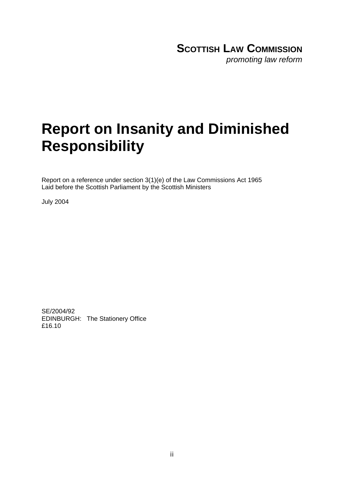### **SCOTTISH LAW COMMISSION** *promoting law reform*

# **Report on Insanity and Diminished Responsibility**

Report on a reference under section 3(1)(e) of the Law Commissions Act 1965 Laid before the Scottish Parliament by the Scottish Ministers

July 2004

SE/2004/92 EDINBURGH: The Stationery Office £16.10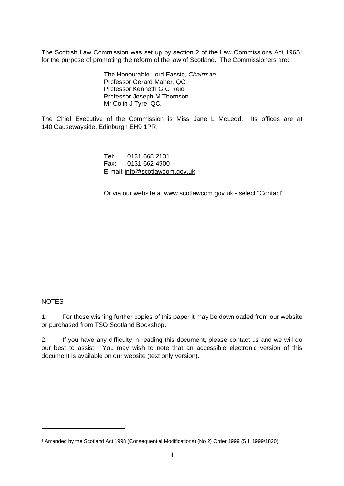The Scottish Law Commission was set up by section 2 of the Law Commissions Act [1](#page-1-0)965<sup>1</sup> for the purpose of promoting the reform of the law of Scotland. The Commissioners are:

> The Honourable Lord Eassie, *Chairman* Professor Gerard Maher, QC Professor Kenneth G C Reid Professor Joseph M Thomson Mr Colin J Tyre, QC.

The Chief Executive of the Commission is Miss Jane L McLeod. Its offices are at 140 Causewayside, Edinburgh EH9 1PR.

> Tel: 0131 668 2131 Fax: 0131 662 4900 E-mail: [info@scotlawcom.gov.uk](mailto:infor@scotlawcom.gov.uk)

Or via our website at www.scotlawcom.gov.uk - select "Contact"

#### **NOTES**

<u>.</u>

1. For those wishing further copies of this paper it may be downloaded from our website or purchased from TSO Scotland Bookshop.

2. If you have any difficulty in reading this document, please contact us and we will do our best to assist. You may wish to note that an accessible electronic version of this document is available on our website (text only version).

<span id="page-1-0"></span><sup>1</sup> Amended by the Scotland Act 1998 (Consequential Modifications) (No 2) Order 1999 (S.I. 1999/1820).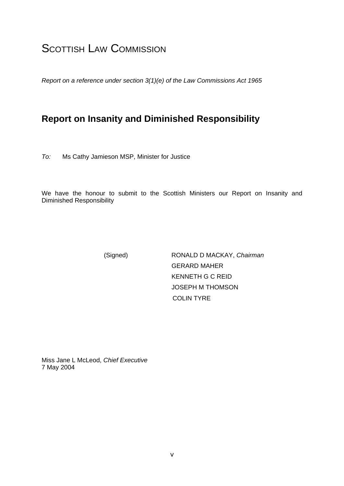## **SCOTTISH LAW COMMISSION**

*Report on a reference under section 3(1)(e) of the Law Commissions Act 1965*

### **Report on Insanity and Diminished Responsibility**

*To:* Ms Cathy Jamieson MSP, Minister for Justice

We have the honour to submit to the Scottish Ministers our Report on Insanity and Diminished Responsibility

 (Signed) RONALD D MACKAY, *Chairman* GERARD MAHER KENNETH G C REID JOSEPH M THOMSON COLIN TYRE

Miss Jane L McLeod, *Chief Executive* 7 May 2004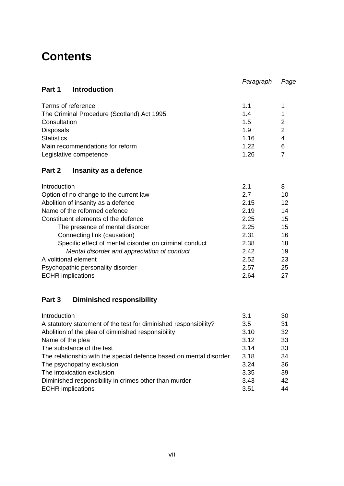## **Contents**

|                                                        | Paragraph | Page           |
|--------------------------------------------------------|-----------|----------------|
| <b>Introduction</b><br>Part 1                          |           |                |
| Terms of reference                                     | 1.1       | 1              |
| The Criminal Procedure (Scotland) Act 1995             | 1.4       | 1              |
| Consultation                                           | 1.5       | 2              |
| <b>Disposals</b>                                       | 1.9       | $\overline{2}$ |
| <b>Statistics</b>                                      | 1.16      | 4              |
| Main recommendations for reform                        | 1.22      | 6              |
| Legislative competence                                 | 1.26      | 7              |
| Part 2<br>Insanity as a defence                        |           |                |
| Introduction                                           | 2.1       | 8              |
| Option of no change to the current law                 | 2.7       | 10             |
| Abolition of insanity as a defence                     | 2.15      | 12             |
| Name of the reformed defence                           | 2.19      | 14             |
| Constituent elements of the defence                    | 2.25      | 15             |
| The presence of mental disorder                        | 2.25      | 15             |
| Connecting link (causation)                            | 2.31      | 16             |
| Specific effect of mental disorder on criminal conduct | 2.38      | 18             |
| Mental disorder and appreciation of conduct            | 2.42      | 19             |
| A volitional element                                   | 2.52      | 23             |
| 2.57<br>Psychopathic personality disorder              |           | 25             |
| <b>ECHR</b> implications<br>2.64                       |           |                |

### **Part 3 Diminished responsibility**

| Introduction                                                       | 3.1  | 30 |
|--------------------------------------------------------------------|------|----|
| A statutory statement of the test for diminished responsibility?   | 3.5  | 31 |
| Abolition of the plea of diminished responsibility                 | 3.10 | 32 |
| Name of the plea                                                   | 3.12 | 33 |
| The substance of the test                                          | 3.14 | 33 |
| The relationship with the special defence based on mental disorder | 3.18 | 34 |
| The psychopathy exclusion                                          | 3.24 | 36 |
| The intoxication exclusion                                         | 3.35 | 39 |
| Diminished responsibility in crimes other than murder              | 3.43 | 42 |
| <b>ECHR</b> implications                                           | 3.51 | 44 |
|                                                                    |      |    |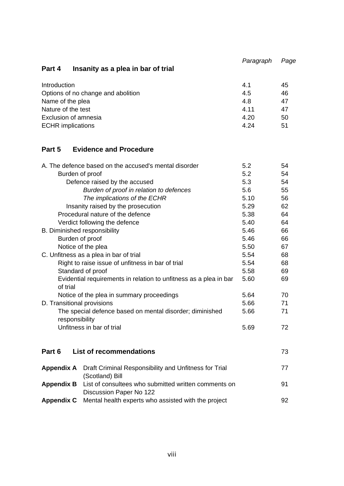**Part 4 Insanity as a plea in bar of trial**  *Paragraph Page* 

| Introduction                       | 4.1  | 45 |
|------------------------------------|------|----|
| Options of no change and abolition | 4.5  | 46 |
| Name of the plea                   | 4.8  | 47 |
| Nature of the test                 | 4.11 | 47 |
| Exclusion of amnesia               | 4.20 | 50 |
| <b>ECHR</b> implications           | 4.24 | 51 |

### **Part 5 Evidence and Procedure**

|                            | A. The defence based on the accused's mental disorder                           | 5.2  | 54 |
|----------------------------|---------------------------------------------------------------------------------|------|----|
| Burden of proof            |                                                                                 | 5.2  | 54 |
|                            | Defence raised by the accused                                                   | 5.3  | 54 |
|                            | Burden of proof in relation to defences                                         | 5.6  | 55 |
|                            | The implications of the ECHR                                                    | 5.10 | 56 |
|                            | Insanity raised by the prosecution                                              | 5.29 | 62 |
|                            | Procedural nature of the defence                                                | 5.38 | 64 |
|                            | Verdict following the defence                                                   | 5.40 | 64 |
|                            | B. Diminished responsibility                                                    | 5.46 | 66 |
| Burden of proof            |                                                                                 | 5.46 | 66 |
|                            | Notice of the plea                                                              | 5.50 | 67 |
|                            | C. Unfitness as a plea in bar of trial                                          | 5.54 | 68 |
|                            | Right to raise issue of unfitness in bar of trial                               | 5.54 | 68 |
|                            | Standard of proof                                                               | 5.58 | 69 |
| of trial                   | Evidential requirements in relation to unfitness as a plea in bar               | 5.60 | 69 |
|                            | Notice of the plea in summary proceedings                                       | 5.64 | 70 |
| D. Transitional provisions |                                                                                 | 5.66 | 71 |
| responsibility             | The special defence based on mental disorder; diminished                        | 5.66 | 71 |
|                            | Unfitness in bar of trial                                                       | 5.69 | 72 |
| Part 6                     | <b>List of recommendations</b>                                                  |      | 73 |
|                            |                                                                                 |      |    |
| <b>Appendix A</b>          | Draft Criminal Responsibility and Unfitness for Trial<br>(Scotland) Bill        |      | 77 |
| <b>Appendix B</b>          | List of consultees who submitted written comments on<br>Discussion Paper No 122 |      | 91 |
| <b>Appendix C</b>          | Mental health experts who assisted with the project                             |      | 92 |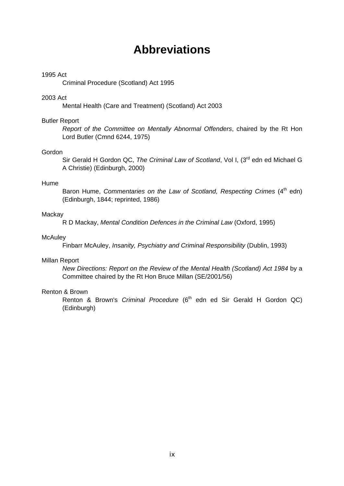### **Abbreviations**

#### 1995 Act

Criminal Procedure (Scotland) Act 1995

#### 2003 Act

Mental Health (Care and Treatment) (Scotland) Act 2003

#### Butler Report

*Report of the Committee on Mentally Abnormal Offenders*, chaired by the Rt Hon Lord Butler (Cmnd 6244, 1975)

#### Gordon

Sir Gerald H Gordon QC, The Criminal Law of Scotland, Vol I, (3<sup>rd</sup> edn ed Michael G A Christie) (Edinburgh, 2000)

#### Hume

Baron Hume, Commentaries on the Law of Scotland, Respecting Crimes (4<sup>th</sup> edn) (Edinburgh, 1844; reprinted, 1986)

#### **Mackay**

R D Mackay, *Mental Condition Defences in the Criminal Law* (Oxford, 1995)

#### **McAuley**

Finbarr McAuley, *Insanity, Psychiatry and Criminal Responsibility* (Dublin, 1993)

#### Millan Report

*New Directions: Report on the Review of the Mental Health (Scotland) Act 1984* by a Committee chaired by the Rt Hon Bruce Millan (SE/2001/56)

#### Renton & Brown

Renton & Brown's *Criminal Procedure* (6<sup>th</sup> edn ed Sir Gerald H Gordon QC) (Edinburgh)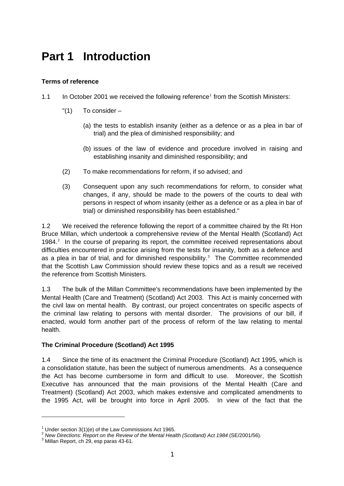## **Part 1 Introduction**

#### **Terms of reference**

- [1](#page-6-0).1 In October 2001 we received the following reference<sup>1</sup> from the Scottish Ministers:
	- $"(1)$  To consider
		- (a) the tests to establish insanity (either as a defence or as a plea in bar of trial) and the plea of diminished responsibility; and
		- (b) issues of the law of evidence and procedure involved in raising and establishing insanity and diminished responsibility; and
	- (2) To make recommendations for reform, if so advised; and
	- (3) Consequent upon any such recommendations for reform, to consider what changes, if any, should be made to the powers of the courts to deal with persons in respect of whom insanity (either as a defence or as a plea in bar of trial) or diminished responsibility has been established."

1.2 We received the reference following the report of a committee chaired by the Rt Hon Bruce Millan, which undertook a comprehensive review of the Mental Health (Scotland) Act 1984.<sup>[2](#page-6-1)</sup> In the course of preparing its report, the committee received representations about difficulties encountered in practice arising from the tests for insanity, both as a defence and as a plea in bar of trial, and for diminished responsibility. $3$  The Committee recommended that the Scottish Law Commission should review these topics and as a result we received the reference from Scottish Ministers.

1.3 The bulk of the Millan Committee's recommendations have been implemented by the Mental Health (Care and Treatment) (Scotland) Act 2003. This Act is mainly concerned with the civil law on mental health. By contrast, our project concentrates on specific aspects of the criminal law relating to persons with mental disorder. The provisions of our bill, if enacted, would form another part of the process of reform of the law relating to mental health.

#### **The Criminal Procedure (Scotland) Act 1995**

1.4 Since the time of its enactment the Criminal Procedure (Scotland) Act 1995, which is a consolidation statute, has been the subject of numerous amendments. As a consequence the Act has become cumbersome in form and difficult to use. Moreover, the Scottish Executive has announced that the main provisions of the Mental Health (Care and Treatment) (Scotland) Act 2003, which makes extensive and complicated amendments to the 1995 Act, will be brought into force in April 2005. In view of the fact that the

<sup>&</sup>lt;sup>1</sup> Under section  $3(1)(e)$  of the Law Commissions Act 1965.

<span id="page-6-1"></span><span id="page-6-0"></span><sup>&</sup>lt;sup>2</sup> New Directions: Report on the Review of the Mental Health (Scotland) Act 1984 (SE/2001/56).

<span id="page-6-2"></span><sup>&</sup>lt;sup>3</sup> Millan Report, ch 29, esp paras 43-61.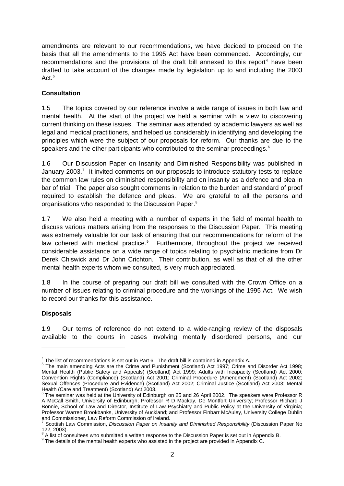amendments are relevant to our recommendations, we have decided to proceed on the basis that all the amendments to the 1995 Act have been commenced. Accordingly, our recommendations and the provisions of the draft bill annexed to this report<sup>[4](#page-7-0)</sup> have been drafted to take account of the changes made by legislation up to and including the 2003 Act.<sup>[5](#page-7-1)</sup>

#### **Consultation**

1.5 The topics covered by our reference involve a wide range of issues in both law and mental health. At the start of the project we held a seminar with a view to discovering current thinking on these issues. The seminar was attended by academic lawyers as well as legal and medical practitioners, and helped us considerably in identifying and developing the principles which were the subject of our proposals for reform. Our thanks are due to the speakers and the other participants who contributed to the seminar proceedings.<sup>[6](#page-7-2)</sup>

1.6 Our Discussion Paper on Insanity and Diminished Responsibility was published in January 2003.<sup>[7](#page-7-3)</sup> It invited comments on our proposals to introduce statutory tests to replace the common law rules on diminished responsibility and on insanity as a defence and plea in bar of trial. The paper also sought comments in relation to the burden and standard of proof required to establish the defence and pleas. We are grateful to all the persons and organisations who responded to the Discussion Paper.[8](#page-7-4)

1.7 We also held a meeting with a number of experts in the field of mental health to discuss various matters arising from the responses to the Discussion Paper. This meeting was extremely valuable for our task of ensuring that our recommendations for reform of the law cohered with medical practice.<sup>[9](#page-7-5)</sup> Furthermore, throughout the project we received considerable assistance on a wide range of topics relating to psychiatric medicine from Dr Derek Chiswick and Dr John Crichton. Their contribution, as well as that of all the other mental health experts whom we consulted, is very much appreciated.

1.8 In the course of preparing our draft bill we consulted with the Crown Office on a number of issues relating to criminal procedure and the workings of the 1995 Act. We wish to record our thanks for this assistance.

#### **Disposals**

<u>.</u>

1.9 Our terms of reference do not extend to a wide-ranging review of the disposals available to the courts in cases involving mentally disordered persons, and our

<span id="page-7-1"></span><span id="page-7-0"></span><sup>&</sup>lt;sup>4</sup> The list of recommendations is set out in Part 6. The draft bill is contained in Appendix A.<br><sup>5</sup> The main amending Acts are the Crime and Punishment (Scotland) Act 1997; Crime and Disorder Act 1998; Mental Health (Public Safety and Appeals) (Scotland) Act 1999; Adults with Incapacity (Scotland) Act 2000; Convention Rights (Compliance) (Scotland) Act 2001; Criminal Procedure (Amendment) (Scotland) Act 2002; Sexual Offences (Procedure and Evidence) (Scotland) Act 2002; Criminal Justice (Scotland) Act 2003; Mental Health (Care and Treatment) (Scotland) Act 2003.<br><sup>6</sup> The seminar was held at the University of Edinbu

<span id="page-7-2"></span>The seminar was held at the University of Edinburgh on 25 and 26 April 2002. The speakers were Professor R A McCall Smith, University of Edinburgh; Professor R D Mackay, De Montfort University; Professor Richard J Bonnie, School of Law and Director, Institute of Law Psychiatry and Public Policy at the University of Virginia; Professor Warren Brookbanks, University of Auckland; and Professor Finbarr McAuley, University College Dublin and Commissioner, Law Reform Commission of Ireland.<br><sup>7</sup> Secttish Law Commission, Discussion Pener on Incor

<span id="page-7-3"></span>Scottish Law Commission, *Discussion Paper on Insanity and Diminished Responsibility* (Discussion Paper No 122, 2003).

<sup>8</sup> A list of consultees who submitted a written response to the Discussion Paper is set out in Appendix B. 9

<span id="page-7-5"></span><span id="page-7-4"></span><sup>&</sup>lt;sup>9</sup> The details of the mental health experts who assisted in the project are provided in Appendix C.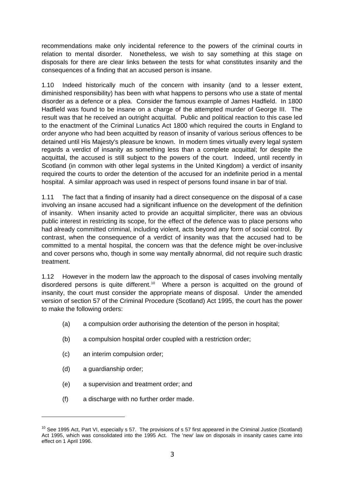recommendations make only incidental reference to the powers of the criminal courts in relation to mental disorder. Nonetheless, we wish to say something at this stage on disposals for there are clear links between the tests for what constitutes insanity and the consequences of a finding that an accused person is insane.

1.10 Indeed historically much of the concern with insanity (and to a lesser extent, diminished responsibility) has been with what happens to persons who use a state of mental disorder as a defence or a plea. Consider the famous example of James Hadfield. In 1800 Hadfield was found to be insane on a charge of the attempted murder of George III. The result was that he received an outright acquittal. Public and political reaction to this case led to the enactment of the Criminal Lunatics Act 1800 which required the courts in England to order anyone who had been acquitted by reason of insanity of various serious offences to be detained until His Majesty's pleasure be known. In modern times virtually every legal system regards a verdict of insanity as something less than a complete acquittal; for despite the acquittal, the accused is still subject to the powers of the court. Indeed, until recently in Scotland (in common with other legal systems in the United Kingdom) a verdict of insanity required the courts to order the detention of the accused for an indefinite period in a mental hospital. A similar approach was used in respect of persons found insane in bar of trial.

1.11 The fact that a finding of insanity had a direct consequence on the disposal of a case involving an insane accused had a significant influence on the development of the definition of insanity. When insanity acted to provide an acquittal simpliciter, there was an obvious public interest in restricting its scope, for the effect of the defence was to place persons who had already committed criminal, including violent, acts beyond any form of social control. By contrast, when the consequence of a verdict of insanity was that the accused had to be committed to a mental hospital, the concern was that the defence might be over-inclusive and cover persons who, though in some way mentally abnormal, did not require such drastic treatment.

1.12 However in the modern law the approach to the disposal of cases involving mentally disordered persons is quite different.<sup>[10](#page-8-0)</sup> Where a person is acquitted on the ground of insanity, the court must consider the appropriate means of disposal. Under the amended version of section 57 of the Criminal Procedure (Scotland) Act 1995, the court has the power to make the following orders:

- (a) a compulsion order authorising the detention of the person in hospital;
- (b) a compulsion hospital order coupled with a restriction order;
- (c) an interim compulsion order;
- (d) a guardianship order;

- (e) a supervision and treatment order; and
- (f) a discharge with no further order made.

<span id="page-8-0"></span> $10$  See 1995 Act, Part VI, especially s 57. The provisions of s 57 first appeared in the Criminal Justice (Scotland) Act 1995, which was consolidated into the 1995 Act. The 'new' law on disposals in insanity cases came into effect on 1 April 1996.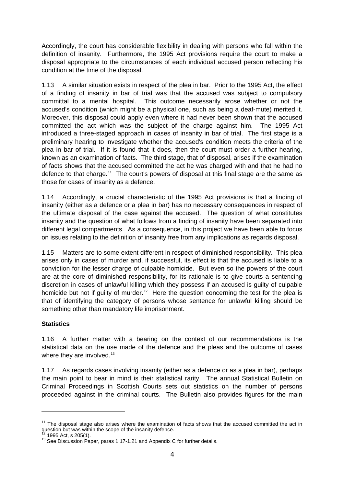Accordingly, the court has considerable flexibility in dealing with persons who fall within the definition of insanity. Furthermore, the 1995 Act provisions require the court to make a disposal appropriate to the circumstances of each individual accused person reflecting his condition at the time of the disposal.

1.13 A similar situation exists in respect of the plea in bar. Prior to the 1995 Act, the effect of a finding of insanity in bar of trial was that the accused was subject to compulsory committal to a mental hospital. This outcome necessarily arose whether or not the accused's condition (which might be a physical one, such as being a deaf-mute) merited it. Moreover, this disposal could apply even where it had never been shown that the accused committed the act which was the subject of the charge against him. The 1995 Act introduced a three-staged approach in cases of insanity in bar of trial. The first stage is a preliminary hearing to investigate whether the accused's condition meets the criteria of the plea in bar of trial. If it is found that it does, then the court must order a further hearing, known as an examination of facts. The third stage, that of disposal, arises if the examination of facts shows that the accused committed the act he was charged with and that he had no defence to that charge.<sup>[11](#page-9-0)</sup> The court's powers of disposal at this final stage are the same as those for cases of insanity as a defence.

1.14 Accordingly, a crucial characteristic of the 1995 Act provisions is that a finding of insanity (either as a defence or a plea in bar) has no necessary consequences in respect of the ultimate disposal of the case against the accused. The question of what constitutes insanity and the question of what follows from a finding of insanity have been separated into different legal compartments. As a consequence, in this project we have been able to focus on issues relating to the definition of insanity free from any implications as regards disposal.

1.15 Matters are to some extent different in respect of diminished responsibility. This plea arises only in cases of murder and, if successful, its effect is that the accused is liable to a conviction for the lesser charge of culpable homicide. But even so the powers of the court are at the core of diminished responsibility, for its rationale is to give courts a sentencing discretion in cases of unlawful killing which they possess if an accused is guilty of culpable homicide but not if quilty of murder.<sup>[12](#page-9-1)</sup> Here the question concerning the test for the plea is that of identifying the category of persons whose sentence for unlawful killing should be something other than mandatory life imprisonment.

#### **Statistics**

1.16 A further matter with a bearing on the context of our recommendations is the statistical data on the use made of the defence and the pleas and the outcome of cases where they are involved.<sup>[13](#page-9-2)</sup>

1.17 As regards cases involving insanity (either as a defence or as a plea in bar), perhaps the main point to bear in mind is their statistical rarity. The annual Statistical Bulletin on Criminal Proceedings in Scottish Courts sets out statistics on the number of persons proceeded against in the criminal courts. The Bulletin also provides figures for the main

<span id="page-9-0"></span> $11$  The disposal stage also arises where the examination of facts shows that the accused committed the act in question but was within the scope of the insanity defence.

<span id="page-9-2"></span><span id="page-9-1"></span> $12$  1995 Act, s 205(1).<br> $13$  See Discussion Paper, paras 1.17-1.21 and Appendix C for further details.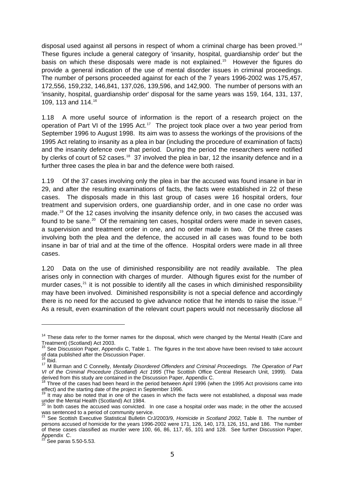disposal used against all persons in respect of whom a criminal charge has been proved.<sup>[14](#page-10-0)</sup> These figures include a general category of 'insanity, hospital, guardianship order' but the basis on which these disposals were made is not explained.<sup>[15](#page-10-1)</sup> However the figures do provide a general indication of the use of mental disorder issues in criminal proceedings. The number of persons proceeded against for each of the 7 years 1996-2002 was 175,457, 172,556, 159,232, 146,841, 137,026, 139,596, and 142,900. The number of persons with an 'insanity, hospital, guardianship order' disposal for the same years was 159, 164, 131, 137, 109, 113 and 114.[16](#page-10-2)

1.18 A more useful source of information is the report of a research project on the operation of Part VI of the 1995 Act.<sup>[17](#page-10-3)</sup> The project took place over a two year period from September 1996 to August 1998. Its aim was to assess the workings of the provisions of the 1995 Act relating to insanity as a plea in bar (including the procedure of examination of facts) and the insanity defence over that period. During the period the researchers were notified by clerks of court of 52 cases.<sup>[18](#page-10-4)</sup> 37 involved the plea in bar, 12 the insanity defence and in a further three cases the plea in bar and the defence were both raised.

1.19 Of the 37 cases involving only the plea in bar the accused was found insane in bar in 29, and after the resulting examinations of facts, the facts were established in 22 of these cases. The disposals made in this last group of cases were 16 hospital orders, four treatment and supervision orders, one guardianship order, and in one case no order was made.[19](#page-10-5) Of the 12 cases involving the insanity defence only, in two cases the accused was found to be sane.<sup>[20](#page-10-6)</sup> Of the remaining ten cases, hospital orders were made in seven cases, a supervision and treatment order in one, and no order made in two. Of the three cases involving both the plea and the defence, the accused in all cases was found to be both insane in bar of trial and at the time of the offence. Hospital orders were made in all three cases.

1.20 Data on the use of diminished responsibility are not readily available. The plea arises only in connection with charges of murder. Although figures exist for the number of murder cases, $2<sup>1</sup>$  it is not possible to identify all the cases in which diminished responsibility may have been involved. Diminished responsibility is not a special defence and accordingly there is no need for the accused to give advance notice that he intends to raise the issue. $22$ As a result, even examination of the relevant court papers would not necessarily disclose all

<sup>&</sup>lt;sup>14</sup> These data refer to the former names for the disposal, which were changed by the Mental Health (Care and

<span id="page-10-1"></span><span id="page-10-0"></span>Treatment) (Scotland) Act 2003.<br><sup>15</sup> See Discussion Paper, Appendix C, Table 1. The figures in the text above have been revised to take account of data published after the Discussion Paper.

<span id="page-10-3"></span><span id="page-10-2"></span><sup>17</sup> M Burman and C Connelly, *Mentally Disordered Offenders and Criminal Proceedings. The Operation of Part VI of the Criminal Procedure (Scotland) Act 1995* (The Scottish Office Central Research Unit, 1999). Data derived from this study are contained in the Discussion Paper, Appendix C.

<span id="page-10-4"></span><sup>&</sup>lt;sup>18</sup> Three of the cases had been heard in the period between April 1996 (when the 1995 Act provisions came into effect) and the starting date of the project in September 1996.

<span id="page-10-5"></span>It may also be noted that in one of the cases in which the facts were not established, a disposal was made under the Mental Health (Scotland) Act 1984.<br><sup>20</sup> In both cases the accused was convicted. In one case a hospital order was made; in the other the accused

<span id="page-10-7"></span><span id="page-10-6"></span>was sentenced to a period of community service.<br><sup>21</sup> See Scottish Executive Statistical Bulletin CrJ/2003/9, *Homicide in Scotland 2002*, Table 8. The number of persons accused of homicide for the years 1996-2002 were 171, 126, 140, 173, 126, 151, and 186. The number of these cases classified as murder were 100, 66, 86, 117, 65, 101 and 128. See further Discussion Paper, Appendix C.

<span id="page-10-8"></span>See paras 5.50-5.53.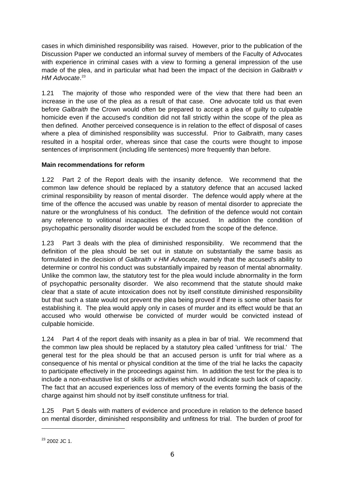cases in which diminished responsibility was raised. However, prior to the publication of the Discussion Paper we conducted an informal survey of members of the Faculty of Advocates with experience in criminal cases with a view to forming a general impression of the use made of the plea, and in particular what had been the impact of the decision in *Galbraith v HM Advocate*. [23](#page-11-0)

1.21 The majority of those who responded were of the view that there had been an increase in the use of the plea as a result of that case. One advocate told us that even before *Galbraith* the Crown would often be prepared to accept a plea of guilty to culpable homicide even if the accused's condition did not fall strictly within the scope of the plea as then defined. Another perceived consequence is in relation to the effect of disposal of cases where a plea of diminished responsibility was successful. Prior to *Galbraith*, many cases resulted in a hospital order, whereas since that case the courts were thought to impose sentences of imprisonment (including life sentences) more frequently than before.

#### **Main recommendations for reform**

1.22 Part 2 of the Report deals with the insanity defence. We recommend that the common law defence should be replaced by a statutory defence that an accused lacked criminal responsibility by reason of mental disorder. The defence would apply where at the time of the offence the accused was unable by reason of mental disorder to appreciate the nature or the wrongfulness of his conduct. The definition of the defence would not contain any reference to volitional incapacities of the accused. In addition the condition of psychopathic personality disorder would be excluded from the scope of the defence.

1.23 Part 3 deals with the plea of diminished responsibility. We recommend that the definition of the plea should be set out in statute on substantially the same basis as formulated in the decision of *Galbraith v HM Advocate*, namely that the accused's ability to determine or control his conduct was substantially impaired by reason of mental abnormality. Unlike the common law, the statutory test for the plea would include abnormality in the form of psychopathic personality disorder. We also recommend that the statute should make clear that a state of acute intoxication does not by itself constitute diminished responsibility but that such a state would not prevent the plea being proved if there is some other basis for establishing it. The plea would apply only in cases of murder and its effect would be that an accused who would otherwise be convicted of murder would be convicted instead of culpable homicide.

1.24 Part 4 of the report deals with insanity as a plea in bar of trial. We recommend that the common law plea should be replaced by a statutory plea called 'unfitness for trial.' The general test for the plea should be that an accused person is unfit for trial where as a consequence of his mental or physical condition at the time of the trial he lacks the capacity to participate effectively in the proceedings against him. In addition the test for the plea is to include a non-exhaustive list of skills or activities which would indicate such lack of capacity. The fact that an accused experiences loss of memory of the events forming the basis of the charge against him should not by itself constitute unfitness for trial.

1.25 Part 5 deals with matters of evidence and procedure in relation to the defence based on mental disorder, diminished responsibility and unfitness for trial. The burden of proof for

<span id="page-11-0"></span> $23$  2002 JC 1.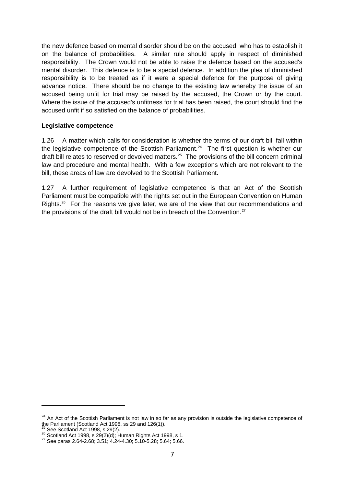the new defence based on mental disorder should be on the accused, who has to establish it on the balance of probabilities. A similar rule should apply in respect of diminished responsibility. The Crown would not be able to raise the defence based on the accused's mental disorder. This defence is to be a special defence. In addition the plea of diminished responsibility is to be treated as if it were a special defence for the purpose of giving advance notice. There should be no change to the existing law whereby the issue of an accused being unfit for trial may be raised by the accused, the Crown or by the court. Where the issue of the accused's unfitness for trial has been raised, the court should find the accused unfit if so satisfied on the balance of probabilities.

#### **Legislative competence**

1.26 A matter which calls for consideration is whether the terms of our draft bill fall within the legislative competence of the Scottish Parliament.<sup>[24](#page-12-0)</sup> The first question is whether our draft bill relates to reserved or devolved matters.<sup>[25](#page-12-1)</sup> The provisions of the bill concern criminal law and procedure and mental health. With a few exceptions which are not relevant to the bill, these areas of law are devolved to the Scottish Parliament.

1.27 A further requirement of legislative competence is that an Act of the Scottish Parliament must be compatible with the rights set out in the European Convention on Human Rights.<sup>[26](#page-12-2)</sup> For the reasons we give later, we are of the view that our recommendations and the provisions of the draft bill would not be in breach of the Convention. $27$ 

<span id="page-12-0"></span><sup>&</sup>lt;sup>24</sup> An Act of the Scottish Parliament is not law in so far as any provision is outside the legislative competence of the Parliament (Scotland Act 1998, ss 29 and 126(1)).<br> $25$  See Scotland Act 1998, s 29(2).

<span id="page-12-3"></span><span id="page-12-2"></span><span id="page-12-1"></span><sup>26</sup> See Scotland Act 1998, s 29(2)(d); Human Rights Act 1998, s 1.<br>
<sup>27</sup> See paras 2.64-2.68; 3.51; 4.24-4.30; 5.10-5.28; 5.64; 5.66.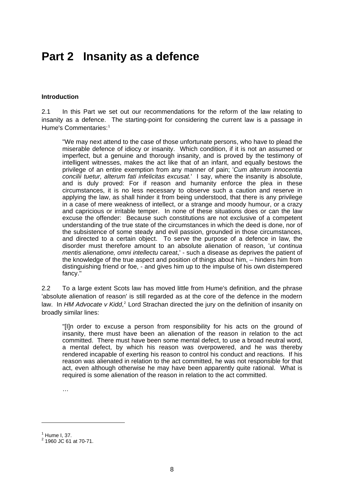### **Part 2 Insanity as a defence**

#### **Introduction**

2.1 In this Part we set out our recommendations for the reform of the law relating to insanity as a defence. The starting-point for considering the current law is a passage in Hume's Commentaries:[1](#page-13-0)

"We may next attend to the case of those unfortunate persons, who have to plead the miserable defence of idiocy or insanity. Which condition, if it is not an assumed or imperfect, but a genuine and thorough insanity, and is proved by the testimony of intelligent witnesses, makes the act like that of an infant, and equally bestows the privilege of an entire exemption from any manner of pain; '*Cum alterum innocentia concilii tuetur, alterum fati infelicitas excusat.*' I say, where the insanity is absolute, and is duly proved: For if reason and humanity enforce the plea in these circumstances, it is no less necessary to observe such a caution and reserve in applying the law, as shall hinder it from being understood, that there is any privilege in a case of mere weakness of intellect, or a strange and moody humour, or a crazy and capricious or irritable temper. In none of these situations does or can the law excuse the offender: Because such constitutions are not exclusive of a competent understanding of the true state of the circumstances in which the deed is done, nor of the subsistence of some steady and evil passion, grounded in those circumstances, and directed to a certain object. To serve the purpose of a defence in law, the disorder must therefore amount to an absolute alienation of reason, '*ut continua mentis alienatione, omni intellectu* careat,' - such a disease as deprives the patient of the knowledge of the true aspect and position of things about him, – hinders him from distinguishing friend or foe, - and gives him up to the impulse of his own distempered fancy."

2.2 To a large extent Scots law has moved little from Hume's definition, and the phrase 'absolute alienation of reason' is still regarded as at the core of the defence in the modern law. In HM Advocate v Kidd,<sup>[2](#page-13-1)</sup> Lord Strachan directed the jury on the definition of insanity on broadly similar lines:

"[I]n order to excuse a person from responsibility for his acts on the ground of insanity, there must have been an alienation of the reason in relation to the act committed. There must have been some mental defect, to use a broad neutral word, a mental defect, by which his reason was overpowered, and he was thereby rendered incapable of exerting his reason to control his conduct and reactions. If his reason was alienated in relation to the act committed, he was not responsible for that act, even although otherwise he may have been apparently quite rational. What is required is some alienation of the reason in relation to the act committed.

…

<span id="page-13-0"></span> $<sup>1</sup>$  Hume I, 37.</sup>

<span id="page-13-1"></span> $2$  1960 JC 61 at 70-71.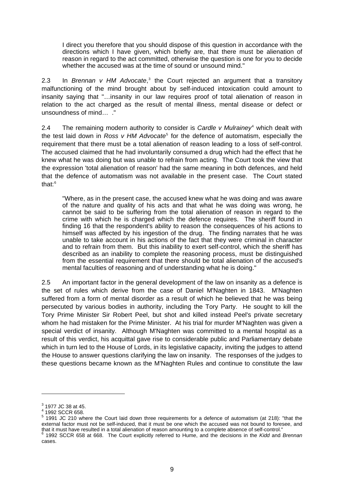I direct you therefore that you should dispose of this question in accordance with the directions which I have given, which briefly are, that there must be alienation of reason in regard to the act committed, otherwise the question is one for you to decide whether the accused was at the time of sound or unsound mind."

2.[3](#page-14-0) In *Brennan v HM Advocate*,<sup>3</sup> the Court rejected an argument that a transitory malfunctioning of the mind brought about by self-induced intoxication could amount to insanity saying that "…insanity in our law requires proof of total alienation of reason in relation to the act charged as the result of mental illness, mental disease or defect or unsoundness of mind… ."

2.4 The remaining modern authority to consider is *Cardle v Mulrainey*[4](#page-14-1) which dealt with the test laid down in *Ross v HM Advocate*<sup>[5](#page-14-2)</sup> for the defence of automatism, especially the requirement that there must be a total alienation of reason leading to a loss of self-control. The accused claimed that he had involuntarily consumed a drug which had the effect that he knew what he was doing but was unable to refrain from acting. The Court took the view that the expression 'total alienation of reason' had the same meaning in both defences, and held that the defence of automatism was not available in the present case. The Court stated that $\cdot$ <sup>[6](#page-14-3)</sup>

"Where, as in the present case, the accused knew what he was doing and was aware of the nature and quality of his acts and that what he was doing was wrong, he cannot be said to be suffering from the total alienation of reason in regard to the crime with which he is charged which the defence requires. The sheriff found in finding 16 that the respondent's ability to reason the consequences of his actions to himself was affected by his ingestion of the drug. The finding narrates that he was unable to take account in his actions of the fact that they were criminal in character and to refrain from them. But this inability to exert self-control, which the sheriff has described as an inability to complete the reasoning process, must be distinguished from the essential requirement that there should be total alienation of the accused's mental faculties of reasoning and of understanding what he is doing."

2.5 An important factor in the general development of the law on insanity as a defence is the set of rules which derive from the case of Daniel M'Naghten in 1843. M'Naghten suffered from a form of mental disorder as a result of which he believed that he was being persecuted by various bodies in authority, including the Tory Party. He sought to kill the Tory Prime Minister Sir Robert Peel, but shot and killed instead Peel's private secretary whom he had mistaken for the Prime Minister. At his trial for murder M'Naghten was given a special verdict of insanity. Although M'Naghten was committed to a mental hospital as a result of this verdict, his acquittal gave rise to considerable public and Parliamentary debate which in turn led to the House of Lords, in its legislative capacity, inviting the judges to attend the House to answer questions clarifying the law on insanity. The responses of the judges to these questions became known as the M'Naghten Rules and continue to constitute the law

<span id="page-14-0"></span> $3^{3}$  1977 JC 38 at 45.

<sup>4</sup> 1992 SCCR 658.

<span id="page-14-2"></span><span id="page-14-1"></span><sup>&</sup>lt;sup>5</sup> 1991 JC 210 where the Court laid down three requirements for a defence of automatism (at 218): "that the external factor must not be self-induced, that it must be one which the accused was not bound to foresee, and that it must have resulted in a total alienation of reason amounting to a complete absence of self-control."

<span id="page-14-3"></span> <sup>1992</sup> SCCR 658 at 668. The Court explicitly referred to Hume, and the decisions in the *Kidd* and *Brennan* cases.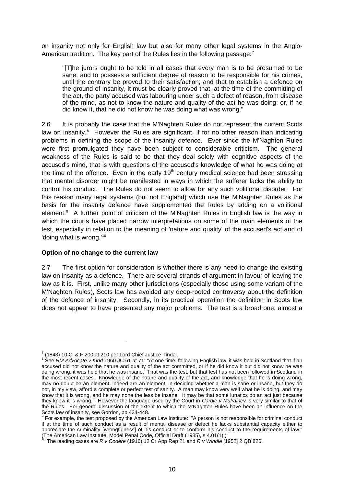on insanity not only for English law but also for many other legal systems in the Anglo-American tradition. The key part of the Rules lies in the following passage: $<sup>7</sup>$  $<sup>7</sup>$  $<sup>7</sup>$ </sup>

"[T]he jurors ought to be told in all cases that every man is to be presumed to be sane, and to possess a sufficient degree of reason to be responsible for his crimes, until the contrary be proved to their satisfaction; and that to establish a defence on the ground of insanity, it must be clearly proved that, at the time of the committing of the act, the party accused was labouring under such a defect of reason, from disease of the mind, as not to know the nature and quality of the act he was doing; or, if he did know it, that he did not know he was doing what was wrong."

2.6 It is probably the case that the M'Naghten Rules do not represent the current Scots law on insanity.<sup>[8](#page-15-1)</sup> However the Rules are significant, if for no other reason than indicating problems in defining the scope of the insanity defence. Ever since the M'Naghten Rules were first promulgated they have been subject to considerable criticism. The general weakness of the Rules is said to be that they deal solely with cognitive aspects of the accused's mind, that is with questions of the accused's knowledge of what he was doing at the time of the offence. Even in the early  $19<sup>th</sup>$  century medical science had been stressing that mental disorder might be manifested in ways in which the sufferer lacks the ability to control his conduct. The Rules do not seem to allow for any such volitional disorder. For this reason many legal systems (but not England) which use the M'Naghten Rules as the basis for the insanity defence have supplemented the Rules by adding on a volitional element.<sup>[9](#page-15-2)</sup> A further point of criticism of the M'Naghten Rules in English law is the way in which the courts have placed narrow interpretations on some of the main elements of the test, especially in relation to the meaning of 'nature and quality' of the accused's act and of 'doing what is wrong.'<sup>[10](#page-15-3)</sup>

#### **Option of no change to the current law**

2.7 The first option for consideration is whether there is any need to change the existing law on insanity as a defence. There are several strands of argument in favour of leaving the law as it is. First, unlike many other jurisdictions (especially those using some variant of the M'Naghten Rules), Scots law has avoided any deep-rooted controversy about the definition of the defence of insanity. Secondly, in its practical operation the definition in Scots law does not appear to have presented any major problems. The test is a broad one, almost a

<span id="page-15-1"></span><span id="page-15-0"></span><sup>&</sup>lt;sup>7</sup> (1843) 10 Cl & F 200 at 210 per Lord Chief Justice Tindal.<br><sup>8</sup> See *HM Advocate v Kidd* 1960 JC 61 at 71: "At one time, following English law, it was held in Scotland that if an accused did not know the nature and quality of the act committed, or if he did know it but did not know he was doing wrong, it was held that he was insane. That was the test, but that test has not been followed in Scotland in the most recent cases. Knowledge of the nature and quality of the act, and knowledge that he is doing wrong, may no doubt be an element, indeed are an element, in deciding whether a man is sane or insane, but they do not, in my view, afford a complete or perfect test of sanity. A man may know very well what he is doing, and may know that it is wrong, and he may none the less be insane. It may be that some lunatics do an act just because they know it is wrong." However the language used by the Court in *Cardle v Mulrainey* is very similar to that of the Rules. For general discussion of the extent to which the M'Naghten Rules have been an influence on the

<span id="page-15-2"></span>Scots law of insanity, see Gordon, pp 434-448.<br><sup>9</sup> For example, the test proposed by the American Law Institute: "A person is not responsible for criminal conduct if at the time of such conduct as a result of mental disease or defect he lacks substantial capacity either to appreciate the criminality [wrongfulness] of his conduct or to conform his conduct to the requirements of law."

<span id="page-15-3"></span><sup>(</sup>The American Law Institute, Model Penal Code, Official Draft (1985), s 4.01(1).) 10 The leading cases are *R v Codère* (1916) 12 Cr App Rep 21 and *R v Windle* [1952] 2 QB 826.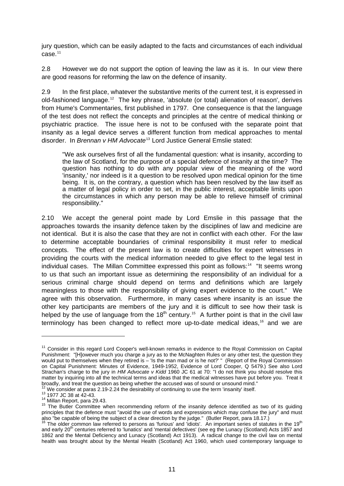jury question, which can be easily adapted to the facts and circumstances of each individual case.[11](#page-16-0)

2.8 However we do not support the option of leaving the law as it is. In our view there are good reasons for reforming the law on the defence of insanity.

2.9 In the first place, whatever the substantive merits of the current test, it is expressed in old-fashioned language.[12](#page-16-1) The key phrase, 'absolute (or total) alienation of reason', derives from Hume's Commentaries, first published in 1797. One consequence is that the language of the test does not reflect the concepts and principles at the centre of medical thinking or psychiatric practice. The issue here is not to be confused with the separate point that insanity as a legal device serves a different function from medical approaches to mental disorder. In *Brennan v HM Advocate*[13](#page-16-2) Lord Justice General Emslie stated:

"We ask ourselves first of all the fundamental question: what is insanity, according to the law of Scotland, for the purpose of a special defence of insanity at the time? The question has nothing to do with any popular view of the meaning of the word 'insanity,' nor indeed is it a question to be resolved upon medical opinion for the time being. It is, on the contrary, a question which has been resolved by the law itself as a matter of legal policy in order to set, in the public interest, acceptable limits upon the circumstances in which any person may be able to relieve himself of criminal responsibility."

2.10 We accept the general point made by Lord Emslie in this passage that the approaches towards the insanity defence taken by the disciplines of law and medicine are not identical. But it is also the case that they are not in conflict with each other. For the law to determine acceptable boundaries of criminal responsibility it must refer to medical concepts. The effect of the present law is to create difficulties for expert witnesses in providing the courts with the medical information needed to give effect to the legal test in individual cases. The Millan Committee expressed this point as follows:<sup>[14](#page-16-3)</sup> "It seems wrong to us that such an important issue as determining the responsibility of an individual for a serious criminal charge should depend on terms and definitions which are largely meaningless to those with the responsibility of giving expert evidence to the court." We agree with this observation. Furthermore, in many cases where insanity is an issue the other key participants are members of the jury and it is difficult to see how their task is helped by the use of language from the  $18<sup>th</sup>$  century.<sup>[15](#page-16-4)</sup> A further point is that in the civil law terminology has been changed to reflect more up-to-date medical ideas,<sup>[16](#page-16-5)</sup> and we are

<span id="page-16-0"></span><sup>&</sup>lt;sup>11</sup> Consider in this regard Lord Cooper's well-known remarks in evidence to the Royal Commission on Capital Punishment: "[H]owever much you charge a jury as to the McNaghten Rules or any other test, the question they would put to themselves when they retired is – 'Is the man mad or is he not?' " (Report of the Royal Commission on Capital Punishment: Minutes of Evidence, 1949-1952, Evidence of Lord Cooper, Q 5479.) See also Lord Strachan's charge to the jury in *HM Advocate v Kidd* 1960 JC 61 at 70: "I do not think you should resolve this matter by inquiring into all the technical terms and ideas that the medical witnesses have put before you. Treat it<br>broadly, and treat the question as being whether the accused was of sound or unsound mind."

<span id="page-16-3"></span>

<span id="page-16-2"></span><span id="page-16-1"></span><sup>&</sup>lt;sup>12</sup> We consider at paras 2.19-2.24 the desirability of continuing to use the term 'insanity' itself.<br><sup>13</sup> 1977 JC 38 at 42-43.<br><sup>14</sup> Millan Report, para 29.43.<br><sup>15</sup> The Butler Committee when recommending reform of the ins principles that the defence must "avoid the use of words and expressions which may confuse the jury" and must

<span id="page-16-5"></span><span id="page-16-4"></span>also "be capable of being the subject of a clear direction by the judge." (Butler Report, para 18.17.) <sup>16</sup> The older common law referred to persons as 'furious' and 'idiots'. An important series of statutes in the 19<sup>th</sup> and early 20<sup>th</sup> centuries referred to 'lunatics' and 'mental defectives' (see eg the Lunacy (Scotland) Acts 1857 and 1862 and the Mental Deficiency and Lunacy (Scotland) Act 1913). A radical change to the civil law on mental health was brought about by the Mental Health (Scotland) Act 1960, which used contemporary language to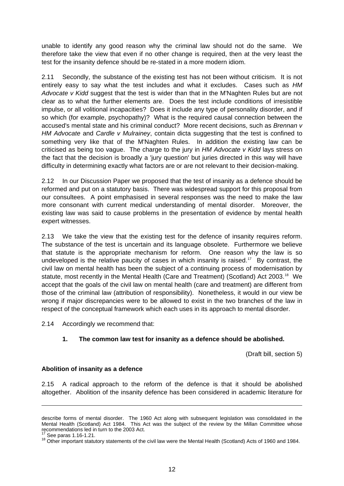unable to identify any good reason why the criminal law should not do the same. We therefore take the view that even if no other change is required, then at the very least the test for the insanity defence should be re-stated in a more modern idiom.

2.11 Secondly, the substance of the existing test has not been without criticism. It is not entirely easy to say what the test includes and what it excludes. Cases such as *HM Advocate v Kidd* suggest that the test is wider than that in the M'Naghten Rules but are not clear as to what the further elements are. Does the test include conditions of irresistible impulse, or all volitional incapacities? Does it include any type of personality disorder, and if so which (for example, psychopathy)? What is the required causal connection between the accused's mental state and his criminal conduct? More recent decisions, such as *Brennan v HM Advocate* and *Cardle v Mulrainey*, contain dicta suggesting that the test is confined to something very like that of the M'Naghten Rules. In addition the existing law can be criticised as being too vague. The charge to the jury in *HM Advocate v Kidd* lays stress on the fact that the decision is broadly a 'jury question' but juries directed in this way will have difficulty in determining exactly what factors are or are not relevant to their decision-making.

2.12 In our Discussion Paper we proposed that the test of insanity as a defence should be reformed and put on a statutory basis. There was widespread support for this proposal from our consultees. A point emphasised in several responses was the need to make the law more consonant with current medical understanding of mental disorder. Moreover, the existing law was said to cause problems in the presentation of evidence by mental health expert witnesses.

2.13 We take the view that the existing test for the defence of insanity requires reform. The substance of the test is uncertain and its language obsolete. Furthermore we believe that statute is the appropriate mechanism for reform. One reason why the law is so undeveloped is the relative paucity of cases in which insanity is raised.<sup>[17](#page-17-0)</sup> By contrast, the civil law on mental health has been the subject of a continuing process of modernisation by statute, most recently in the Mental Health (Care and Treatment) (Scotland) Act 2003.<sup>[18](#page-17-1)</sup> We accept that the goals of the civil law on mental health (care and treatment) are different from those of the criminal law (attribution of responsibility). Nonetheless, it would in our view be wrong if major discrepancies were to be allowed to exist in the two branches of the law in respect of the conceptual framework which each uses in its approach to mental disorder.

2.14 Accordingly we recommend that:

#### **1. The common law test for insanity as a defence should be abolished.**

(Draft bill, section 5)

#### **Abolition of insanity as a defence**

2.15 A radical approach to the reform of the defence is that it should be abolished altogether. Abolition of the insanity defence has been considered in academic literature for

describe forms of mental disorder. The 1960 Act along with subsequent legislation was consolidated in the Mental Health (Scotland) Act 1984. This Act was the subject of the review by the Millan Committee whose recommendations led in turn to the 2003 Act.

<span id="page-17-1"></span><span id="page-17-0"></span><sup>&</sup>lt;sup>17</sup> See paras 1.16-1.21.<br><sup>18</sup> Other important statutory statements of the civil law were the Mental Health (Scotland) Acts of 1960 and 1984.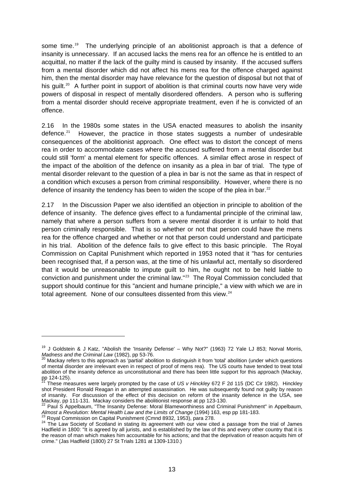some time.<sup>[19](#page-18-0)</sup> The underlying principle of an abolitionist approach is that a defence of insanity is unnecessary. If an accused lacks the mens rea for an offence he is entitled to an acquittal, no matter if the lack of the guilty mind is caused by insanity. If the accused suffers from a mental disorder which did not affect his mens rea for the offence charged against him, then the mental disorder may have relevance for the question of disposal but not that of his quilt.<sup>[20](#page-18-1)</sup> A further point in support of abolition is that criminal courts now have very wide powers of disposal in respect of mentally disordered offenders. A person who is suffering from a mental disorder should receive appropriate treatment, even if he is convicted of an offence.

2.16 In the 1980s some states in the USA enacted measures to abolish the insanity defence.<sup>[21](#page-18-2)</sup> However, the practice in those states suggests a number of undesirable consequences of the abolitionist approach. One effect was to distort the concept of mens rea in order to accommodate cases where the accused suffered from a mental disorder but could still 'form' a mental element for specific offences. A similar effect arose in respect of the impact of the abolition of the defence on insanity as a plea in bar of trial. The type of mental disorder relevant to the question of a plea in bar is not the same as that in respect of a condition which excuses a person from criminal responsibility. However, where there is no defence of insanity the tendency has been to widen the scope of the plea in bar.<sup>[22](#page-18-3)</sup>

2.17 In the Discussion Paper we also identified an objection in principle to abolition of the defence of insanity. The defence gives effect to a fundamental principle of the criminal law, namely that where a person suffers from a severe mental disorder it is unfair to hold that person criminally responsible. That is so whether or not that person could have the mens rea for the offence charged and whether or not that person could understand and participate in his trial. Abolition of the defence fails to give effect to this basic principle. The Royal Commission on Capital Punishment which reported in 1953 noted that it "has for centuries been recognised that, if a person was, at the time of his unlawful act, mentally so disordered that it would be unreasonable to impute guilt to him, he ought not to be held liable to conviction and punishment under the criminal law."[23](#page-18-4) The Royal Commission concluded that support should continue for this "ancient and humane principle," a view with which we are in total agreement. None of our consultees dissented from this view.<sup>[24](#page-18-5)</sup>

<span id="page-18-0"></span><sup>&</sup>lt;sup>19</sup> J Goldstein & J Katz, "Abolish the 'Insanity Defense' – Why Not?" (1963) 72 Yale LJ 853; Norval Morris, *Madness and the Criminal Law* (1982), pp 53-76.

<span id="page-18-1"></span>Mackay refers to this approach as 'partial' abolition to distinguish it from 'total' abolition (under which questions of mental disorder are irrelevant even in respect of proof of mens rea). The US courts have tended to treat total abolition of the insanity defence as unconstitutional and there has been little support for this approach (Mackay, pp 124-125).<br>21 -

<span id="page-18-2"></span><sup>21</sup> These measures were largely prompted by the case of *US v Hinckley* 672 F 2d 115 (DC Cir 1982). Hinckley shot President Ronald Reagan in an attempted assassination. He was subsequently found not guilty by reason of insanity. For discussion of the effect of this decision on reform of the insanity defence in the USA, see<br>Mackay, pp 111-131. Mackay considers the abolitionist response at pp 123-130.

<span id="page-18-3"></span> $^2$  Paul S Appelbaum, "The Insanity Defense: Moral Blameworthiness and Criminal Punishment" in Appelbaum, Almost a Revolution: Mental Health Law and the Limits of Change (1994) 163, esp pp 181-183.<br><sup>23</sup> Royal Commission on Capital Punishment (Cmnd 8932, 1953), para 278.<br><sup>24</sup> The Law Society of Scotland in stating its agreement

<span id="page-18-5"></span><span id="page-18-4"></span>Hadfield in 1800: "It is agreed by all jurists, and is established by the law of this and every other country that it is the reason of man which makes him accountable for his actions; and that the deprivation of reason acquits him of crime." (Jas Hadfield (1800) 27 St Trials 1281 at 1309-1310.)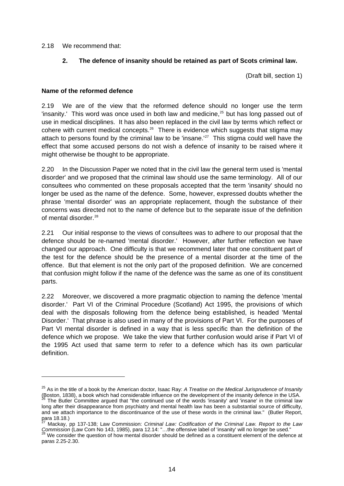2.18 We recommend that:

#### **2. The defence of insanity should be retained as part of Scots criminal law.**

(Draft bill, section 1)

#### **Name of the reformed defence**

2.19 We are of the view that the reformed defence should no longer use the term 'insanity.' This word was once used in both law and medicine, $25$  but has long passed out of use in medical disciplines. It has also been replaced in the civil law by terms which reflect or cohere with current medical concepts.<sup>[26](#page-19-1)</sup> There is evidence which suggests that stigma may attach to persons found by the criminal law to be 'insane.<sup>'[27](#page-19-2)</sup> This stigma could well have the effect that some accused persons do not wish a defence of insanity to be raised where it might otherwise be thought to be appropriate.

2.20 In the Discussion Paper we noted that in the civil law the general term used is 'mental disorder' and we proposed that the criminal law should use the same terminology. All of our consultees who commented on these proposals accepted that the term 'insanity' should no longer be used as the name of the defence. Some, however, expressed doubts whether the phrase 'mental disorder' was an appropriate replacement, though the substance of their concerns was directed not to the name of defence but to the separate issue of the definition of mental disorder.<sup>[28](#page-19-3)</sup>

2.21 Our initial response to the views of consultees was to adhere to our proposal that the defence should be re-named 'mental disorder.' However, after further reflection we have changed our approach. One difficulty is that we recommend later that one constituent part of the test for the defence should be the presence of a mental disorder at the time of the offence. But that element is not the only part of the proposed definition. We are concerned that confusion might follow if the name of the defence was the same as one of its constituent parts.

2.22 Moreover, we discovered a more pragmatic objection to naming the defence 'mental disorder.' Part VI of the Criminal Procedure (Scotland) Act 1995, the provisions of which deal with the disposals following from the defence being established, is headed 'Mental Disorder.' That phrase is also used in many of the provisions of Part VI. For the purposes of Part VI mental disorder is defined in a way that is less specific than the definition of the defence which we propose. We take the view that further confusion would arise if Part VI of the 1995 Act used that same term to refer to a defence which has its own particular definition.

<span id="page-19-0"></span><sup>25</sup> As in the title of a book by the American doctor, Isaac Ray: *A Treatise on the Medical Jurisprudence of Insanity* (Boston, 1838), a book which had considerable influence on the development of the insanity defence in the USA. <sup>26</sup> The Butler Committee argued that "the continued use of the words 'insanity' and 'insane' in the criminal l long after their disappearance from psychiatry and mental health law has been a substantial source of difficulty,

<span id="page-19-1"></span>and we attach importance to the discontinuance of the use of these words in the criminal law." (Butler Report, para 18.18.) 27 Mackay, pp 137-138; Law Commission: *Criminal Law: Codification of the Criminal Law. Report to the Law*

<span id="page-19-2"></span>Commission (Law Com No 143, 1985), para 12.14: "...the offensive label of 'insanity' will no longer be used."<br><sup>28</sup> We consider the question of how mental disorder should be defined as a constituent element of the defence a

<span id="page-19-3"></span>paras 2.25-2.30.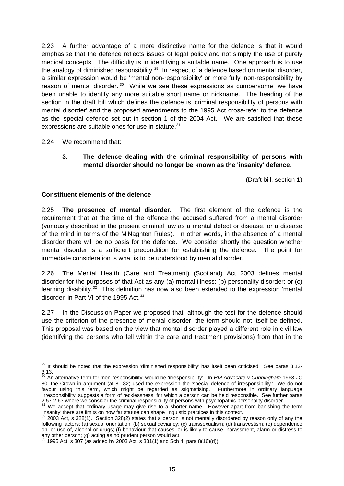2.23 A further advantage of a more distinctive name for the defence is that it would emphasise that the defence reflects issues of legal policy and not simply the use of purely medical concepts. The difficulty is in identifying a suitable name. One approach is to use the analogy of diminished responsibility.<sup>[29](#page-20-0)</sup> In respect of a defence based on mental disorder, a similar expression would be 'mental non-responsibility' or more fully 'non-responsibility by reason of mental disorder.<sup>1[30](#page-20-1)</sup> While we see these expressions as cumbersome, we have been unable to identify any more suitable short name or nickname. The heading of the section in the draft bill which defines the defence is 'criminal responsibility of persons with mental disorder' and the proposed amendments to the 1995 Act cross-refer to the defence as the 'special defence set out in section 1 of the 2004 Act.' We are satisfied that these expressions are suitable ones for use in statute.<sup>[31](#page-20-2)</sup>

2.24 We recommend that:

-

#### **3. The defence dealing with the criminal responsibility of persons with mental disorder should no longer be known as the 'insanity' defence.**

(Draft bill, section 1)

#### **Constituent elements of the defence**

2.25 **The presence of mental disorder.** The first element of the defence is the requirement that at the time of the offence the accused suffered from a mental disorder (variously described in the present criminal law as a mental defect or disease, or a disease of the mind in terms of the M'Naghten Rules). In other words, in the absence of a mental disorder there will be no basis for the defence. We consider shortly the question whether mental disorder is a sufficient precondition for establishing the defence. The point for immediate consideration is what is to be understood by mental disorder.

2.26 The Mental Health (Care and Treatment) (Scotland) Act 2003 defines mental disorder for the purposes of that Act as any (a) mental illness; (b) personality disorder; or (c) learning disability.<sup>[32](#page-20-3)</sup> This definition has now also been extended to the expression 'mental disorder' in Part VI of the 1995 Act.<sup>[33](#page-20-4)</sup>

2.27 In the Discussion Paper we proposed that, although the test for the defence should use the criterion of the presence of mental disorder, the term should not itself be defined. This proposal was based on the view that mental disorder played a different role in civil law (identifying the persons who fell within the care and treatment provisions) from that in the

<span id="page-20-0"></span><sup>&</sup>lt;sup>29</sup> It should be noted that the expression 'diminished responsibility' has itself been criticised. See paras 3.12-3.13. 30 An alternative term for 'non-responsibility' would be 'irresponsibility'. In *HM Advocate v Cunningham* 1963 JC

<span id="page-20-1"></span><sup>80,</sup> the Crown in argument (at 81-82) used the expression the 'special defence of irresponsibility.' We do not favour using this term, which might be regarded as stigmatising. Furthermore in ordinary language 'irresponsibility' suggests a form of recklessness, for which a person can be held responsible. See further paras 2.57-2.63 where we consider the criminal responsibility of persons with psychopathic personality disorder.<br><sup>31</sup> We accept that ordinary usage may give rise to a shorter name. However apart from banishing the term

<span id="page-20-2"></span><sup>&#</sup>x27;insanity' there are limits on how far statute can shape linguistic practices in this context. 32 2003 Act, s 328(1). Section 328(2) states that a person is not mentally disordered by reason only of any the

<span id="page-20-3"></span>following factors: (a) sexual orientation; (b) sexual deviancy; (c) transsexualism; (d) transvestism; (e) dependence on, or use of, alcohol or drugs; (f) behaviour that causes, or is likely to cause, harassment, alarm or distress to any other person; (g) acting as no prudent person would act.<br><sup>33</sup> 1995 Act, s 307 (as added by 2003 Act, s 331(1) and Sch 4, para 8(16)(d)).

<span id="page-20-4"></span>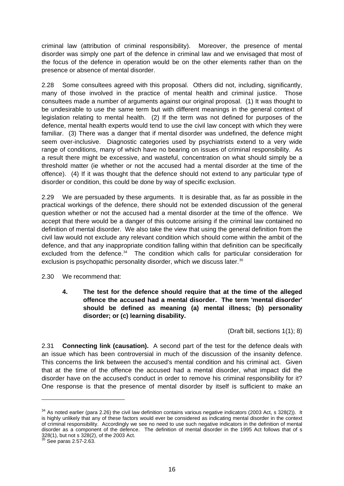criminal law (attribution of criminal responsibility). Moreover, the presence of mental disorder was simply one part of the defence in criminal law and we envisaged that most of the focus of the defence in operation would be on the other elements rather than on the presence or absence of mental disorder.

2.28 Some consultees agreed with this proposal. Others did not, including, significantly, many of those involved in the practice of mental health and criminal justice. Those consultees made a number of arguments against our original proposal. (1) It was thought to be undesirable to use the same term but with different meanings in the general context of legislation relating to mental health. (2) If the term was not defined for purposes of the defence, mental health experts would tend to use the civil law concept with which they were familiar. (3) There was a danger that if mental disorder was undefined, the defence might seem over-inclusive. Diagnostic categories used by psychiatrists extend to a very wide range of conditions, many of which have no bearing on issues of criminal responsibility. As a result there might be excessive, and wasteful, concentration on what should simply be a threshold matter (ie whether or not the accused had a mental disorder at the time of the offence). (4) If it was thought that the defence should not extend to any particular type of disorder or condition, this could be done by way of specific exclusion.

2.29 We are persuaded by these arguments. It is desirable that, as far as possible in the practical workings of the defence, there should not be extended discussion of the general question whether or not the accused had a mental disorder at the time of the offence. We accept that there would be a danger of this outcome arising if the criminal law contained no definition of mental disorder. We also take the view that using the general definition from the civil law would not exclude any relevant condition which should come within the ambit of the defence, and that any inappropriate condition falling within that definition can be specifically excluded from the defence.<sup>[34](#page-21-0)</sup> The condition which calls for particular consideration for exclusion is psychopathic personality disorder, which we discuss later.<sup>[35](#page-21-1)</sup>

2.30 We recommend that:

**4. The test for the defence should require that at the time of the alleged offence the accused had a mental disorder. The term 'mental disorder' should be defined as meaning (a) mental illness; (b) personality disorder; or (c) learning disability.** 

(Draft bill, sections 1(1); 8)

2.31 **Connecting link (causation).** A second part of the test for the defence deals with an issue which has been controversial in much of the discussion of the insanity defence. This concerns the link between the accused's mental condition and his criminal act. Given that at the time of the offence the accused had a mental disorder, what impact did the disorder have on the accused's conduct in order to remove his criminal responsibility for it? One response is that the presence of mental disorder by itself is sufficient to make an

<span id="page-21-0"></span> $34$  As noted earlier (para 2.26) the civil law definition contains various negative indicators (2003 Act, s 328(2)). It is highly unlikely that any of these factors would ever be considered as indicating mental disorder in the context of criminal responsibility. Accordingly we see no need to use such negative indicators in the definition of mental disorder as a component of the defence. The definition of mental disorder in the 1995 Act follows that of s 328(1), but not s 328(2), of the 2003 Act. 35 See paras 2.57-2.63.

<span id="page-21-1"></span>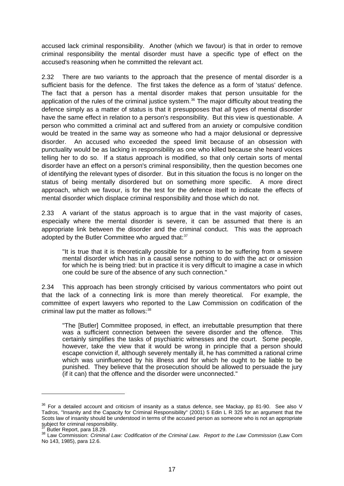accused lack criminal responsibility. Another (which we favour) is that in order to remove criminal responsibility the mental disorder must have a specific type of effect on the accused's reasoning when he committed the relevant act.

2.32 There are two variants to the approach that the presence of mental disorder is a sufficient basis for the defence. The first takes the defence as a form of 'status' defence. The fact that a person has a mental disorder makes that person unsuitable for the application of the rules of the criminal justice system.<sup>[36](#page-22-0)</sup> The major difficulty about treating the defence simply as a matter of status is that it presupposes that *all* types of mental disorder have the same effect in relation to a person's responsibility. But this view is questionable. A person who committed a criminal act and suffered from an anxiety or compulsive condition would be treated in the same way as someone who had a major delusional or depressive disorder. An accused who exceeded the speed limit because of an obsession with punctuality would be as lacking in responsibility as one who killed because she heard voices telling her to do so. If a status approach is modified, so that only certain sorts of mental disorder have an effect on a person's criminal responsibility, then the question becomes one of identifying the relevant types of disorder. But in this situation the focus is no longer on the status of being mentally disordered but on something more specific. A more direct approach, which we favour, is for the test for the defence itself to indicate the effects of mental disorder which displace criminal responsibility and those which do not.

2.33 A variant of the status approach is to argue that in the vast majority of cases, especially where the mental disorder is severe, it can be assumed that there is an appropriate link between the disorder and the criminal conduct. This was the approach adopted by the Butler Committee who argued that:<sup>[37](#page-22-1)</sup>

"It is true that it is theoretically possible for a person to be suffering from a severe mental disorder which has in a causal sense nothing to do with the act or omission for which he is being tried: but in practice it is very difficult to imagine a case in which one could be sure of the absence of any such connection."

2.34 This approach has been strongly criticised by various commentators who point out that the lack of a connecting link is more than merely theoretical. For example, the committee of expert lawyers who reported to the Law Commission on codification of the criminal law put the matter as follows: [38](#page-22-2)

"The [Butler] Committee proposed, in effect, an irrebuttable presumption that there was a sufficient connection between the severe disorder and the offence. This certainly simplifies the tasks of psychiatric witnesses and the court. Some people, however, take the view that it would be wrong in principle that a person should escape conviction if, although severely mentally ill, he has committed a rational crime which was uninfluenced by his illness and for which he ought to be liable to be punished. They believe that the prosecution should be allowed to persuade the jury (if it can) that the offence and the disorder were unconnected."

<span id="page-22-0"></span><sup>&</sup>lt;sup>36</sup> For a detailed account and criticism of insanity as a status defence, see Mackay, pp 81-90. See also V Tadros, "Insanity and the Capacity for Criminal Responsibility" (2001) 5 Edin L R 325 for an argument that the Scots law of insanity should be understood in terms of the accused person as someone who is not an appropriate subject for criminal responsibility.<br><sup>37</sup> Butler Report, para 18.29.

<span id="page-22-2"></span><span id="page-22-1"></span><sup>37</sup> Butler Report, para 18.29. 38 Law Commission: *Criminal Law: Codification of the Criminal Law. Report to the Law Commission* (Law Com No 143, 1985), para 12.6.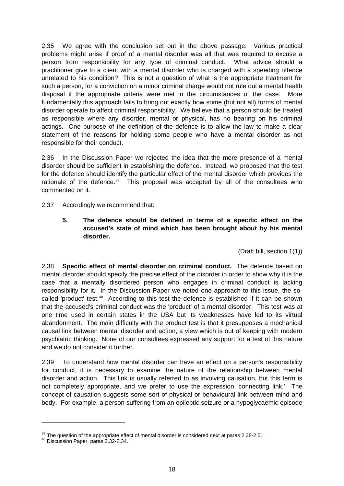2.35 We agree with the conclusion set out in the above passage. Various practical problems might arise if proof of a mental disorder was all that was required to excuse a person from responsibility for any type of criminal conduct. What advice should a practitioner give to a client with a mental disorder who is charged with a speeding offence unrelated to his condition? This is not a question of what is the appropriate treatment for such a person, for a conviction on a minor criminal charge would not rule out a mental health disposal if the appropriate criteria were met in the circumstances of the case. More fundamentally this approach fails to bring out exactly how some (but not all) forms of mental disorder operate to affect criminal responsibility. We believe that a person should be treated as responsible where any disorder, mental or physical, has no bearing on his criminal actings. One purpose of the definition of the defence is to allow the law to make a clear statement of the reasons for holding some people who have a mental disorder as not responsible for their conduct.

2.36 In the Discussion Paper we rejected the idea that the mere presence of a mental disorder should be sufficient in establishing the defence. Instead, we proposed that the test for the defence should identify the particular effect of the mental disorder which provides the rationale of the defence.<sup>[39](#page-23-0)</sup> This proposal was accepted by all of the consultees who commented on it.

2.37 Accordingly we recommend that:

**5. The defence should be defined in terms of a specific effect on the accused's state of mind which has been brought about by his mental disorder.** 

(Draft bill, section 1(1))

2.38 **Specific effect of mental disorder on criminal conduct.** The defence based on mental disorder should specify the precise effect of the disorder in order to show why it is the case that a mentally disordered person who engages in criminal conduct is lacking responsibility for it. In the Discussion Paper we noted one approach to this issue, the so-called 'product' test.<sup>[40](#page-23-1)</sup> According to this test the defence is established if it can be shown that the accused's criminal conduct was the 'product' of a mental disorder. This test was at one time used in certain states in the USA but its weaknesses have led to its virtual abandonment. The main difficulty with the product test is that it presupposes a mechanical causal link between mental disorder and action, a view which is out of keeping with modern psychiatric thinking. None of our consultees expressed any support for a test of this nature and we do not consider it further.

2.39 To understand how mental disorder can have an effect on a person's responsibility for conduct, it is necessary to examine the nature of the relationship between mental disorder and action. This link is usually referred to as involving causation, but this term is not completely appropriate, and we prefer to use the expression 'connecting link.' The concept of causation suggests some sort of physical or behavioural link between mind and body. For example, a person suffering from an epileptic seizure or a hypoglycaemic episode

<span id="page-23-1"></span><span id="page-23-0"></span> $39$  The question of the appropriate effect of mental disorder is considered next at paras 2.38-2.51.<br><sup>40</sup> Discussion Paper, paras 2.32-2.34.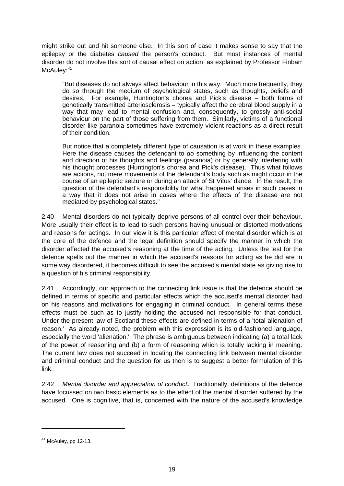might strike out and hit someone else. In this sort of case it makes sense to say that the epilepsy or the diabetes *caused* the person's conduct. But most instances of mental disorder do not involve this sort of causal effect on action, as explained by Professor Finbarr McAuley: [41](#page-24-0)

"But diseases do not always affect behaviour in this way. Much more frequently, they do so through the medium of psychological states, such as thoughts, beliefs and desires. For example, Huntington's chorea and Pick's disease – both forms of genetically transmitted arteriosclerosis – typically affect the cerebral blood supply in a way that may lead to mental confusion and, consequently, to grossly anti-social behaviour on the part of those suffering from them. Similarly, victims of a functional disorder like paranoia sometimes have extremely violent reactions as a direct result of their condition.

But notice that a completely different type of causation is at work in these examples. Here the disease causes the defendant to *do* something by influencing the content and direction of his thoughts and feelings (paranoia) or by generally interfering with his thought processes (Huntington's chorea and Pick's disease). Thus what follows are actions, not mere movements of the defendant's body such as might occur in the course of an epileptic seizure or during an attack of St Vitus' dance. In the result, the question of the defendant's responsibility for what happened arises in such cases in a way that it does not arise in cases where the effects of the disease are not mediated by psychological states."

2.40 Mental disorders do not typically deprive persons of all control over their behaviour. More usually their effect is to lead to such persons having unusual or distorted motivations and reasons for actings. In our view it is this particular effect of mental disorder which is at the core of the defence and the legal definition should specify the manner in which the disorder affected the accused's reasoning at the time of the acting. Unless the test for the defence spells out the manner in which the accused's reasons for acting as he did are in some way disordered, it becomes difficult to see the accused's mental state as giving rise to a question of his criminal responsibility.

2.41 Accordingly, our approach to the connecting link issue is that the defence should be defined in terms of specific and particular effects which the accused's mental disorder had on his reasons and motivations for engaging in criminal conduct. In general terms these effects must be such as to justify holding the accused not responsible for that conduct. Under the present law of Scotland these effects are defined in terms of a 'total alienation of reason.' As already noted, the problem with this expression is its old-fashioned language, especially the word 'alienation.' The phrase is ambiguous between indicating (a) a total lack of the power of reasoning and (b) a form of reasoning which is totally lacking in meaning. The current law does not succeed in locating the connecting link between mental disorder and criminal conduct and the question for us then is to suggest a better formulation of this link.

2.42 *Mental disorder and appreciation of conduct***.** Traditionally, definitions of the defence have focussed on two basic elements as to the effect of the mental disorder suffered by the accused. One is cognitive, that is, concerned with the nature of the accused's knowledge

<span id="page-24-0"></span> $41$  McAuley, pp 12-13.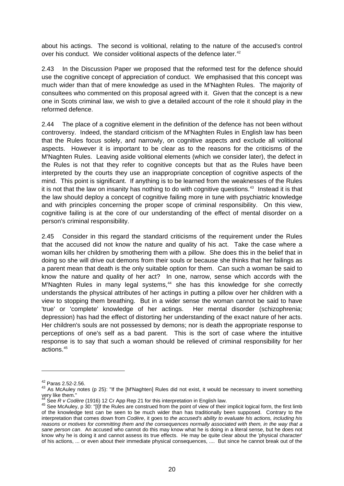about his actings. The second is volitional, relating to the nature of the accused's control over his conduct. We consider volitional aspects of the defence later.<sup>[42](#page-25-0)</sup>

2.43 In the Discussion Paper we proposed that the reformed test for the defence should use the cognitive concept of appreciation of conduct. We emphasised that this concept was much wider than that of mere knowledge as used in the M'Naghten Rules. The majority of consultees who commented on this proposal agreed with it. Given that the concept is a new one in Scots criminal law, we wish to give a detailed account of the role it should play in the reformed defence.

2.44 The place of a cognitive element in the definition of the defence has not been without controversy. Indeed, the standard criticism of the M'Naghten Rules in English law has been that the Rules focus solely, and narrowly, on cognitive aspects and exclude all volitional aspects. However it is important to be clear as to the reasons for the criticisms of the M'Naghten Rules. Leaving aside volitional elements (which we consider later), the defect in the Rules is not that they refer to cognitive concepts but that as the Rules have been interpreted by the courts they use an inappropriate conception of cognitive aspects of the mind. This point is significant. If anything is to be learned from the weaknesses of the Rules it is not that the law on insanity has nothing to do with cognitive questions.<sup>[43](#page-25-1)</sup> Instead it is that the law should deploy a concept of cognitive failing more in tune with psychiatric knowledge and with principles concerning the proper scope of criminal responsibility. On this view, cognitive failing is at the core of our understanding of the effect of mental disorder on a person's criminal responsibility.

2.45 Consider in this regard the standard criticisms of the requirement under the Rules that the accused did not know the nature and quality of his act. Take the case where a woman kills her children by smothering them with a pillow. She does this in the belief that in doing so she will drive out demons from their souls or because she thinks that her failings as a parent mean that death is the only suitable option for them. Can such a woman be said to know the nature and quality of her act? In one, narrow, sense which accords with the M'Naghten Rules in many legal systems,<sup>[44](#page-25-2)</sup> she has this knowledge for she correctly understands the physical attributes of her actings in putting a pillow over her children with a view to stopping them breathing. But in a wider sense the woman cannot be said to have 'true' or 'complete' knowledge of her actings. Her mental disorder (schizophrenia; depression) has had the effect of distorting her understanding of the exact nature of her acts. Her children's souls are not possessed by demons; nor is death the appropriate response to perceptions of one's self as a bad parent. This is the sort of case where the intuitive response is to say that such a woman should be relieved of criminal responsibility for her actions.[45](#page-25-3)

<span id="page-25-1"></span><span id="page-25-0"></span><sup>&</sup>lt;sup>42</sup> Paras 2.52-2.56.<br><sup>43</sup> As McAuley notes (p 25): "If the [M'Naghten] Rules did not exist, it would be necessary to invent something very like them."<br><sup>44</sup> See R v Codère (1916) 12 Cr App Rep 21 for this interpretation in English law.

<span id="page-25-3"></span><span id="page-25-2"></span><sup>&</sup>lt;sup>45</sup> See McAuley, p 30: "[I]f the Rules are construed from the point of view of their implicit logical form, the first limb of the knowledge test can be seen to be much wider than has traditionally been supposed. Contrary to the interpretation that comes down from *Codère*, it goes to *the accused's ability to evaluate his actions, including his reasons or motives for committing them and the consequences normally associated with them, in the way that a sane person can*. An accused who cannot do this may know what he is doing in a literal sense, but he does not know why he is doing it and cannot assess its true effects. He may be quite clear about the 'physical character' of his actions, ... or even about their immediate physical consequences, .... But since he cannot break out of the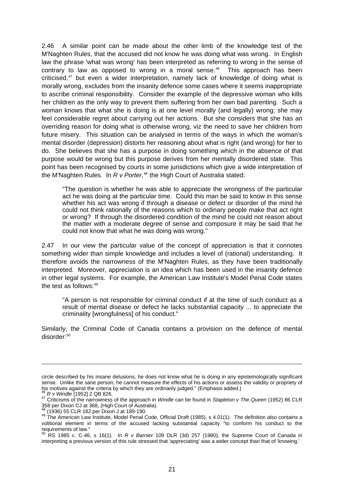2.46 A similar point can be made about the other limb of the knowledge test of the M'Naghten Rules, that the accused did not know he was doing what was wrong. In English law the phrase 'what was wrong' has been interpreted as referring to wrong in the sense of contrary to law as opposed to wrong in a moral sense. $46$  This approach has been criticised,<sup>[47](#page-26-1)</sup> but even a wider interpretation, namely lack of knowledge of doing what is morally wrong, excludes from the insanity defence some cases where it seems inappropriate to ascribe criminal responsibility. Consider the example of the depressive woman who kills her children as the only way to prevent them suffering from her own bad parenting. Such a woman knows that what she is doing is at one level morally (and legally) wrong; she may feel considerable regret about carrying out her actions. But she considers that she has an overriding reason for doing what is otherwise wrong, viz the need to save her children from future misery. This situation can be analysed in terms of the ways in which the woman's mental disorder (depression) distorts her reasoning about what is right (and wrong) for her to do. She believes that she has a purpose in doing something which in the absence of that purpose would be wrong but this purpose derives from her mentally disordered state. This point has been recognised by courts in some jurisdictions which give a wide interpretation of the M'Naghten Rules. In *R v Porter*, [48](#page-26-2) the High Court of Australia stated:

"The question is whether he was able to appreciate the wrongness of the particular act he was doing at the particular time. Could this man be said to know in this sense whether his act was wrong if through a disease or defect or disorder of the mind he could not think rationally of the reasons which to ordinary people make that act right or wrong? If through the disordered condition of the mind he could not reason about the matter with a moderate degree of sense and composure it may be said that he could not know that what he was doing was wrong."

2.47 In our view the particular value of the concept of appreciation is that it connotes something wider than simple knowledge and includes a level of (rational) understanding. It therefore avoids the narrowness of the M'Naghten Rules, as they have been traditionally interpreted. Moreover, appreciation is an idea which has been used in the insanity defence in other legal systems. For example, the American Law Institute's Model Penal Code states the test as follows: $49$ 

"A person is not responsible for criminal conduct if at the time of such conduct as a result of mental disease or defect he lacks substantial capacity ... to appreciate the criminality [wrongfulness] of his conduct."

Similarly, the Criminal Code of Canada contains a provision on the defence of mental disorder:<sup>[50](#page-26-4)</sup>

circle described by his insane delusions, he does not know what he is doing in any epistemologically significant sense. Unlike the sane person, he cannot measure the effects of his actions or assess the validity or propriety of

<span id="page-26-0"></span>his motives against the criteria by which they are ordinarily judged." (Emphasis added.)<br>
<sup>46</sup> R v Windle [1952] 2 QB 826.<br>
<sup>47</sup> Criticisms of the narrowness of the approach in Windle can be found in Stapleton v The Queen

<span id="page-26-3"></span><span id="page-26-2"></span><span id="page-26-1"></span> $^{48}$  (1936) 55 CLR 182 per Dixon J at 189-190.<br> $^{49}$  The American Law Institute, Model Penal Code, Official Draft (1985), s 4.01(1). The definition also contains a volitional element in terms of the accused lacking substantial capacity "to conform his conduct to the requirements of law."

<span id="page-26-4"></span><sup>50</sup> RS 1985 c. C-46, s 16(1). In *R v Barnier* 109 DLR (3d) 257 (1980), the Supreme Court of Canada in interpreting a previous version of this rule stressed that 'appreciating' was a wider concept than that of 'knowing.'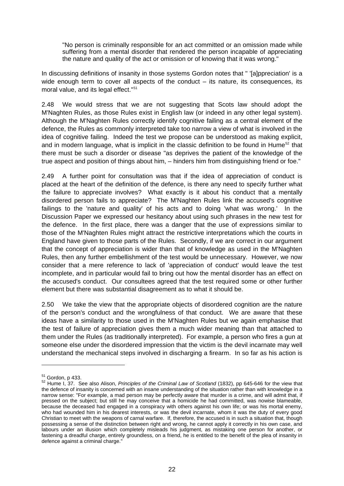"No person is criminally responsible for an act committed or an omission made while suffering from a mental disorder that rendered the person incapable of appreciating the nature and quality of the act or omission or of knowing that it was wrong."

In discussing definitions of insanity in those systems Gordon notes that " '[a]ppreciation' is a wide enough term to cover all aspects of the conduct – its nature, its consequences, its moral value, and its legal effect."<sup>[51](#page-27-0)</sup>

2.48 We would stress that we are not suggesting that Scots law should adopt the M'Naghten Rules, as those Rules exist in English law (or indeed in any other legal system). Although the M'Naghten Rules correctly identify cognitive failing as a central element of the defence, the Rules as commonly interpreted take too narrow a view of what is involved in the idea of cognitive failing. Indeed the test we propose can be understood as making explicit, and in modern language, what is implicit in the classic definition to be found in Hume<sup>[52](#page-27-1)</sup> that there must be such a disorder or disease "as deprives the patient of the knowledge of the true aspect and position of things about him, – hinders him from distinguishing friend or foe."

2.49 A further point for consultation was that if the idea of appreciation of conduct is placed at the heart of the definition of the defence, is there any need to specify further what the failure to appreciate involves? What exactly is it about his conduct that a mentally disordered person fails to appreciate? The M'Naghten Rules link the accused's cognitive failings to the 'nature and quality' of his acts and to doing 'what was wrong.' In the Discussion Paper we expressed our hesitancy about using such phrases in the new test for the defence. In the first place, there was a danger that the use of expressions similar to those of the M'Naghten Rules might attract the restrictive interpretations which the courts in England have given to those parts of the Rules. Secondly, if we are correct in our argument that the concept of appreciation is wider than that of knowledge as used in the M'Naghten Rules, then any further embellishment of the test would be unnecessary. However, we now consider that a mere reference to lack of 'appreciation of conduct' would leave the test incomplete, and in particular would fail to bring out how the mental disorder has an effect on the accused's conduct. Our consultees agreed that the test required some or other further element but there was substantial disagreement as to what it should be.

2.50 We take the view that the appropriate objects of disordered cognition are the nature of the person's conduct and the wrongfulness of that conduct. We are aware that these ideas have a similarity to those used in the M'Naghten Rules but we again emphasise that the test of failure of appreciation gives them a much wider meaning than that attached to them under the Rules (as traditionally interpreted). For example, a person who fires a gun at someone else under the disordered impression that the victim is the devil incarnate may well understand the mechanical steps involved in discharging a firearm. In so far as his action is

<span id="page-27-1"></span><span id="page-27-0"></span><sup>&</sup>lt;sup>51</sup> Gordon, p 433.<br><sup>52</sup> Hume I, 37. See also Alison, *Principles of the Criminal Law of Scotland* (1832), pp 645-646 for the view that the defence of insanity is concerned with an insane understanding of the situation rather than with knowledge in a narrow sense: "For example, a mad person may be perfectly aware that murder is a crime, and will admit that, if pressed on the subject; but still he may conceive that a homicide he had committed, was nowise blameable, because the deceased had engaged in a conspiracy with others against his own life; or was his mortal enemy, who had wounded him in his dearest interests, or was the devil incarnate, whom it was the duty of every good Christian to meet with the weapons of carnal warfare. If, therefore, the accused is in such a situation that, though possessing a sense of the distinction between right and wrong, he cannot apply it correctly in his own case, and labours under an illusion which completely misleads his judgment, as mistaking one person for another, or fastening a dreadful charge, entirely groundless, on a friend, he is entitled to the benefit of the plea of insanity in defence against a criminal charge."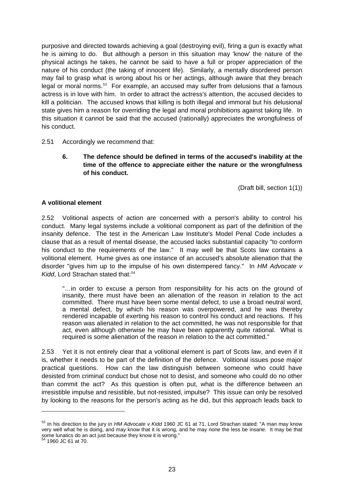purposive and directed towards achieving a goal (destroying evil), firing a gun is exactly what he is aiming to do. But although a person in this situation may 'know' the nature of the physical actings he takes, he cannot be said to have a full or proper appreciation of the nature of his conduct (the taking of innocent life). Similarly, a mentally disordered person may fail to grasp what is wrong about his or her actings, although aware that they breach legal or moral norms.<sup>[53](#page-28-0)</sup> For example, an accused may suffer from delusions that a famous actress is in love with him. In order to attract the actress's attention, the accused decides to kill a politician. The accused knows that killing is both illegal and immoral but his delusional state gives him a reason for overriding the legal and moral prohibitions against taking life. In this situation it cannot be said that the accused (rationally) appreciates the wrongfulness of his conduct.

#### 2.51 Accordingly we recommend that:

**6. The defence should be defined in terms of the accused's inability at the time of the offence to appreciate either the nature or the wrongfulness of his conduct.** 

(Draft bill, section 1(1))

#### **A volitional element**

2.52 Volitional aspects of action are concerned with a person's ability to control his conduct. Many legal systems include a volitional component as part of the definition of the insanity defence. The test in the American Law Institute's Model Penal Code includes a clause that as a result of mental disease, the accused lacks substantial capacity "to conform his conduct to the requirements of the law." It may well be that Scots law contains a volitional element. Hume gives as one instance of an accused's absolute alienation that the disorder "gives him up to the impulse of his own distempered fancy." In *HM Advocate v*  Kidd, Lord Strachan stated that:<sup>[54](#page-28-1)</sup>

"…in order to excuse a person from responsibility for his acts on the ground of insanity, there must have been an alienation of the reason in relation to the act committed. There must have been some mental defect, to use a broad neutral word, a mental defect, by which his reason was overpowered, and he was thereby rendered incapable of exerting his reason to control his conduct and reactions. If his reason was alienated in relation to the act committed, he was not responsible for that act, even although otherwise he may have been apparently quite rational. What is required is some alienation of the reason in relation to the act committed."

2.53 Yet it is not entirely clear that a volitional element is part of Scots law, and even if it is, whether it needs to be part of the definition of the defence. Volitional issues pose major practical questions. How can the law distinguish between someone who could have desisted from criminal conduct but chose not to desist, and someone who could do no other than commit the act? As this question is often put, what is the difference between an irresistible impulse and resistible, but not-resisted, impulse? This issue can only be resolved by looking to the reasons for the person's acting as he did, but this approach leads back to

<span id="page-28-0"></span><sup>53</sup> In his direction to the jury in *HM Advocate v Kidd* 1960 JC 61 at 71, Lord Strachan stated: "A man may know very well what he is doing, and may know that it is wrong, and he may none the less be insane. It may be that some lunatics do an act just because they know it is wrong." 54 1960 JC 61 at 70.

<span id="page-28-1"></span>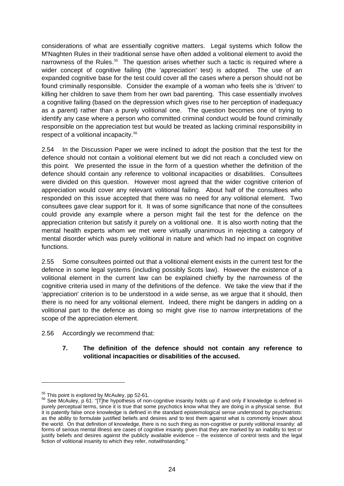considerations of what are essentially cognitive matters. Legal systems which follow the M'Naghten Rules in their traditional sense have often added a volitional element to avoid the narrowness of the Rules.<sup>[55](#page-29-0)</sup> The question arises whether such a tactic is required where a wider concept of cognitive failing (the 'appreciation' test) is adopted. The use of an expanded cognitive base for the test could cover all the cases where a person should not be found criminally responsible. Consider the example of a woman who feels she is 'driven' to killing her children to save them from her own bad parenting. This case essentially involves a cognitive failing (based on the depression which gives rise to her perception of inadequacy as a parent) rather than a purely volitional one. The question becomes one of trying to identify any case where a person who committed criminal conduct would be found criminally responsible on the appreciation test but would be treated as lacking criminal responsibility in respect of a volitional incapacity.[56](#page-29-1)

2.54 In the Discussion Paper we were inclined to adopt the position that the test for the defence should not contain a volitional element but we did not reach a concluded view on this point. We presented the issue in the form of a question whether the definition of the defence should contain any reference to volitional incapacities or disabilities. Consultees were divided on this question. However most agreed that the wider cognitive criterion of appreciation would cover any relevant volitional failing. About half of the consultees who responded on this issue accepted that there was no need for any volitional element. Two consultees gave clear support for it. It was of some significance that none of the consultees could provide any example where a person might fail the test for the defence on the appreciation criterion but satisfy it purely on a volitional one. It is also worth noting that the mental health experts whom we met were virtually unanimous in rejecting a category of mental disorder which was purely volitional in nature and which had no impact on cognitive functions.

2.55 Some consultees pointed out that a volitional element exists in the current test for the defence in some legal systems (including possibly Scots law). However the existence of a volitional element in the current law can be explained chiefly by the narrowness of the cognitive criteria used in many of the definitions of the defence. We take the view that if the 'appreciation' criterion is to be understood in a wide sense, as we argue that it should, then there is no need for any volitional element. Indeed, there might be dangers in adding on a volitional part to the defence as doing so might give rise to narrow interpretations of the scope of the appreciation element.

2.56 Accordingly we recommend that:

#### **7. The definition of the defence should not contain any reference to volitional incapacities or disabilities of the accused.**

<span id="page-29-1"></span><span id="page-29-0"></span><sup>&</sup>lt;sup>55</sup> This point is explored by McAuley, pp 52-61.<br><sup>56</sup> See McAuley, p 61: "[T]he hypothesis of non-cognitive insanity holds up if and only if knowledge is defined in purely perceptual terms, since it is true that some psychotics know what they are doing in a physical sense. But it is patently false once knowledge is defined in the standard epistemological sense understood by psychiatrists: as the ability to formulate justified beliefs and desires and to test them against what is commonly known about the world. On that definition of knowledge, there is no such thing as non-cognitive or purely volitional insanity: all forms of serious mental illness are cases of cognitive insanity given that they are marked by an inability to test or justify beliefs and desires against the publicly available evidence – the existence of control tests and the legal fiction of volitional insanity to which they refer, notwithstanding."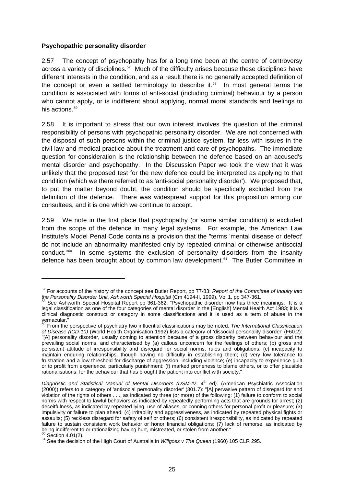#### **Psychopathic personality disorder**

<u>.</u>

2.57 The concept of psychopathy has for a long time been at the centre of controversy across a variety of disciplines.<sup>[57](#page-30-0)</sup> Much of the difficulty arises because these disciplines have different interests in the condition, and as a result there is no generally accepted definition of the concept or even a settled terminology to describe it.<sup>[58](#page-30-1)</sup> In most general terms the condition is associated with forms of anti-social (including criminal) behaviour by a person who cannot apply, or is indifferent about applying, normal moral standards and feelings to his actions.<sup>[59](#page-30-2)</sup>

2.58 It is important to stress that our own interest involves the question of the criminal responsibility of persons with psychopathic personality disorder. We are not concerned with the disposal of such persons within the criminal justice system, far less with issues in the civil law and medical practice about the treatment and care of psychopaths. The immediate question for consideration is the relationship between the defence based on an accused's mental disorder and psychopathy. In the Discussion Paper we took the view that it was unlikely that the proposed test for the new defence could be interpreted as applying to that condition (which we there referred to as 'anti-social personality disorder'). We proposed that, to put the matter beyond doubt, the condition should be specifically excluded from the definition of the defence. There was widespread support for this proposition among our consultees, and it is one which we continue to accept.

2.59 We note in the first place that psychopathy (or some similar condition) is excluded from the scope of the defence in many legal systems. For example, the American Law Institute's Model Penal Code contains a provision that the "terms 'mental disease or defect' do not include an abnormality manifested only by repeated criminal or otherwise antisocial conduct."[60](#page-30-3) In some systems the exclusion of personality disorders from the insanity defence has been brought about by common law development.<sup>[61](#page-30-4)</sup> The Butler Committee in

<span id="page-30-0"></span><sup>57</sup> For accounts of the history of the concept see Butler Report, pp 77-83; *Report of the Committee of Inquiry into the Personality Disorder Unit, Ashworth Special Hospital* (Cm 4194-II, 1999), Vol 1, pp 347-361.<br>
<sup>58</sup> See Ashworth Special Hospital Report pp 361-362: "Psychopathic disorder now has three meanings. It is a

<span id="page-30-1"></span>legal classification as one of the four categories of mental disorder in the [English] Mental Health Act 1983; it is a clinical diagnostic construct or category in some classifications and it is used as a term of abuse in the vernacular."<br>"vernacular."

<span id="page-30-2"></span><sup>59</sup> From the perspective of psychiatry two influential classifications may be noted. *The International Classification of Disease (ICD-10)* (World Health Organisation 1992) lists a category of 'dissocial personality disorder' (F60.2): "[A] personality disorder, usually coming to attention because of a gross disparity between behaviour and the prevailing social norms, and characterised by (a) callous unconcern for the feelings of others; (b) gross and persistent attitude of irresponsibility and disregard for social norms, rules and obligations; (c) incapacity to maintain enduring relationships, though having no difficulty in establishing them; (d) very low tolerance to frustration and a low threshold for discharge of aggression, including violence; (e) incapacity to experience guilt or to profit from experience, particularly punishment; (f) marked proneness to blame others, or to offer plausible rationalisations, for the behaviour that has brought the patient into conflict with society."

*Diagnostic and Statistical Manual of Mental Disorders (DSM-IV; 4<sup>th</sup> ed). (American Psychiatric Association* (2000)) refers to a category of 'antisocial personality disorder' (301.7): "[A] pervasive pattern of disregard for and violation of the rights of others . . ., as indicated by three (or more) of the following: (1) failure to conform to social norms with respect to lawful behaviors as indicated by repeatedly performing acts that are grounds for arrest; (2) deceitfulness, as indicated by repeated lying, use of aliases, or conning others for personal profit or pleasure; (3) impulsivity or failure to plan ahead; (4) irritability and aggressiveness, as indicated by repeated physical fights or assaults; (5) reckless disregard for safety of self or others; (6) consistent irresponsibility, as indicated by repeated failure to sustain consistent work behavior or honor financial obligations; (7) lack of remorse, as indicated by<br>being indifferent to or rationalizing having hurt, mistreated, or stolen from another."

<span id="page-30-4"></span><span id="page-30-3"></span>being indicted.<br><sup>60</sup> Section 4.01(2).<br><sup>61</sup> See the decision of the High Court of Australia in *Willgoss v The Queen* (1960) 105 CLR 295.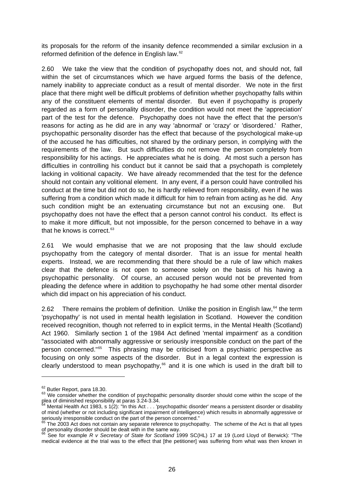its proposals for the reform of the insanity defence recommended a similar exclusion in a reformed definition of the defence in English law.<sup>[62](#page-31-0)</sup>

2.60 We take the view that the condition of psychopathy does not, and should not, fall within the set of circumstances which we have argued forms the basis of the defence, namely inability to appreciate conduct as a result of mental disorder. We note in the first place that there might well be difficult problems of definition whether psychopathy falls within any of the constituent elements of mental disorder. But even if psychopathy is properly regarded as a form of personality disorder, the condition would not meet the 'appreciation' part of the test for the defence. Psychopathy does not have the effect that the person's reasons for acting as he did are in any way 'abnormal' or 'crazy' or 'disordered.' Rather, psychopathic personality disorder has the effect that because of the psychological make-up of the accused he has difficulties, not shared by the ordinary person, in complying with the requirements of the law. But such difficulties do not remove the person completely from responsibility for his actings. He appreciates what he is doing. At most such a person has difficulties in controlling his conduct but it cannot be said that a psychopath is completely lacking in volitional capacity. We have already recommended that the test for the defence should not contain any volitional element. In any event, if a person could have controlled his conduct at the time but did not do so, he is hardly relieved from responsibility, even if he was suffering from a condition which made it difficult for him to refrain from acting as he did. Any such condition might be an extenuating circumstance but not an excusing one. But psychopathy does not have the effect that a person cannot control his conduct. Its effect is to make it more difficult, but not impossible, for the person concerned to behave in a way that he knows is correct.<sup>[63](#page-31-1)</sup>

2.61 We would emphasise that we are not proposing that the law should exclude psychopathy from the category of mental disorder. That is an issue for mental health experts. Instead, we are recommending that there should be a rule of law which makes clear that the defence is not open to someone solely on the basis of his having a psychopathic personality. Of course, an accused person would not be prevented from pleading the defence where in addition to psychopathy he had some other mental disorder which did impact on his appreciation of his conduct.

2.62 There remains the problem of definition. Unlike the position in English law,  $64$  the term 'psychopathy' is not used in mental health legislation in Scotland. However the condition received recognition, though not referred to in explicit terms, in the Mental Health (Scotland) Act 1960. Similarly section 1 of the 1984 Act defined 'mental impairment' as a condition "associated with abnormally aggressive or seriously irresponsible conduct on the part of the person concerned."[65](#page-31-3) This phrasing may be criticised from a psychiatric perspective as focusing on only some aspects of the disorder. But in a legal context the expression is clearly understood to mean psychopathy, $66$  and it is one which is used in the draft bill to

<span id="page-31-1"></span><span id="page-31-0"></span> $62$  Butler Report, para 18.30.<br> $63$  We consider whether the condition of psychopathic personality disorder should come within the scope of the plea of diminished responsibility at paras 3.24-3.34.

<span id="page-31-2"></span>Mental Health Act 1983, s 1(2): "In this Act . . . 'psychopathic disorder' means a persistent disorder or disability of mind (whether or not including significant impairment of intelligence) which results in abnormally aggressive or<br>seriously irresponse on the part of the person concerned."

<span id="page-31-3"></span>The 2003 Act does not contain any separate reference to psychopathy. The scheme of the Act is that all types of personality disorder should be dealt with in the same way. 66 See for example *R v Secretary of State for Scotland* 1999 SC(HL) 17 at 19 (Lord Lloyd of Berwick): "The

<span id="page-31-4"></span>medical evidence at the trial was to the effect that [the petitioner] was suffering from what was then known in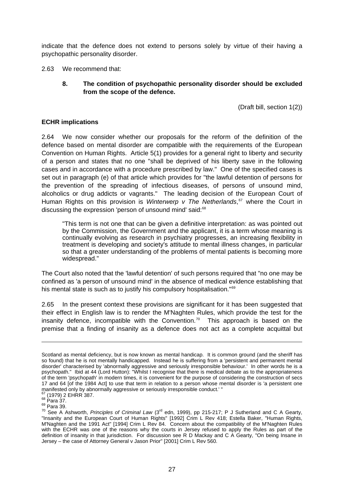indicate that the defence does not extend to persons solely by virtue of their having a psychopathic personality disorder.

2.63 We recommend that:

**8. The condition of psychopathic personality disorder should be excluded from the scope of the defence.** 

(Draft bill, section 1(2))

#### **ECHR implications**

2.64 We now consider whether our proposals for the reform of the definition of the defence based on mental disorder are compatible with the requirements of the European Convention on Human Rights. Article 5(1) provides for a general right to liberty and security of a person and states that no one "shall be deprived of his liberty save in the following cases and in accordance with a procedure prescribed by law." One of the specified cases is set out in paragraph (e) of that article which provides for "the lawful detention of persons for the prevention of the spreading of infectious diseases, of persons of unsound mind, alcoholics or drug addicts or vagrants." The leading decision of the European Court of Human Rights on this provision is *Winterwerp v The Netherlands*, [67](#page-32-0) where the Court in discussing the expression 'person of unsound mind' said:<sup>[68](#page-32-1)</sup>

"This term is not one that can be given a definitive interpretation: as was pointed out by the Commission, the Government and the applicant, it is a term whose meaning is continually evolving as research in psychiatry progresses, an increasing flexibility in treatment is developing and society's attitude to mental illness changes, in particular so that a greater understanding of the problems of mental patients is becoming more widespread."

The Court also noted that the 'lawful detention' of such persons required that "no one may be confined as 'a person of unsound mind' in the absence of medical evidence establishing that his mental state is such as to justify his compulsory hospitalisation."<sup>[69](#page-32-2)</sup>

2.65 In the present context these provisions are significant for it has been suggested that their effect in English law is to render the M'Naghten Rules, which provide the test for the insanity defence, incompatible with the Convention.<sup>[70](#page-32-3)</sup> This approach is based on the premise that a finding of insanity as a defence does not act as a complete acquittal but

Scotland as mental deficiency, but is now known as mental handicap. It is common ground (and the sheriff has so found) that he is not mentally handicapped. Instead he is suffering from a 'persistent and permanent mental disorder' characterised by 'abnormally aggressive and seriously irresponsible behaviour.' In other words he is a psychopath." Ibid at 44 (Lord Hutton): "Whilst I recognise that there is medical debate as to the appropriateness of the term 'psychopath' in modern times, it is convenient for the purpose of considering the construction of secs 17 and 64 [of the 1984 Act] to use that term in relation to a person whose mental disorder is 'a persistent one manifested only by abnormally aggressive or seriously irresponsible conduct.' "<br> $^{67}$  (1979) 2 EHRR 387.<br> $^{68}$  Para 37.

<span id="page-32-3"></span><span id="page-32-2"></span>

<span id="page-32-1"></span><span id="page-32-0"></span><sup>&</sup>lt;sup>67</sup> (1979) 2 EHRR 387.<br><sup>68</sup> Para 37.<br><sup>69</sup> Para 39.<br><sup>70</sup> See A Ashworth, *Principles of Criminal Law* (3<sup>rd</sup> edn, 1999), pp 215-217; P J Sutherland and C A Gearty, "Insanity and the European Court of Human Rights" [1992] Crim L Rev 418; Estella Baker, "Human Rights, M'Naghten and the 1991 Act" [1994] Crim L Rev 84. Concern about the compatibility of the M'Naghten Rules with the ECHR was one of the reasons why the courts in Jersey refused to apply the Rules as part of the definition of insanity in that jurisdiction. For discussion see R D Mackay and C A Gearty, "On being Insane in Jersey – the case of Attorney General v Jason Prior" [2001] Crim L Rev 560.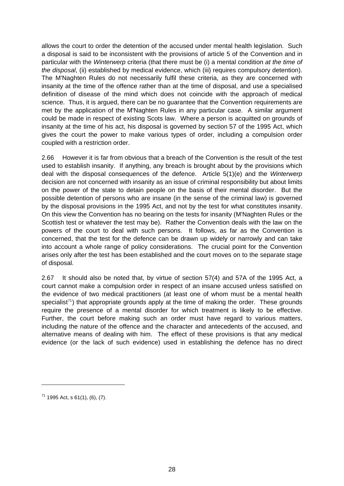allows the court to order the detention of the accused under mental health legislation. Such a disposal is said to be inconsistent with the provisions of article 5 of the Convention and in particular with the *Winterwerp* criteria (that there must be (i) a mental condition *at the time of the disposal*, (ii) established by medical evidence, which (iii) requires compulsory detention). The M'Naghten Rules do not necessarily fulfil these criteria, as they are concerned with insanity at the time of the offence rather than at the time of disposal, and use a specialised definition of disease of the mind which does not coincide with the approach of medical science. Thus, it is argued, there can be no guarantee that the Convention requirements are met by the application of the M'Naghten Rules in any particular case. A similar argument could be made in respect of existing Scots law. Where a person is acquitted on grounds of insanity at the time of his act, his disposal is governed by section 57 of the 1995 Act, which gives the court the power to make various types of order, including a compulsion order coupled with a restriction order.

2.66 However it is far from obvious that a breach of the Convention is the result of the test used to establish insanity. If anything, any breach is brought about by the provisions which deal with the disposal consequences of the defence. Article 5(1)(e) and the *Winterwerp* decision are not concerned with insanity as an issue of criminal responsibility but about limits on the power of the state to detain people on the basis of their mental disorder. But the possible detention of persons who are insane (in the sense of the criminal law) is governed by the disposal provisions in the 1995 Act, and not by the test for what constitutes insanity. On this view the Convention has no bearing on the tests for insanity (M'Naghten Rules or the Scottish test or whatever the test may be). Rather the Convention deals with the law on the powers of the court to deal with such persons. It follows, as far as the Convention is concerned, that the test for the defence can be drawn up widely or narrowly and can take into account a whole range of policy considerations. The crucial point for the Convention arises only after the test has been established and the court moves on to the separate stage of disposal.

2.67 It should also be noted that, by virtue of section 57(4) and 57A of the 1995 Act, a court cannot make a compulsion order in respect of an insane accused unless satisfied on the evidence of two medical practitioners (at least one of whom must be a mental health specialist<sup>[71](#page-33-0)</sup>) that appropriate grounds apply at the time of making the order. These grounds require the presence of a mental disorder for which treatment is likely to be effective. Further, the court before making such an order must have regard to various matters, including the nature of the offence and the character and antecedents of the accused, and alternative means of dealing with him. The effect of these provisions is that any medical evidence (or the lack of such evidence) used in establishing the defence has no direct

<span id="page-33-0"></span> $71$  1995 Act, s 61(1), (6), (7).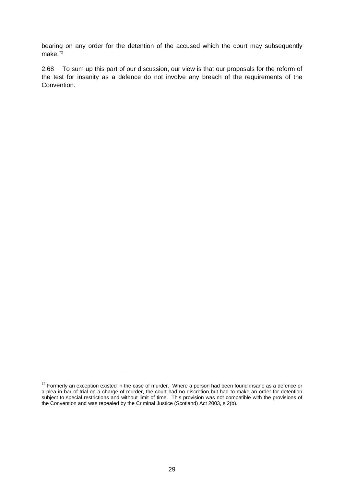bearing on any order for the detention of the accused which the court may subsequently make. $72$ 

2.68 To sum up this part of our discussion, our view is that our proposals for the reform of the test for insanity as a defence do not involve any breach of the requirements of the Convention.

<span id="page-34-0"></span> $72$  Formerly an exception existed in the case of murder. Where a person had been found insane as a defence or a plea in bar of trial on a charge of murder, the court had no discretion but had to make an order for detention subject to special restrictions and without limit of time. This provision was not compatible with the provisions of the Convention and was repealed by the Criminal Justice (Scotland) Act 2003, s 2(b).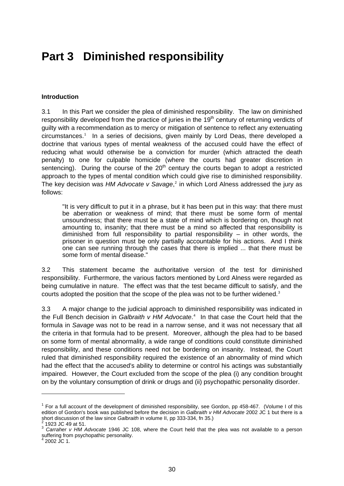## **Part 3 Diminished responsibility**

#### **Introduction**

3.1 In this Part we consider the plea of diminished responsibility. The law on diminished responsibility developed from the practice of juries in the 19<sup>th</sup> century of returning verdicts of guilty with a recommendation as to mercy or mitigation of sentence to reflect any extenuating circumstances.[1](#page-35-0) In a series of decisions, given mainly by Lord Deas, there developed a doctrine that various types of mental weakness of the accused could have the effect of reducing what would otherwise be a conviction for murder (which attracted the death penalty) to one for culpable homicide (where the courts had greater discretion in sentencing). During the course of the  $20<sup>th</sup>$  century the courts began to adopt a restricted approach to the types of mental condition which could give rise to diminished responsibility. The key decision was *HM Advocate v Savage*,<sup>[2](#page-35-1)</sup> in which Lord Alness addressed the jury as follows:

"It is very difficult to put it in a phrase, but it has been put in this way: that there must be aberration or weakness of mind; that there must be some form of mental unsoundness; that there must be a state of mind which is bordering on, though not amounting to, insanity; that there must be a mind so affected that responsibility is diminished from full responsibility to partial responsibility – in other words, the prisoner in question must be only partially accountable for his actions. And I think one can see running through the cases that there is implied ... that there must be some form of mental disease."

3.2 This statement became the authoritative version of the test for diminished responsibility. Furthermore, the various factors mentioned by Lord Alness were regarded as being cumulative in nature. The effect was that the test became difficult to satisfy, and the courts adopted the position that the scope of the plea was not to be further widened.<sup>[3](#page-35-2)</sup>

3.3 A major change to the judicial approach to diminished responsibility was indicated in the Full Bench decision in *Galbraith v HM Advocate*. [4](#page-35-3) In that case the Court held that the formula in *Savage* was not to be read in a narrow sense, and it was not necessary that all the criteria in that formula had to be present. Moreover, although the plea had to be based on some form of mental abnormality, a wide range of conditions could constitute diminished responsibility, and these conditions need not be bordering on insanity. Instead, the Court ruled that diminished responsibility required the existence of an abnormality of mind which had the effect that the accused's ability to determine or control his actings was substantially impaired. However, the Court excluded from the scope of the plea (i) any condition brought on by the voluntary consumption of drink or drugs and (ii) psychopathic personality disorder.

<span id="page-35-0"></span> $1$  For a full account of the development of diminished responsibility, see Gordon, pp 458-467. (Volume I of this edition of Gordon's book was published before the decision in *Galbraith v HM Advocate* 2002 JC 1 but there is a short discussion of the law since *Galbraith* in volume II, pp 333-334, fn 35.)

<span id="page-35-2"></span><span id="page-35-1"></span><sup>&</sup>lt;sup>2</sup> 1923 JC 49 at 51.<br><sup>3</sup> *Carraher v HM Advocate* 1946 JC 108, where the Court held that the plea was not available to a person suffering from psychopathic personality.

<span id="page-35-3"></span> <sup>2002</sup> JC 1.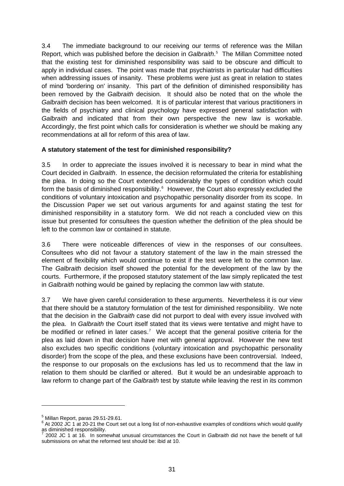3.4 The immediate background to our receiving our terms of reference was the Millan Report, which was published before the decision in *Galbraith*. [5](#page-36-0) The Millan Committee noted that the existing test for diminished responsibility was said to be obscure and difficult to apply in individual cases. The point was made that psychiatrists in particular had difficulties when addressing issues of insanity. These problems were just as great in relation to states of mind 'bordering on' insanity. This part of the definition of diminished responsibility has been removed by the *Galbraith* decision. It should also be noted that on the whole the *Galbraith* decision has been welcomed. It is of particular interest that various practitioners in the fields of psychiatry and clinical psychology have expressed general satisfaction with *Galbraith* and indicated that from their own perspective the new law is workable. Accordingly, the first point which calls for consideration is whether we should be making any recommendations at all for reform of this area of law.

## **A statutory statement of the test for diminished responsibility?**

3.5 In order to appreciate the issues involved it is necessary to bear in mind what the Court decided in *Galbraith*. In essence, the decision reformulated the criteria for establishing the plea. In doing so the Court extended considerably the types of condition which could form the basis of diminished responsibility.<sup>[6](#page-36-1)</sup> However, the Court also expressly excluded the conditions of voluntary intoxication and psychopathic personality disorder from its scope. In the Discussion Paper we set out various arguments for and against stating the test for diminished responsibility in a statutory form. We did not reach a concluded view on this issue but presented for consultees the question whether the definition of the plea should be left to the common law or contained in statute.

3.6 There were noticeable differences of view in the responses of our consultees. Consultees who did not favour a statutory statement of the law in the main stressed the element of flexibility which would continue to exist if the test were left to the common law. The *Galbraith* decision itself showed the potential for the development of the law by the courts. Furthermore, if the proposed statutory statement of the law simply replicated the test in *Galbraith* nothing would be gained by replacing the common law with statute.

3.7 We have given careful consideration to these arguments. Nevertheless it is our view that there should be a statutory formulation of the test for diminished responsibility. We note that the decision in the *Galbraith* case did not purport to deal with every issue involved with the plea. In *Galbraith* the Court itself stated that its views were tentative and might have to be modified or refined in later cases.<sup>[7](#page-36-2)</sup> We accept that the general positive criteria for the plea as laid down in that decision have met with general approval. However the new test also excludes two specific conditions (voluntary intoxication and psychopathic personality disorder) from the scope of the plea, and these exclusions have been controversial. Indeed, the response to our proposals on the exclusions has led us to recommend that the law in relation to them should be clarified or altered. But it would be an undesirable approach to law reform to change part of the *Galbraith* test by statute while leaving the rest in its common

<span id="page-36-1"></span>

<span id="page-36-0"></span><sup>&</sup>lt;sup>5</sup> Millan Report, paras 29.51-29.61.<br><sup>6</sup> At 2002 JC 1 at 20-21 the Court set out a long list of non-exhaustive examples of conditions which would qualify as diminished responsibility.<br> $7,2002,10,4,$  ot  $46,18,2002$ 

<span id="page-36-2"></span> <sup>2002</sup> JC 1 at 16. In somewhat unusual circumstances the Court in *Galbraith* did not have the benefit of full submissions on what the reformed test should be: ibid at 10.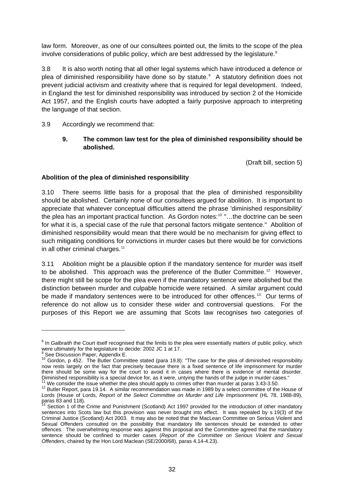law form. Moreover, as one of our consultees pointed out, the limits to the scope of the plea involve considerations of public policy, which are best addressed by the legislature. $8$ 

3.8 It is also worth noting that all other legal systems which have introduced a defence or plea of diminished responsibility have done so by statute.<sup>[9](#page-37-1)</sup> A statutory definition does not prevent judicial activism and creativity where that is required for legal development. Indeed, in England the test for diminished responsibility was introduced by section 2 of the Homicide Act 1957, and the English courts have adopted a fairly purposive approach to interpreting the language of that section.

## 3.9 Accordingly we recommend that:

# **9. The common law test for the plea of diminished responsibility should be abolished.**

(Draft bill, section 5)

# **Abolition of the plea of diminished responsibility**

3.10 There seems little basis for a proposal that the plea of diminished responsibility should be abolished. Certainly none of our consultees argued for abolition. It is important to appreciate that whatever conceptual difficulties attend the phrase 'diminished responsibility' the plea has an important practical function. As Gordon notes:<sup>[10](#page-37-2)</sup> "...the doctrine can be seen for what it is, a special case of the rule that personal factors mitigate sentence." Abolition of diminished responsibility would mean that there would be no mechanism for giving effect to such mitigating conditions for convictions in murder cases but there would be for convictions in all other criminal charges.<sup>[11](#page-37-3)</sup>

3.11 Abolition might be a plausible option if the mandatory sentence for murder was itself to be abolished. This approach was the preference of the Butler Committee.<sup>[12](#page-37-4)</sup> However, there might still be scope for the plea even if the mandatory sentence were abolished but the distinction between murder and culpable homicide were retained. A similar argument could be made if mandatory sentences were to be introduced for other offences.<sup>[13](#page-37-5)</sup> Our terms of reference do not allow us to consider these wider and controversial questions. For the purposes of this Report we are assuming that Scots law recognises two categories of

<span id="page-37-0"></span><sup>&</sup>lt;sup>8</sup> In *Galbraith* the Court itself recognised that the limits to the plea were essentially matters of public policy, which were ultimately for the legislature to decide: 2002 JC 1 at 17.

<span id="page-37-2"></span><span id="page-37-1"></span><sup>&</sup>lt;sup>9</sup> See Discussion Paper, Appendix E.<br><sup>10</sup> Gordon, p 452. The Butler Committee stated (para 19.8): "The case for the plea of diminished responsibility now rests largely on the fact that precisely because there is a fixed sentence of life imprisonment for murder there should be some way for the court to avoid it in cases where there is evidence of mental disorder.<br>Diminished responsibility is a special device for, as it were, untying the hands of the judge in murder cases."

<span id="page-37-3"></span><sup>&</sup>lt;sup>11</sup> We consider the issue whether the plea should apply to crimes other than murder at paras 3.43-3.50.<br><sup>12</sup> Butler Report, para 19.14. A similar recommendation was made in 1989 by a select committee of the House of

<span id="page-37-4"></span>Lords (House of Lords, *Report of the Select Committee on Murder and Life Imprisonment* (HL 78, 1988-89), paras 83 and 118).

<span id="page-37-5"></span><sup>13</sup> Section 1 of the Crime and Punishment (Scotland) Act 1997 provided for the introduction of other mandatory sentences into Scots law but this provision was never brought into effect. It was repealed by s 19(3) of the Criminal Justice (Scotland) Act 2003. It may also be noted that the MacLean Committee on Serious Violent and Sexual Offenders consulted on the possibility that mandatory life sentences should be extended to other offences. The overwhelming response was against this proposal and the Committee agreed that the mandatory sentence should be confined to murder cases (*Report of the Committee on Serious Violent and Sexual Offenders*, chaired by the Hon Lord Maclean (SE/2000/68), paras 4.14-4.23).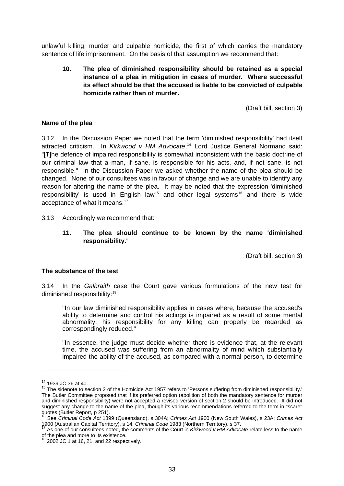unlawful killing, murder and culpable homicide, the first of which carries the mandatory sentence of life imprisonment. On the basis of that assumption we recommend that:

**10. The plea of diminished responsibility should be retained as a special instance of a plea in mitigation in cases of murder. Where successful its effect should be that the accused is liable to be convicted of culpable homicide rather than of murder.** 

(Draft bill, section 3)

#### **Name of the plea**

3.12 In the Discussion Paper we noted that the term 'diminished responsibility' had itself attracted criticism. In *Kirkwood v HM Advocate*, [14](#page-38-0) Lord Justice General Normand said: "[T]he defence of impaired responsibility is somewhat inconsistent with the basic doctrine of our criminal law that a man, if sane, is responsible for his acts, and, if not sane, is not responsible." In the Discussion Paper we asked whether the name of the plea should be changed. None of our consultees was in favour of change and we are unable to identify any reason for altering the name of the plea. It may be noted that the expression 'diminished responsibility' is used in English law<sup>[15](#page-38-1)</sup> and other legal systems<sup>[16](#page-38-2)</sup> and there is wide acceptance of what it means.<sup>[17](#page-38-3)</sup>

3.13 Accordingly we recommend that:

**11. The plea should continue to be known by the name 'diminished responsibility.'** 

(Draft bill, section 3)

#### **The substance of the test**

3.14 In the *Galbraith* case the Court gave various formulations of the new test for diminished responsibility:<sup>[18](#page-38-4)</sup>

"In our law diminished responsibility applies in cases where, because the accused's ability to determine and control his actings is impaired as a result of some mental abnormality, his responsibility for any killing can properly be regarded as correspondingly reduced."

"In essence, the judge must decide whether there is evidence that, at the relevant time, the accused was suffering from an abnormality of mind which substantially impaired the ability of the accused, as compared with a normal person, to determine

<span id="page-38-1"></span><span id="page-38-0"></span><sup>&</sup>lt;sup>14</sup> 1939 JC 36 at 40.<br><sup>15</sup> The sidenote to section 2 of the Homicide Act 1957 refers to 'Persons suffering from diminished responsibility.' The Butler Committee proposed that if its preferred option (abolition of both the mandatory sentence for murder and diminished responsibility) were not accepted a revised version of section 2 should be introduced. It did not suggest any change to the name of the plea, though its various recommendations referred to the term in "scare" quotes (Butler Report, p 251).

<span id="page-38-2"></span><sup>16</sup> See *Criminal Code Act* 1899 (Queensland), s 304A; *Crimes Act* 1900 (New South Wales), s 23A; *Crimes Act* 1900 (Australian Capital Territory), s 14; *Criminal Code* 1983 (Northern Territory), s 37. 17 As one of our consultees noted, the comments of the Court in *Kirkwood v HM Advocate* relate less to the name

<span id="page-38-3"></span>of the plea and more to its existence.

<span id="page-38-4"></span><sup>2002</sup> JC 1 at 16, 21, and 22 respectively.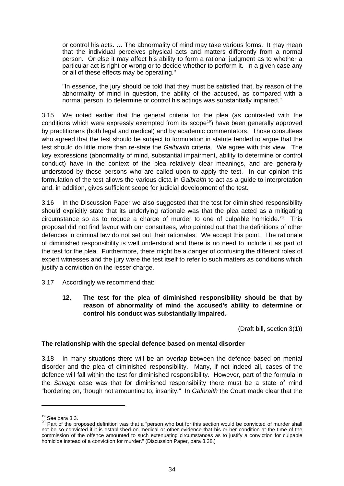or control his acts. … The abnormality of mind may take various forms. It may mean that the individual perceives physical acts and matters differently from a normal person. Or else it may affect his ability to form a rational judgment as to whether a particular act is right or wrong or to decide whether to perform it. In a given case any or all of these effects may be operating."

"In essence, the jury should be told that they must be satisfied that, by reason of the abnormality of mind in question, the ability of the accused, as compared with a normal person, to determine or control his actings was substantially impaired."

3.15 We noted earlier that the general criteria for the plea (as contrasted with the conditions which were expressly exempted from its scope<sup>[19](#page-39-0)</sup>) have been generally approved by practitioners (both legal and medical) and by academic commentators. Those consultees who agreed that the test should be subject to formulation in statute tended to argue that the test should do little more than re-state the *Galbraith* criteria. We agree with this view. The key expressions (abnormality of mind, substantial impairment, ability to determine or control conduct) have in the context of the plea relatively clear meanings, and are generally understood by those persons who are called upon to apply the test. In our opinion this formulation of the test allows the various dicta in *Galbraith* to act as a guide to interpretation and, in addition, gives sufficient scope for judicial development of the test.

3.16 In the Discussion Paper we also suggested that the test for diminished responsibility should explicitly state that its underlying rationale was that the plea acted as a mitigating circumstance so as to reduce a charge of murder to one of culpable homicide.<sup>[20](#page-39-1)</sup> This proposal did not find favour with our consultees, who pointed out that the definitions of other defences in criminal law do not set out their rationales. We accept this point. The rationale of diminished responsibility is well understood and there is no need to include it as part of the test for the plea. Furthermore, there might be a danger of confusing the different roles of expert witnesses and the jury were the test itself to refer to such matters as conditions which justify a conviction on the lesser charge.

#### 3.17 Accordingly we recommend that:

**12. The test for the plea of diminished responsibility should be that by reason of abnormality of mind the accused's ability to determine or control his conduct was substantially impaired.** 

(Draft bill, section 3(1))

#### **The relationship with the special defence based on mental disorder**

3.18 In many situations there will be an overlap between the defence based on mental disorder and the plea of diminished responsibility. Many, if not indeed all, cases of the defence will fall within the test for diminished responsibility. However, part of the formula in the *Savage* case was that for diminished responsibility there must be a state of mind "bordering on, though not amounting to, insanity." In *Galbraith* the Court made clear that the

<span id="page-39-1"></span><span id="page-39-0"></span><sup>&</sup>lt;sup>19</sup> See para 3.3.<br><sup>20</sup> Part of the proposed definition was that a "person who but for this section would be convicted of murder shall not be so convicted if it is established on medical or other evidence that his or her condition at the time of the commission of the offence amounted to such extenuating circumstances as to justify a conviction for culpable homicide instead of a conviction for murder." (Discussion Paper, para 3.38.)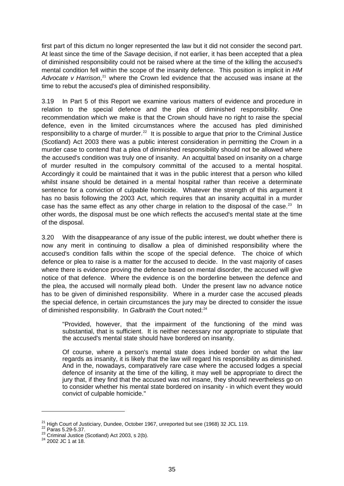first part of this dictum no longer represented the law but it did not consider the second part. At least since the time of the *Savage* decision, if not earlier, it has been accepted that a plea of diminished responsibility could not be raised where at the time of the killing the accused's mental condition fell within the scope of the insanity defence. This position is implicit in *HM*  Advocate v Harrison,<sup>[21](#page-40-0)</sup> where the Crown led evidence that the accused was insane at the time to rebut the accused's plea of diminished responsibility.

3.19 In Part 5 of this Report we examine various matters of evidence and procedure in relation to the special defence and the plea of diminished responsibility. One recommendation which we make is that the Crown should have no right to raise the special defence, even in the limited circumstances where the accused has pled diminished responsibility to a charge of murder.<sup>[22](#page-40-1)</sup> It is possible to argue that prior to the Criminal Justice (Scotland) Act 2003 there was a public interest consideration in permitting the Crown in a murder case to contend that a plea of diminished responsibility should not be allowed where the accused's condition was truly one of insanity. An acquittal based on insanity on a charge of murder resulted in the compulsory committal of the accused to a mental hospital. Accordingly it could be maintained that it was in the public interest that a person who killed whilst insane should be detained in a mental hospital rather than receive a determinate sentence for a conviction of culpable homicide. Whatever the strength of this argument it has no basis following the 2003 Act, which requires that an insanity acquittal in a murder case has the same effect as any other charge in relation to the disposal of the case.<sup>[23](#page-40-2)</sup> In other words, the disposal must be one which reflects the accused's mental state at the time of the disposal.

3.20 With the disappearance of any issue of the public interest, we doubt whether there is now any merit in continuing to disallow a plea of diminished responsibility where the accused's condition falls within the scope of the special defence. The choice of which defence or plea to raise is a matter for the accused to decide. In the vast majority of cases where there is evidence proving the defence based on mental disorder, the accused will give notice of that defence. Where the evidence is on the borderline between the defence and the plea, the accused will normally plead both. Under the present law no advance notice has to be given of diminished responsibility. Where in a murder case the accused pleads the special defence, in certain circumstances the jury may be directed to consider the issue of diminished responsibility. In *Galbraith* the Court noted:<sup>[24](#page-40-3)</sup>

"Provided, however, that the impairment of the functioning of the mind was substantial, that is sufficient. It is neither necessary nor appropriate to stipulate that the accused's mental state should have bordered on insanity.

Of course, where a person's mental state does indeed border on what the law regards as insanity, it is likely that the law will regard his responsibility as diminished. And in the, nowadays, comparatively rare case where the accused lodges a special defence of insanity at the time of the killing, it may well be appropriate to direct the jury that, if they find that the accused was not insane, they should nevertheless go on to consider whether his mental state bordered on insanity - in which event they would convict of culpable homicide."

<span id="page-40-1"></span><span id="page-40-0"></span><sup>&</sup>lt;sup>21</sup> High Court of Justiciary, Dundee, October 1967, unreported but see (1968) 32 JCL 119.<br><sup>23</sup> Paras 5.29-5.37. <br><sup>23</sup> Criminal Justice (Scotland) Act 2003, s 2(b). <sup>24</sup> 2002 JC 1 at 18.

<span id="page-40-2"></span>

<span id="page-40-3"></span>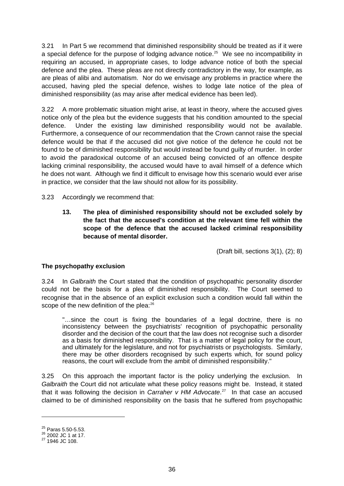3.21 In Part 5 we recommend that diminished responsibility should be treated as if it were a special defence for the purpose of lodging advance notice.<sup>[25](#page-41-0)</sup> We see no incompatibility in requiring an accused, in appropriate cases, to lodge advance notice of both the special defence and the plea. These pleas are not directly contradictory in the way, for example, as are pleas of alibi and automatism. Nor do we envisage any problems in practice where the accused, having pled the special defence, wishes to lodge late notice of the plea of diminished responsibility (as may arise after medical evidence has been led).

3.22 A more problematic situation might arise, at least in theory, where the accused gives notice only of the plea but the evidence suggests that his condition amounted to the special defence. Under the existing law diminished responsibility would not be available. Furthermore, a consequence of our recommendation that the Crown cannot raise the special defence would be that if the accused did not give notice of the defence he could not be found to be of diminished responsibility but would instead be found guilty of murder. In order to avoid the paradoxical outcome of an accused being convicted of an offence despite lacking criminal responsibility, the accused would have to avail himself of a defence which he does not want. Although we find it difficult to envisage how this scenario would ever arise in practice, we consider that the law should not allow for its possibility.

- 3.23 Accordingly we recommend that:
	- **13. The plea of diminished responsibility should not be excluded solely by the fact that the accused's condition at the relevant time fell within the scope of the defence that the accused lacked criminal responsibility because of mental disorder.**

(Draft bill, sections 3(1), (2); 8)

# **The psychopathy exclusion**

3.24 In *Galbraith* the Court stated that the condition of psychopathic personality disorder could not be the basis for a plea of diminished responsibility. The Court seemed to recognise that in the absence of an explicit exclusion such a condition would fall within the scope of the new definition of the plea:<sup>[26](#page-41-1)</sup>

"…since the court is fixing the boundaries of a legal doctrine, there is no inconsistency between the psychiatrists' recognition of psychopathic personality disorder and the decision of the court that the law does not recognise such a disorder as a basis for diminished responsibility. That is a matter of legal policy for the court, and ultimately for the legislature, and not for psychiatrists or psychologists. Similarly, there may be other disorders recognised by such experts which, for sound policy reasons, the court will exclude from the ambit of diminished responsibility."

3.25 On this approach the important factor is the policy underlying the exclusion. In *Galbraith* the Court did not articulate what these policy reasons might be. Instead, it stated that it was following the decision in *Carraher v HM Advocate*. [27](#page-41-2) In that case an accused claimed to be of diminished responsibility on the basis that he suffered from psychopathic

<span id="page-41-1"></span><span id="page-41-0"></span> $^{25}$  Paras 5.50-5.53.<br>  $^{26}$  2002 JC 1 at 17.<br>
<sup>27</sup> 1946 JC 108.

<span id="page-41-2"></span>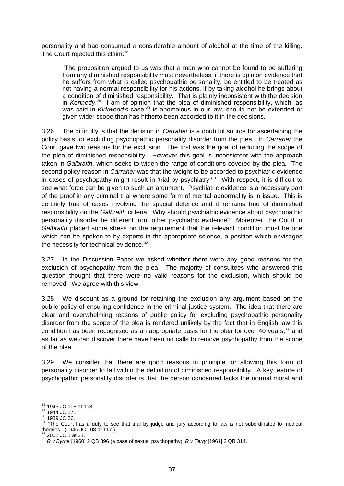personality and had consumed a considerable amount of alcohol at the time of the killing. The Court rejected this claim:<sup>[28](#page-42-0)</sup>

"The proposition argued to us was that a man who cannot be found to be suffering from any diminished responsibility must nevertheless, if there is opinion evidence that he suffers from what is called psychopathic personality, be entitled to be treated as not having a normal responsibility for his actions, if by taking alcohol he brings about a condition of diminished responsibility. That is plainly inconsistent with the decision in *Kennedy*. [29](#page-42-1) I am of opinion that the plea of diminished responsibility, which, as was said in *Kirkwood's* case,<sup>[30](#page-42-2)</sup> is anomalous in our law, should not be extended or given wider scope than has hitherto been accorded to it in the decisions."

3.26 The difficulty is that the decision in *Carraher* is a doubtful source for ascertaining the policy basis for excluding psychopathic personality disorder from the plea. In *Carraher* the Court gave two reasons for the exclusion. The first was the goal of reducing the scope of the plea of diminished responsibility. However this goal is inconsistent with the approach taken in *Galbraith*, which seeks to widen the range of conditions covered by the plea*.* The second policy reason in *Carraher* was that the weight to be accorded to psychiatric evidence in cases of psychopathy might result in 'trial by psychiatry.'<sup>[31](#page-42-3)</sup> With respect, it is difficult to see what force can be given to such an argument. Psychiatric evidence is a necessary part of the proof in any criminal trial where some form of mental abnormality is in issue. This is certainly true of cases involving the special defence and it remains true of diminished responsibility on the *Galbraith* criteria. Why should psychiatric evidence about psychopathic personality disorder be different from other psychiatric evidence? Moreover, the Court in *Galbraith* placed some stress on the requirement that the relevant condition must be one which can be spoken to by experts in the appropriate science, a position which envisages the necessity for technical evidence.<sup>[32](#page-42-4)</sup>

3.27 In the Discussion Paper we asked whether there were any good reasons for the exclusion of psychopathy from the plea. The majority of consultees who answered this question thought that there were no valid reasons for the exclusion, which should be removed. We agree with this view.

3.28 We discount as a ground for retaining the exclusion any argument based on the public policy of ensuring confidence in the criminal justice system. The idea that there are clear and overwhelming reasons of public policy for excluding psychopathic personality disorder from the scope of the plea is rendered unlikely by the fact that in English law this condition has been recognised as an appropriate basis for the plea for over 40 years,<sup>[33](#page-42-5)</sup> and as far as we can discover there have been no calls to remove psychopathy from the scope of the plea.

3.29 We consider that there are good reasons in principle for allowing this form of personality disorder to fall within the definition of diminished responsibility. A key feature of psychopathic personality disorder is that the person concerned lacks the normal moral and

<span id="page-42-1"></span>

<span id="page-42-2"></span>

<span id="page-42-0"></span><sup>&</sup>lt;sup>28</sup> 1946 JC 108 at 118.<br><sup>29</sup> 1944 JC 171.<br><sup>30</sup> 1939 JC 36.<br><sup>31</sup> "The Court has a duty to see that trial by judge and jury according to law is not subordinated to medical theories." (1946 JC 108 at 117.)

<span id="page-42-5"></span><span id="page-42-4"></span><span id="page-42-3"></span><sup>32 2002</sup> JC 1 at 21. 33 *R v Byrne* [1960] 2 QB 396 (a case of sexual psychopathy); *R v Terry* [1961] 2 QB 314.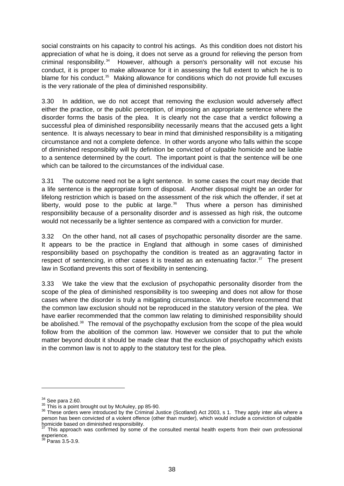social constraints on his capacity to control his actings. As this condition does not distort his appreciation of what he is doing, it does not serve as a ground for relieving the person from criminal responsibility.[34](#page-43-0) However, although a person's personality will not excuse his conduct, it is proper to make allowance for it in assessing the full extent to which he is to blame for his conduct.<sup>[35](#page-43-1)</sup> Making allowance for conditions which do not provide full excuses is the very rationale of the plea of diminished responsibility.

3.30 In addition, we do not accept that removing the exclusion would adversely affect either the practice, or the public perception, of imposing an appropriate sentence where the disorder forms the basis of the plea. It is clearly not the case that a verdict following a successful plea of diminished responsibility necessarily means that the accused gets a light sentence. It is always necessary to bear in mind that diminished responsibility is a mitigating circumstance and not a complete defence. In other words anyone who falls within the scope of diminished responsibility will by definition be convicted of culpable homicide and be liable to a sentence determined by the court. The important point is that the sentence will be one which can be tailored to the circumstances of the individual case.

3.31 The outcome need not be a light sentence. In some cases the court may decide that a life sentence is the appropriate form of disposal. Another disposal might be an order for lifelong restriction which is based on the assessment of the risk which the offender, if set at liberty, would pose to the public at large. $36$  Thus where a person has diminished responsibility because of a personality disorder *and* is assessed as high risk, the outcome would not necessarily be a lighter sentence as compared with a conviction for murder.

3.32 On the other hand, not all cases of psychopathic personality disorder are the same. It appears to be the practice in England that although in some cases of diminished responsibility based on psychopathy the condition is treated as an aggravating factor in respect of sentencing, in other cases it is treated as an extenuating factor. $37$  The present law in Scotland prevents this sort of flexibility in sentencing.

3.33 We take the view that the exclusion of psychopathic personality disorder from the scope of the plea of diminished responsibility is too sweeping and does not allow for those cases where the disorder is truly a mitigating circumstance. We therefore recommend that the common law exclusion should not be reproduced in the statutory version of the plea. We have earlier recommended that the common law relating to diminished responsibility should be abolished.<sup>[38](#page-43-4)</sup> The removal of the psychopathy exclusion from the scope of the plea would follow from the abolition of the common law. However we consider that to put the whole matter beyond doubt it should be made clear that the exclusion of psychopathy which exists in the common law is not to apply to the statutory test for the plea.

<span id="page-43-2"></span><span id="page-43-1"></span>

<span id="page-43-0"></span><sup>&</sup>lt;sup>34</sup> See para 2.60.<br><sup>35</sup> This is a point brought out by McAuley, pp 85-90.<br><sup>36</sup> These orders were introduced by the Criminal Justice (Scotland) Act 2003, s 1. They apply inter alia where a person has been convicted of a violent offence (other than murder), which would include a conviction of culpable homicide based on diminished responsibility.

<span id="page-43-3"></span>This approach was confirmed by some of the consulted mental health experts from their own professional experience.<br><sup>38</sup> Paras 3.5-3.9.

<span id="page-43-4"></span>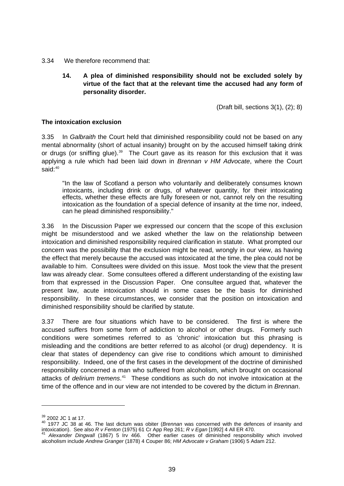- 3.34 We therefore recommend that:
	- **14. A plea of diminished responsibility should not be excluded solely by virtue of the fact that at the relevant time the accused had any form of personality disorder.**

(Draft bill, sections 3(1), (2); 8)

## **The intoxication exclusion**

3.35 In *Galbraith* the Court held that diminished responsibility could not be based on any mental abnormality (short of actual insanity) brought on by the accused himself taking drink or drugs (or sniffing glue). $39$  The Court gave as its reason for this exclusion that it was applying a rule which had been laid down in *Brennan v HM Advocate*, where the Court said:[40](#page-44-1)

"In the law of Scotland a person who voluntarily and deliberately consumes known intoxicants, including drink or drugs, of whatever quantity, for their intoxicating effects, whether these effects are fully foreseen or not, cannot rely on the resulting intoxication as the foundation of a special defence of insanity at the time nor, indeed, can he plead diminished responsibility."

3.36 In the Discussion Paper we expressed our concern that the scope of this exclusion might be misunderstood and we asked whether the law on the relationship between intoxication and diminished responsibility required clarification in statute. What prompted our concern was the possibility that the exclusion might be read, wrongly in our view, as having the effect that merely because the accused was intoxicated at the time, the plea could not be available to him. Consultees were divided on this issue. Most took the view that the present law was already clear. Some consultees offered a different understanding of the existing law from that expressed in the Discussion Paper. One consultee argued that, whatever the present law, acute intoxication should in some cases be the basis for diminished responsibility. In these circumstances, we consider that the position on intoxication and diminished responsibility should be clarified by statute.

3.37 There are four situations which have to be considered. The first is where the accused suffers from some form of addiction to alcohol or other drugs. Formerly such conditions were sometimes referred to as 'chronic' intoxication but this phrasing is misleading and the conditions are better referred to as alcohol (or drug) dependency. It is clear that states of dependency can give rise to conditions which amount to diminished responsibility. Indeed, one of the first cases in the development of the doctrine of diminished responsibility concerned a man who suffered from alcoholism, which brought on occasional attacks of *delirium tremens*. [41](#page-44-2) These conditions as such do not involve intoxication at the time of the offence and in our view are not intended to be covered by the dictum in *Brennan*.

<span id="page-44-1"></span><span id="page-44-0"></span><sup>&</sup>lt;sup>39</sup> 2002 JC 1 at 17.<br><sup>40</sup> 1977 JC 38 at 46. The last dictum was obiter (*Brennan* was concerned with the defences of insanity and intoxication). See also R v Fenton (1975) 61 Cr App Rep 261; R v Egan [1992] 4 All ER 470.

<span id="page-44-2"></span>intoxication). See also *R v Fenton* (1975) 61 Cr App Rep 261; *R v Egan* [1992] 4 All ER 470. 41 *Alexander Dingwall* (1867) 5 Irv 466. Other earlier cases of diminished responsibility which involved alcoholism include *Andrew Granger* (1878) 4 Couper 86; *HM Advocate v Graham* (1906) 5 Adam 212.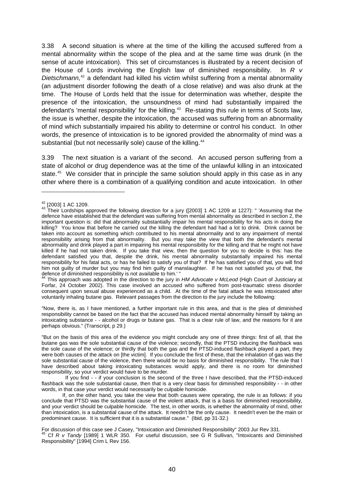3.38 A second situation is where at the time of the killing the accused suffered from a mental abnormality within the scope of the plea and at the same time was drunk (in the sense of acute intoxication). This set of circumstances is illustrated by a recent decision of the House of Lords involving the English law of diminished responsibility. In *R v*  Dietschmann,<sup>[42](#page-45-0)</sup> a defendant had killed his victim whilst suffering from a mental abnormality (an adjustment disorder following the death of a close relative) and was also drunk at the time. The House of Lords held that the issue for determination was whether, despite the presence of the intoxication, the unsoundness of mind had substantially impaired the defendant's 'mental responsibility' for the killing.<sup>[43](#page-45-1)</sup> Re-stating this rule in terms of Scots law, the issue is whether, despite the intoxication, the accused was suffering from an abnormality of mind which substantially impaired his ability to determine or control his conduct. In other words, the presence of intoxication is to be ignored provided the abnormality of mind was a substantial (but not necessarily sole) cause of the killing.<sup>[44](#page-45-2)</sup>

3.39 The next situation is a variant of the second. An accused person suffering from a state of alcohol or drug dependence was at the time of the unlawful killing in an intoxicated state.<sup>[45](#page-45-3)</sup> We consider that in principle the same solution should apply in this case as in any other where there is a combination of a qualifying condition and acute intoxication. In other

-

<span id="page-45-2"></span>44 This approach was adopted in the direction to the jury in *HM Advocate v McLeod* (High Court of Justiciary at Forfar, 24 October 2002). This case involved an accused who suffered from post-traumatic stress disorder consequent upon sexual abuse experienced as a child. At the time of the fatal attack he was intoxicated after voluntarily inhaling butane gas. Relevant passages from the direction to the jury include the following:

"Now, there is, as I have mentioned, a further important rule in this area, and that is the plea of diminished responsibility cannot be based on the fact that the accused has induced mental abnormality himself by taking an intoxicating substance - - alcohol or drugs or butane gas. That is a clear rule of law, and the reasons for it are perhaps obvious." (Transcript, p 29.)

"But on the basis of this area of the evidence you might conclude any one of three things: first of all, that the butane gas was the sole substantial cause of the violence; secondly, that the PTSD inducing the flashback was the sole cause of the violence; or thirdly that both the gas and the PTSD-induced flashback played a part, they were both causes of the attack on [the victim]. If you conclude the first of these, that the inhalation of gas was the sole substantial cause of the violence, then there would be no basis for diminished responsibility. The rule that I have described about taking intoxicating substances would apply, and there is no room for diminished responsibility, so your verdict would have to be murder.

<span id="page-45-3"></span>For discussion of this case see J Casey, "Intoxication and Diminished Responsibility" 2003 Jur Rev 331.<br><sup>45</sup> Cf *R v Tandy* [1989] 1 WLR 350. For useful discussion, see G R Sullivan, "Intoxicants and Diminished Responsibility" [1994] Crim L Rev 156.

<span id="page-45-1"></span><span id="page-45-0"></span> $^{42}$  [2003] 1 AC 1209.<br> $^{43}$  Their Lordships approved the following direction for a jury ([2003] 1 AC 1209 at 1227): " 'Assuming that the defence have established that the defendant was suffering from mental abnormality as described in section 2, the important question is: did that abnormality substantially impair his mental responsibility for his acts in doing the killing? You know that before he carried out the killing the defendant had had a lot to drink. Drink cannot be taken into account as something which contributed to his mental abnormality and to any impairment of mental responsibility arising from that abnormality. But you may take the view that both the defendant's mental abnormality and drink played a part in impairing his mental responsibility for the killing and that he might not have killed if he had not taken drink. If you take that view, then the question for you to decide is this: has the defendant satisfied you that, despite the drink, his mental abnormality substantially impaired his mental responsibility for his fatal acts, or has he failed to satisfy you of that? If he has satisfied you of that, you will find him not guilty of murder but you may find him guilty of manslaughter. If he has not satisfied you of that, the defence of diminished responsibility is not available to him.' "

If you find - - if your conclusion is the second of the three I have described, that the PTSD-induced flashback was the sole substantial cause, then that is a very clear basis for diminished responsibility - - in other words, in that case your verdict would necessarily be culpable homicide.

If, on the other hand, you take the view that both causes were operating, the rule is as follows: if you conclude that PTSD was the substantial cause of the violent attack, that is a basis for diminished responsibility, and your verdict should be culpable homicide. The test, in other words, is whether the abnormality of mind, other than intoxication, is a substantial cause of the attack. It needn't be the only cause. It needn't even be the main or predominant cause. It is sufficient that it is a substantial cause." (Ibid, pp 31-32.)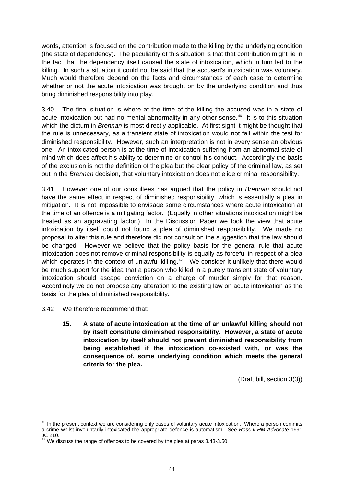words, attention is focused on the contribution made to the killing by the underlying condition (the state of dependency). The peculiarity of this situation is that that contribution might lie in the fact that the dependency itself caused the state of intoxication, which in turn led to the killing. In such a situation it could not be said that the accused's intoxication was voluntary. Much would therefore depend on the facts and circumstances of each case to determine whether or not the acute intoxication was brought on by the underlying condition and thus bring diminished responsibility into play.

3.40 The final situation is where at the time of the killing the accused was in a state of acute intoxication but had no mental abnormality in any other sense.<sup>[46](#page-46-0)</sup> It is to this situation which the dictum in *Brennan* is most directly applicable. At first sight it might be thought that the rule is unnecessary, as a transient state of intoxication would not fall within the test for diminished responsibility. However, such an interpretation is not in every sense an obvious one. An intoxicated person is at the time of intoxication suffering from an abnormal state of mind which does affect his ability to determine or control his conduct. Accordingly the basis of the exclusion is not the definition of the plea but the clear policy of the criminal law, as set out in the *Brennan* decision, that voluntary intoxication does not elide criminal responsibility.

3.41 However one of our consultees has argued that the policy in *Brennan* should not have the same effect in respect of diminished responsibility, which is essentially a plea in mitigation. It is not impossible to envisage some circumstances where acute intoxication at the time of an offence is a mitigating factor. (Equally in other situations intoxication might be treated as an aggravating factor.) In the Discussion Paper we took the view that acute intoxication by itself could not found a plea of diminished responsibility. We made no proposal to alter this rule and therefore did not consult on the suggestion that the law should be changed. However we believe that the policy basis for the general rule that acute intoxication does not remove criminal responsibility is equally as forceful in respect of a plea which operates in the context of unlawful killing.<sup>[47](#page-46-1)</sup> We consider it unlikely that there would be much support for the idea that a person who killed in a purely transient state of voluntary intoxication should escape conviction on a charge of murder simply for that reason. Accordingly we do not propose any alteration to the existing law on acute intoxication as the basis for the plea of diminished responsibility.

3.42 We therefore recommend that:

<u>.</u>

**15. A state of acute intoxication at the time of an unlawful killing should not by itself constitute diminished responsibility. However, a state of acute intoxication by itself should not prevent diminished responsibility from being established if the intoxication co-existed with, or was the consequence of, some underlying condition which meets the general criteria for the plea.** 

(Draft bill, section 3(3))

<span id="page-46-0"></span><sup>&</sup>lt;sup>46</sup> In the present context we are considering only cases of voluntary acute intoxication. Where a person commits a crime whilst involuntarily intoxicated the appropriate defence is automatism. See *Ross v HM Advocate* 1991 JC 210.

<span id="page-46-1"></span>We discuss the range of offences to be covered by the plea at paras 3.43-3.50.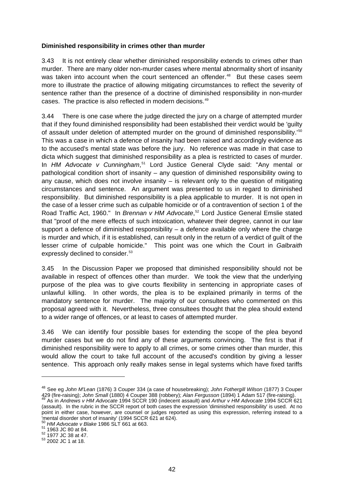### **Diminished responsibility in crimes other than murder**

3.43 It is not entirely clear whether diminished responsibility extends to crimes other than murder. There are many older non-murder cases where mental abnormality short of insanity was taken into account when the court sentenced an offender.<sup>[48](#page-47-0)</sup> But these cases seem more to illustrate the practice of allowing mitigating circumstances to reflect the severity of sentence rather than the presence of a doctrine of diminished responsibility in non-murder cases. The practice is also reflected in modern decisions.<sup>[49](#page-47-1)</sup>

3.44 There is one case where the judge directed the jury on a charge of attempted murder that if they found diminished responsibility had been established their verdict would be 'guilty of assault under deletion of attempted murder on the ground of diminished responsibility.<sup>'[50](#page-47-2)</sup> This was a case in which a defence of insanity had been raised and accordingly evidence as to the accused's mental state was before the jury. No reference was made in that case to dicta which suggest that diminished responsibility as a plea is restricted to cases of murder. In *HM Advocate v Cunningham*, [51](#page-47-3) Lord Justice General Clyde said: "Any mental or pathological condition short of insanity – any question of diminished responsibility owing to any cause, which does not involve insanity  $-$  is relevant only to the question of mitigating circumstances and sentence. An argument was presented to us in regard to diminished responsibility. But diminished responsibility is a plea applicable to murder. It is not open in the case of a lesser crime such as culpable homicide or of a contravention of section 1 of the Road Traffic Act, 1960." In *Brennan v HM Advocate*, [52](#page-47-4) Lord Justice General Emslie stated that "proof of the mere effects of such intoxication, whatever their degree, cannot in our law support a defence of diminished responsibility – a defence available only where the charge is murder and which, if it is established, can result only in the return of a verdict of guilt of the lesser crime of culpable homicide." This point was one which the Court in *Galbraith* expressly declined to consider.<sup>[53](#page-47-5)</sup>

3.45 In the Discussion Paper we proposed that diminished responsibility should not be available in respect of offences other than murder. We took the view that the underlying purpose of the plea was to give courts flexibility in sentencing in appropriate cases of unlawful killing. In other words, the plea is to be explained primarily in terms of the mandatory sentence for murder. The majority of our consultees who commented on this proposal agreed with it. Nevertheless, three consultees thought that the plea should extend to a wider range of offences, or at least to cases of attempted murder.

3.46 We can identify four possible bases for extending the scope of the plea beyond murder cases but we do not find any of these arguments convincing. The first is that if diminished responsibility were to apply to all crimes, or some crimes other than murder, this would allow the court to take full account of the accused's condition by giving a lesser sentence. This approach only really makes sense in legal systems which have fixed tariffs

<span id="page-47-0"></span><sup>48</sup> See eg *John M'Lean* (1876) 3 Couper 334 (a case of housebreaking); *John Fothergill Wilson* (1877) 3 Couper 49 (fire-raising); John Small (1880) 4 Couper 388 (robbery); Alan Fergusson (1894) 1 Adam 517 (fire-raising).<br>49 As in Andrews v HM Advocate 1994 SCCR 190 (indecent assault) and Arthur v HM Advocate 1994 SCCR 621

<span id="page-47-1"></span><sup>(</sup>assault). In the rubric in the SCCR report of both cases the expression 'diminished responsibility' is used. At no point in either case, however, are counsel or judges reported as using this expression, referring instead to a Then tal disorder short of insanity' (1994 SCCR 621 at 624).

<span id="page-47-3"></span><span id="page-47-2"></span><sup>&</sup>lt;sup>50</sup> *HM Advocate v Blake* 1986 SLT 661 at 663.<br><sup>51</sup> 1963 JC 80 at 84.<br><sup>52</sup> 1977 JC 38 at 47.<br><sup>53</sup> 2002 JC 1 at 18.

<span id="page-47-4"></span>

<span id="page-47-5"></span>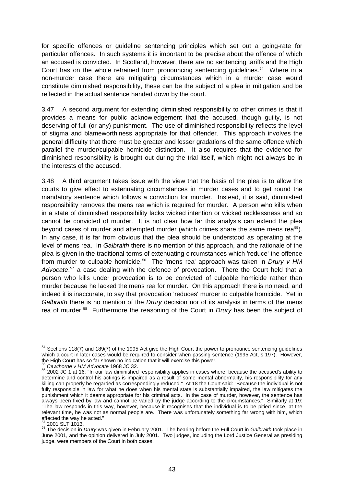for specific offences or guideline sentencing principles which set out a going-rate for particular offences. In such systems it is important to be precise about the offence of which an accused is convicted. In Scotland, however, there are no sentencing tariffs and the High Court has on the whole refrained from pronouncing sentencing quidelines.<sup>[54](#page-48-0)</sup> Where in a non-murder case there are mitigating circumstances which in a murder case would constitute diminished responsibility, these can be the subject of a plea in mitigation and be reflected in the actual sentence handed down by the court.

3.47 A second argument for extending diminished responsibility to other crimes is that it provides a means for public acknowledgement that the accused, though guilty, is not deserving of full (or any) punishment. The use of diminished responsibility reflects the level of stigma and blameworthiness appropriate for that offender. This approach involves the general difficulty that there must be greater and lesser gradations of the same offence which parallel the murder/culpable homicide distinction. It also requires that the evidence for diminished responsibility is brought out during the trial itself, which might not always be in the interests of the accused.

3.48 A third argument takes issue with the view that the basis of the plea is to allow the courts to give effect to extenuating circumstances in murder cases and to get round the mandatory sentence which follows a conviction for murder. Instead, it is said, diminished responsibility removes the mens rea which is required for murder. A person who kills when in a state of diminished responsibility lacks wicked intention or wicked recklessness and so cannot be convicted of murder. It is not clear how far this analysis can extend the plea beyond cases of murder and attempted murder (which crimes share the same mens rea $55$ ). In any case, it is far from obvious that the plea should be understood as operating at the level of mens rea. In *Galbraith* there is no mention of this approach, and the rationale of the plea is given in the traditional terms of extenuating circumstances which 'reduce' the offence from murder to culpable homicide.[56](#page-48-2) The 'mens rea' approach was taken in *Drury v HM*  Advocate,<sup>[57](#page-48-3)</sup> a case dealing with the defence of provocation. There the Court held that a person who kills under provocation is to be convicted of culpable homicide rather than murder because he lacked the mens rea for murder. On this approach there is no need, and indeed it is inaccurate, to say that provocation 'reduces' murder to culpable homicide. Yet in *Galbraith* there is no mention of the *Drury* decision nor of its analysis in terms of the mens rea of murder.[58](#page-48-4) Furthermore the reasoning of the Court in *Drury* has been the subject of

<span id="page-48-0"></span><sup>&</sup>lt;sup>54</sup> Sections 118(7) and 189(7) of the 1995 Act give the High Court the power to pronounce sentencing guidelines which a court in later cases would be required to consider when passing sentence (1995 Act, s 197). However, the High Court has so far shown no indication that it will exercise this power.<br>  $55$  Cawthorne v HM Advocate 1968 JC 32.

<span id="page-48-2"></span><span id="page-48-1"></span><sup>55</sup> *Cawthorne v HM Advocate* 1968 JC 32. 56 2002 JC 1 at 16: "In our law diminished responsibility applies in cases where, because the accused's ability to determine and control his actings is impaired as a result of some mental abnormality, his responsibility for any killing can properly be regarded as correspondingly reduced." At 18 the Court said: "Because the individual is not fully responsible in law for what he does when his mental state is substantially impaired, the law mitigates the punishment which it deems appropriate for his criminal acts. In the case of murder, however, the sentence has always been fixed by law and cannot be varied by the judge according to the circumstances." Similarly at 19: "The law responds in this way, however, because it recognises that the individual is to be pitied since, at the relevant time, he was not as normal people are. There was unfortunately something far wrong with him, which affected the way he acted."

<span id="page-48-4"></span><span id="page-48-3"></span><sup>57 2001</sup> SLT 1013. 58 The decision in *Drury* was given in February 2001. The hearing before the Full Court in *Galbraith* took place in June 2001, and the opinion delivered in July 2001. Two judges, including the Lord Justice General as presiding judge, were members of the Court in both cases.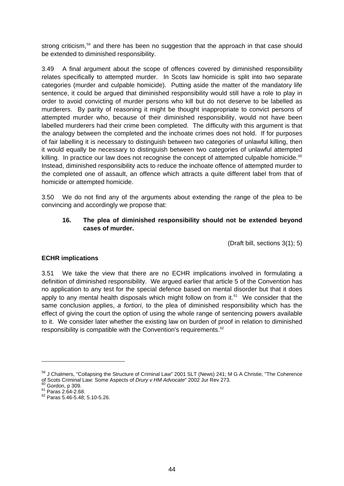strong criticism,<sup>[59](#page-49-0)</sup> and there has been no suggestion that the approach in that case should be extended to diminished responsibility.

3.49 A final argument about the scope of offences covered by diminished responsibility relates specifically to attempted murder. In Scots law homicide is split into two separate categories (murder and culpable homicide). Putting aside the matter of the mandatory life sentence, it could be argued that diminished responsibility would still have a role to play in order to avoid convicting of murder persons who kill but do not deserve to be labelled as murderers. By parity of reasoning it might be thought inappropriate to convict persons of attempted murder who, because of their diminished responsibility, would not have been labelled murderers had their crime been completed. The difficulty with this argument is that the analogy between the completed and the inchoate crimes does not hold. If for purposes of fair labelling it is necessary to distinguish between two categories of unlawful killing, then it would equally be necessary to distinguish between two categories of unlawful attempted killing. In practice our law does not recognise the concept of attempted culpable homicide.<sup>[60](#page-49-1)</sup> Instead, diminished responsibility acts to reduce the inchoate offence of attempted murder to the completed one of assault, an offence which attracts a quite different label from that of homicide or attempted homicide.

3.50 We do not find any of the arguments about extending the range of the plea to be convincing and accordingly we propose that:

# **16. The plea of diminished responsibility should not be extended beyond cases of murder.**

(Draft bill, sections 3(1); 5)

# **ECHR implications**

3.51 We take the view that there are no ECHR implications involved in formulating a definition of diminished responsibility. We argued earlier that article 5 of the Convention has no application to any test for the special defence based on mental disorder but that it does apply to any mental health disposals which might follow on from it.<sup>[61](#page-49-2)</sup> We consider that the same conclusion applies, *a fortiori*, to the plea of diminished responsibility which has the effect of giving the court the option of using the whole range of sentencing powers available to it. We consider later whether the existing law on burden of proof in relation to diminished responsibility is compatible with the Convention's requirements.<sup>[62](#page-49-3)</sup>

<span id="page-49-0"></span><sup>59</sup> J Chalmers, "Collapsing the Structure of Criminal Law" 2001 SLT (News) 241; M G A Christie, "The Coherence of Scots Criminal Law: Some Aspects of *Drury v HM Advocate*" 2002 Jur Rev 273.<br><sup>60</sup> Gordon, p 309.<br><sup>61</sup> Paras 2.64-2.68.<br><sup>62</sup> Paras 5.46-5.48; 5.10-5.26.

<span id="page-49-1"></span>

<span id="page-49-2"></span>

<span id="page-49-3"></span>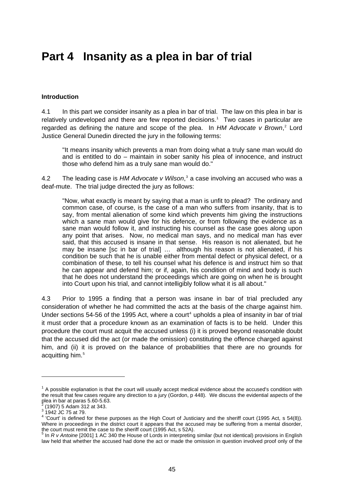# **Part 4 Insanity as a plea in bar of trial**

## **Introduction**

4.1 In this part we consider insanity as a plea in bar of trial. The law on this plea in bar is relatively undeveloped and there are few reported decisions.<sup>[1](#page-50-0)</sup> Two cases in particular are regarded as defining the nature and scope of the plea. In HM Advocate v Brown,<sup>[2](#page-50-1)</sup> Lord Justice General Dunedin directed the jury in the following terms:

"It means insanity which prevents a man from doing what a truly sane man would do and is entitled to do – maintain in sober sanity his plea of innocence, and instruct those who defend him as a truly sane man would do."

4.2 The leading case is HM Advocate v Wilson,<sup>[3](#page-50-2)</sup> a case involving an accused who was a deaf-mute. The trial judge directed the jury as follows:

"Now, what exactly is meant by saying that a man is unfit to plead? The ordinary and common case, of course, is the case of a man who suffers from insanity, that is to say, from mental alienation of some kind which prevents him giving the instructions which a sane man would give for his defence, or from following the evidence as a sane man would follow it, and instructing his counsel as the case goes along upon any point that arises. Now, no medical man says, and no medical man has ever said, that this accused is insane in that sense. His reason is not alienated, but he may be insane [sc in bar of trial] … although his reason is not alienated, if his condition be such that he is unable either from mental defect or physical defect, or a combination of these, to tell his counsel what his defence is and instruct him so that he can appear and defend him; or if, again, his condition of mind and body is such that he does not understand the proceedings which are going on when he is brought into Court upon his trial, and cannot intelligibly follow what it is all about."

4.3 Prior to 1995 a finding that a person was insane in bar of trial precluded any consideration of whether he had committed the acts at the basis of the charge against him. Under sections 5[4](#page-50-3)-56 of the 1995 Act, where a court<sup>4</sup> upholds a plea of insanity in bar of trial it must order that a procedure known as an examination of facts is to be held. Under this procedure the court must acquit the accused unless (i) it is proved beyond reasonable doubt that the accused did the act (or made the omission) constituting the offence charged against him, and (ii) it is proved on the balance of probabilities that there are no grounds for acquitting him.<sup>[5](#page-50-4)</sup>

<span id="page-50-0"></span> $1$  A possible explanation is that the court will usually accept medical evidence about the accused's condition with the result that few cases require any direction to a jury (Gordon, p 448). We discuss the evidential aspects of the plea in bar at paras 5.60-5.63.

<span id="page-50-1"></span> $\frac{2}{3}$  (1907) 5 Adam 312 at 343.<br> $\frac{3}{3}$  1942 JC 75 at 79.

<span id="page-50-3"></span><span id="page-50-2"></span> $4$  'Court' is defined for these purposes as the High Court of Justiciary and the sheriff court (1995 Act, s 54(8)). Where in proceedings in the district court it appears that the accused may be suffering from a mental disorder, the court must remit the case to the sheriff court (1995 Act, s 52A).

<span id="page-50-4"></span><sup>&</sup>lt;sup>5</sup> In *R v Antoine* [2001] 1 AC 340 the House of Lords in interpreting similar (but not identical) provisions in English law held that whether the accused had done the act or made the omission in question involved proof only of the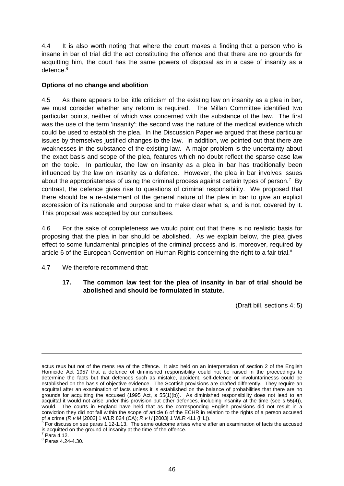4.4 It is also worth noting that where the court makes a finding that a person who is insane in bar of trial did the act constituting the offence and that there are no grounds for acquitting him, the court has the same powers of disposal as in a case of insanity as a defence.<sup>[6](#page-51-0)</sup>

## **Options of no change and abolition**

4.5 As there appears to be little criticism of the existing law on insanity as a plea in bar, we must consider whether any reform is required. The Millan Committee identified two particular points, neither of which was concerned with the substance of the law. The first was the use of the term 'insanity'; the second was the nature of the medical evidence which could be used to establish the plea. In the Discussion Paper we argued that these particular issues by themselves justified changes to the law. In addition, we pointed out that there are weaknesses in the substance of the existing law. A major problem is the uncertainty about the exact basis and scope of the plea, features which no doubt reflect the sparse case law on the topic. In particular, the law on insanity as a plea in bar has traditionally been influenced by the law on insanity as a defence. However, the plea in bar involves issues about the appropriateness of using the criminal process against certain types of person.<sup>[7](#page-51-1)</sup> By contrast, the defence gives rise to questions of criminal responsibility. We proposed that there should be a re-statement of the general nature of the plea in bar to give an explicit expression of its rationale and purpose and to make clear what is, and is not, covered by it. This proposal was accepted by our consultees.

4.6 For the sake of completeness we would point out that there is no realistic basis for proposing that the plea in bar should be abolished. As we explain below, the plea gives effect to some fundamental principles of the criminal process and is, moreover, required by article 6 of the European Convention on Human Rights concerning the right to a fair trial.<sup>[8](#page-51-2)</sup>

4.7 We therefore recommend that:

# **17. The common law test for the plea of insanity in bar of trial should be abolished and should be formulated in statute.**

(Draft bill, sections 4; 5)

<span id="page-51-1"></span>Para 4.12.

-

<span id="page-51-2"></span>8 Paras 4.24-4.30.

actus reus but not of the mens rea of the offence. It also held on an interpretation of section 2 of the English Homicide Act 1957 that a defence of diminished responsibility could not be raised in the proceedings to determine the facts but that defences such as mistake, accident, self-defence or involuntarinesss could be established on the basis of objective evidence. The Scottish provisions are drafted differently. They require an acquittal after an examination of facts unless it is established on the balance of probabilities that there are no grounds for acquitting the accused (1995 Act, s 55(1)(b)). As diminished responsibility does not lead to an acquittal it would not arise under this provision but other defences, including insanity at the time (see s 55(4)), would. The courts in England have held that as the corresponding English provisions did not result in a conviction they did not fall within the scope of article 6 of the ECHR in relation to the rights of a person accused

<span id="page-51-0"></span>of a crime (*R v M* [2002] 1 WLR 824 (CA); *R v H* [2003] 1 WLR 411 (HL)).<br><sup>6</sup> For discussion see paras 1.12-1.13. The same outcome arises where after an examination of facts the accused is acquitted on the ground of insanity at the time of the offence.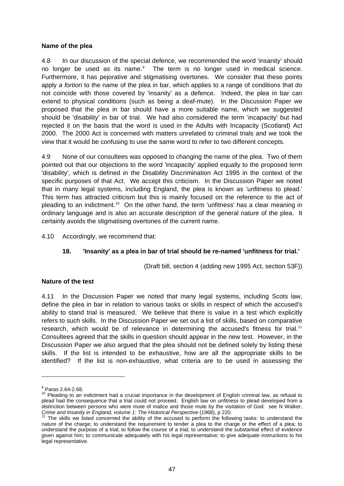#### **Name of the plea**

4.8 In our discussion of the special defence, we recommended the word 'insanity' should no longer be used as its name.<sup>[9](#page-52-0)</sup> The term is no longer used in medical science. Furthermore, it has pejorative and stigmatising overtones. We consider that these points apply *a fortiori* to the name of the plea in bar, which applies to a range of conditions that do not coincide with those covered by 'insanity' as a defence. Indeed, the plea in bar can extend to physical conditions (such as being a deaf-mute). In the Discussion Paper we proposed that the plea in bar should have a more suitable name, which we suggested should be 'disability' in bar of trial. We had also considered the term 'incapacity' but had rejected it on the basis that the word is used in the Adults with Incapacity (Scotland) Act 2000. The 2000 Act is concerned with matters unrelated to criminal trials and we took the view that it would be confusing to use the same word to refer to two different concepts.

4.9 None of our consultees was opposed to changing the name of the plea. Two of them pointed out that our objections to the word 'incapacity' applied equally to the proposed term 'disability', which is defined in the Disability Discrimination Act 1995 in the context of the specific purposes of that Act. We accept this criticism. In the Discussion Paper we noted that in many legal systems, including England, the plea is known as 'unfitness to plead.' This term has attracted criticism but this is mainly focused on the reference to the act of pleading to an indictment.<sup>[10](#page-52-1)</sup> On the other hand, the term 'unfitness' has a clear meaning in ordinary language and is also an accurate description of the general nature of the plea. It certainly avoids the stigmatising overtones of the current name.

4.10 Accordingly, we recommend that:

#### **18. 'Insanity' as a plea in bar of trial should be re-named 'unfitness for trial.'**

(Draft bill, section 4 (adding new 1995 Act, section 53F))

#### **Nature of the test**

4.11 In the Discussion Paper we noted that many legal systems, including Scots law, define the plea in bar in relation to various tasks or skills in respect of which the accused's ability to stand trial is measured. We believe that there is value in a test which explicitly refers to such skills. In the Discussion Paper we set out a list of skills, based on comparative research, which would be of relevance in determining the accused's fitness for trial.<sup>[11](#page-52-2)</sup> Consultees agreed that the skills in question should appear in the new test. However, in the Discussion Paper we also argued that the plea should not be defined solely by listing these skills. If the list is intended to be exhaustive, how are all the appropriate skills to be identified? If the list is non-exhaustive, what criteria are to be used in assessing the

 $^{9}$  Paras 2.64-2.68.

<span id="page-52-1"></span><span id="page-52-0"></span><sup>&</sup>lt;sup>10</sup> Pleading to an indictment had a crucial importance in the development of English criminal law, as refusal to plead had the consequence that a trial could not proceed. English law on unfitness to plead developed from a distinction between persons who were mute of malice and those mute by the visitation of God: see N Walker, *Crime and Insanity in England, volume 1: The Historical Perspective* (1968), p 220.<br><sup>11</sup> The skills we listed concerned the ability of the accused to perform the following tasks: to understand the

<span id="page-52-2"></span>nature of the charge; to understand the requirement to tender a plea to the charge or the effect of a plea; to understand the purpose of a trial; to follow the course of a trial; to understand the substantial effect of evidence given against him; to communicate adequately with his legal representative; to give adequate instructions to his legal representative.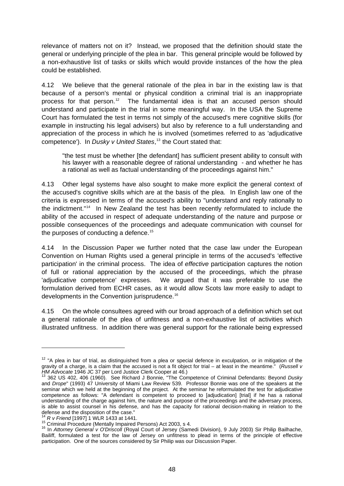relevance of matters not on it? Instead, we proposed that the definition should state the general or underlying principle of the plea in bar. This general principle would be followed by a non-exhaustive list of tasks or skills which would provide instances of the how the plea could be established.

4.12 We believe that the general rationale of the plea in bar in the existing law is that because of a person's mental or physical condition a criminal trial is an inappropriate process for that person.<sup>[12](#page-53-0)</sup> The fundamental idea is that an accused person should understand and participate in the trial in some meaningful way. In the USA the Supreme Court has formulated the test in terms not simply of the accused's mere cognitive skills (for example in instructing his legal advisers) but also by reference to a full understanding and appreciation of the process in which he is involved (sometimes referred to as 'adjudicative competence'). In *Dusky v United States*, [13](#page-53-1) the Court stated that:

"the test must be whether [the defendant] has sufficient present ability to consult with his lawyer with a reasonable degree of rational understanding - and whether he has a rational as well as factual understanding of the proceedings against him."

4.13 Other legal systems have also sought to make more explicit the general context of the accused's cognitive skills which are at the basis of the plea. In English law one of the criteria is expressed in terms of the accused's ability to "understand and reply rationally to the indictment."[14](#page-53-2) In New Zealand the test has been recently reformulated to include the ability of the accused in respect of adequate understanding of the nature and purpose or possible consequences of the proceedings and adequate communication with counsel for the purposes of conducting a defence.<sup>[15](#page-53-3)</sup>

4.14 In the Discussion Paper we further noted that the case law under the European Convention on Human Rights used a general principle in terms of the accused's 'effective participation' in the criminal process. The idea of *effective* participation captures the notion of full or rational appreciation by the accused of the proceedings, which the phrase 'adjudicative competence' expresses. We argued that it was preferable to use the formulation derived from ECHR cases, as it would allow Scots law more easily to adapt to developments in the Convention jurisprudence.[16](#page-53-4)

4.15 On the whole consultees agreed with our broad approach of a definition which set out a general rationale of the plea of unfitness and a non-exhaustive list of activities which illustrated unfitness. In addition there was general support for the rationale being expressed

<span id="page-53-0"></span><sup>&</sup>lt;sup>12</sup> "A plea in bar of trial, as distinguished from a plea or special defence in exculpation, or in mitigation of the gravity of a charge, is a claim that the accused is not a fit object for trial – at least in the meantime.<sup>"</sup> (*Russell v HM Advocate* 1946 JC 37 per Lord Justice Clerk Cooper at 46.)

<span id="page-53-1"></span>*HM Advocate* 1946 JC 37 per Lord Justice Clerk Cooper at 46.)<br><sup>13</sup> 362 US 402, 406 (1960). See Richard J Bonnie, "The Competence of Criminal Defendants: Beyond *Dusky* and *Drope*" (1993) 47 University of Miami Law Review 539. Professor Bonnie was one of the speakers at the seminar which we held at the beginning of the project. At the seminar he reformulated the test for adjudicative competence as follows: "A defendant is competent to proceed to [adjudication] [trial] if he has a rational understanding of the charge against him, the nature and purpose of the proceedings and the adversary process, is able to assist counsel in his defense, and has the capacity for rational decision-making in relation to the defense and the disposition of the case."<br> $^{14}$  R v Friend [1997] 1 WLR 1433 at 1441.

<span id="page-53-4"></span><span id="page-53-3"></span><span id="page-53-2"></span>In the principle of the USA of the U.S. (A) and the U.S. Criminal Procedure (Mentally Impaired Persons) Act 2003, s 4.<br><sup>15</sup> Criminal Procedure (Mentally Impaired Persons) Act 2003, s 4.<br><sup>16</sup> In *Attorney General v O'Drisco* Bailiff, formulated a test for the law of Jersey on unfitness to plead in terms of the principle of effective participation. One of the sources considered by Sir Philip was our Discussion Paper.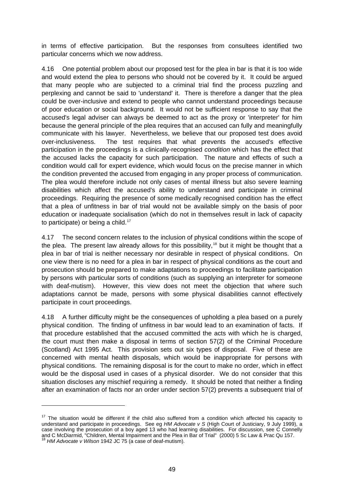in terms of effective participation. But the responses from consultees identified two particular concerns which we now address.

4.16 One potential problem about our proposed test for the plea in bar is that it is too wide and would extend the plea to persons who should not be covered by it. It could be argued that many people who are subjected to a criminal trial find the process puzzling and perplexing and cannot be said to 'understand' it. There is therefore a danger that the plea could be over-inclusive and extend to people who cannot understand proceedings because of poor education or social background. It would not be sufficient response to say that the accused's legal adviser can always be deemed to act as the proxy or 'interpreter' for him because the general principle of the plea requires that an accused can fully and meaningfully communicate with his lawyer. Nevertheless, we believe that our proposed test does avoid over-inclusiveness. The test requires that what prevents the accused's effective participation in the proceedings is a clinically-recognised *condition* which has the effect that the accused lacks the capacity for such participation. The nature and effects of such a condition would call for expert evidence, which would focus on the precise manner in which the condition prevented the accused from engaging in any proper process of communication. The plea would therefore include not only cases of mental illness but also severe learning disabilities which affect the accused's ability to understand and participate in criminal proceedings. Requiring the presence of some medically recognised condition has the effect that a plea of unfitness in bar of trial would not be available simply on the basis of poor education or inadequate socialisation (which do not in themselves result in lack of capacity to participate) or being a child.<sup>[17](#page-54-0)</sup>

4.17 The second concern relates to the inclusion of physical conditions within the scope of the plea. The present law already allows for this possibility,<sup>[18](#page-54-1)</sup> but it might be thought that a plea in bar of trial is neither necessary nor desirable in respect of physical conditions. On one view there is no need for a plea in bar in respect of physical conditions as the court and prosecution should be prepared to make adaptations to proceedings to facilitate participation by persons with particular sorts of conditions (such as supplying an interpreter for someone with deaf-mutism). However, this view does not meet the objection that where such adaptations cannot be made, persons with some physical disabilities cannot effectively participate in court proceedings.

4.18 A further difficulty might be the consequences of upholding a plea based on a purely physical condition. The finding of unfitness in bar would lead to an examination of facts. If that procedure established that the accused committed the acts with which he is charged, the court must then make a disposal in terms of section 57(2) of the Criminal Procedure (Scotland) Act 1995 Act. This provision sets out six types of disposal. Five of these are concerned with mental health disposals, which would be inappropriate for persons with physical conditions. The remaining disposal is for the court to make no order, which in effect would be the disposal used in cases of a physical disorder. We do not consider that this situation discloses any mischief requiring a remedy. It should be noted that neither a finding after an examination of facts nor an order under section 57(2) prevents a subsequent trial of

<span id="page-54-0"></span><sup>&</sup>lt;sup>17</sup> The situation would be different if the child also suffered from a condition which affected his capacity to understand and participate in proceedings. See eg *HM Advocate v S* (High Court of Justiciary, 9 July 1999), a case involving the prosecution of a boy aged 13 who had learning disabilities. For discussion, see C Connelly and C McDiarmid, "Children, Mental Impairment and the Plea in Bar of Trial" (2000) 5 Sc Law & Prac Qu 157.<br><sup>18</sup> *HM Advocate v Wilson* 1942 JC 75 (a case of deaf-mutism).

<span id="page-54-1"></span>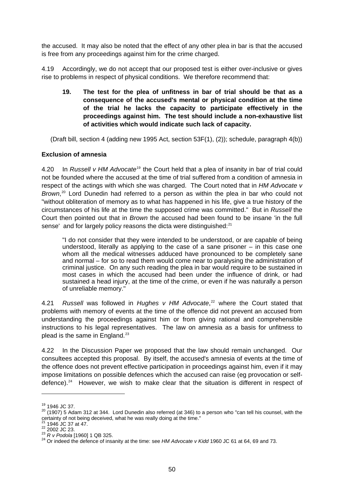the accused. It may also be noted that the effect of any other plea in bar is that the accused is free from any proceedings against him for the crime charged.

4.19 Accordingly, we do not accept that our proposed test is either over-inclusive or gives rise to problems in respect of physical conditions. We therefore recommend that:

**19. The test for the plea of unfitness in bar of trial should be that as a consequence of the accused's mental or physical condition at the time of the trial he lacks the capacity to participate effectively in the proceedings against him. The test should include a non-exhaustive list of activities which would indicate such lack of capacity.** 

(Draft bill, section 4 (adding new 1995 Act, section 53F(1), (2)); schedule, paragraph 4(b))

## **Exclusion of amnesia**

4.20 In *Russell v HM Advocate*[19](#page-55-0) the Court held that a plea of insanity in bar of trial could not be founded where the accused at the time of trial suffered from a condition of amnesia in respect of the actings with which she was charged. The Court noted that in *HM Advocate v*  Brown,<sup>[20](#page-55-1)</sup> Lord Dunedin had referred to a person as within the plea in bar who could not "without obliteration of memory as to what has happened in his life, give a true history of the circumstances of his life at the time the supposed crime was committed." But in *Russell* the Court then pointed out that in *Brown* the accused had been found to be insane 'in the full sense' and for largely policy reasons the dicta were distinguished:<sup>[21](#page-55-2)</sup>

"I do not consider that they were intended to be understood, or are capable of being understood, literally as applying to the case of a sane prisoner – in this case one whom all the medical witnesses adduced have pronounced to be completely sane and normal – for so to read them would come near to paralysing the administration of criminal justice. On any such reading the plea in bar would require to be sustained in most cases in which the accused had been under the influence of drink, or had sustained a head injury, at the time of the crime, or even if he was naturally a person of unreliable memory."

4.21 *Russell* was followed in *Hughes v HM Advocate*, [22](#page-55-3) where the Court stated that problems with memory of events at the time of the offence did not prevent an accused from understanding the proceedings against him or from giving rational and comprehensible instructions to his legal representatives. The law on amnesia as a basis for unfitness to plead is the same in England. $^{23}$  $^{23}$  $^{23}$ 

4.22 In the Discussion Paper we proposed that the law should remain unchanged. Our consultees accepted this proposal. By itself, the accused's amnesia of events at the time of the offence does not prevent effective participation in proceedings against him, even if it may impose limitations on possible defences which the accused can raise (eg provocation or self-defence).<sup>[24](#page-55-5)</sup> However, we wish to make clear that the situation is different in respect of

<span id="page-55-1"></span><span id="page-55-0"></span><sup>&</sup>lt;sup>19</sup> 1946 JC 37.<br><sup>20</sup> (1907) 5 Adam 312 at 344. Lord Dunedin also referred (at 346) to a person who "can tell his counsel, with the certainty of not being deceived, what he was really doing at the time."

<span id="page-55-5"></span><span id="page-55-4"></span>

<span id="page-55-3"></span><span id="page-55-2"></span><sup>&</sup>lt;sup>21</sup> 1946 JC 37 at 47.<br>
<sup>22</sup> 2002 JC 23.<br>
<sup>23</sup> R v Podola [1960] 1 QB 325.<br>
<sup>24</sup> Or indeed the defence of insanity at the time: see HM Advocate v Kidd 1960 JC 61 at 64, 69 and 73.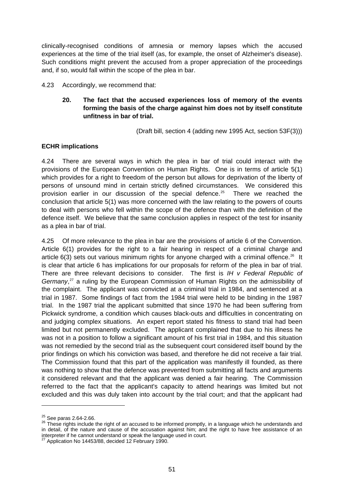clinically-recognised conditions of amnesia or memory lapses which the accused experiences at the time of the trial itself (as, for example, the onset of Alzheimer's disease). Such conditions might prevent the accused from a proper appreciation of the proceedings and, if so, would fall within the scope of the plea in bar.

#### 4.23 Accordingly, we recommend that:

# **20. The fact that the accused experiences loss of memory of the events forming the basis of the charge against him does not by itself constitute unfitness in bar of trial.**

(Draft bill, section 4 (adding new 1995 Act, section 53F(3)))

#### **ECHR implications**

4.24 There are several ways in which the plea in bar of trial could interact with the provisions of the European Convention on Human Rights. One is in terms of article 5(1) which provides for a right to freedom of the person but allows for deprivation of the liberty of persons of unsound mind in certain strictly defined circumstances. We considered this provision earlier in our discussion of the special defence.<sup>[25](#page-56-0)</sup> There we reached the conclusion that article 5(1) was more concerned with the law relating to the powers of courts to deal with persons who fell within the scope of the defence than with the definition of the defence itself. We believe that the same conclusion applies in respect of the test for insanity as a plea in bar of trial.

4.25 Of more relevance to the plea in bar are the provisions of article 6 of the Convention. Article 6(1) provides for the right to a fair hearing in respect of a criminal charge and article  $6(3)$  sets out various minimum rights for anyone charged with a criminal offence.<sup>[26](#page-56-1)</sup> It is clear that article 6 has implications for our proposals for reform of the plea in bar of trial. There are three relevant decisions to consider. The first is *IH v Federal Republic of Germany*, [27](#page-56-2) a ruling by the European Commission of Human Rights on the admissibility of the complaint. The applicant was convicted at a criminal trial in 1984, and sentenced at a trial in 1987. Some findings of fact from the 1984 trial were held to be binding in the 1987 trial. In the 1987 trial the applicant submitted that since 1970 he had been suffering from Pickwick syndrome, a condition which causes black-outs and difficulties in concentrating on and judging complex situations. An expert report stated his fitness to stand trial had been limited but not permanently excluded. The applicant complained that due to his illness he was not in a position to follow a significant amount of his first trial in 1984, and this situation was not remedied by the second trial as the subsequent court considered itself bound by the prior findings on which his conviction was based, and therefore he did not receive a fair trial. The Commission found that this part of the application was manifestly ill founded, as there was nothing to show that the defence was prevented from submitting all facts and arguments it considered relevant and that the applicant was denied a fair hearing. The Commission referred to the fact that the applicant's capacity to attend hearings was limited but not excluded and this was duly taken into account by the trial court; and that the applicant had

<span id="page-56-1"></span><span id="page-56-0"></span><sup>&</sup>lt;sup>25</sup> See paras 2.64-2.66.<br><sup>26</sup> These rights include the right of an accused to be informed promptly, in a language which he understands and in detail, of the nature and cause of the accusation against him; and the right to have free assistance of an interpreter if he cannot understand or speak the language used in court.

<span id="page-56-2"></span>Application No 14453/88, decided 12 February 1990.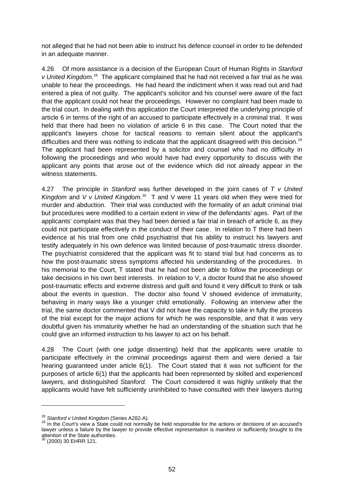not alleged that he had not been able to instruct his defence counsel in order to be defended in an adequate manner.

4.26 Of more assistance is a decision of the European Court of Human Rights in *Stanford*  v United Kingdom.<sup>[28](#page-57-0)</sup> The applicant complained that he had not received a fair trial as he was unable to hear the proceedings. He had heard the indictment when it was read out and had entered a plea of not guilty. The applicant's solicitor and his counsel were aware of the fact that the applicant could not hear the proceedings. However no complaint had been made to the trial court. In dealing with this application the Court interpreted the underlying principle of article 6 in terms of the right of an accused to participate effectively in a criminal trial. It was held that there had been no violation of article 6 in this case. The Court noted that the applicant's lawyers chose for tactical reasons to remain silent about the applicant's difficulties and there was nothing to indicate that the applicant disagreed with this decision.<sup>[29](#page-57-1)</sup> The applicant had been represented by a solicitor and counsel who had no difficulty in following the proceedings and who would have had every opportunity to discuss with the applicant any points that arose out of the evidence which did not already appear in the witness statements.

4.27 The principle in *Stanford* was further developed in the joint cases of *T v United*  Kingdom and *V v United Kingdom*.<sup>[30](#page-57-2)</sup> T and V were 11 years old when they were tried for murder and abduction. Their trial was conducted with the formality of an adult criminal trial but procedures were modified to a certain extent in view of the defendants' ages. Part of the applicants' complaint was that they had been denied a fair trial in breach of article 6, as they could not participate effectively in the conduct of their case. In relation to T there had been evidence at his trial from one child psychiatrist that his ability to instruct his lawyers and testify adequately in his own defence was limited because of post-traumatic stress disorder. The psychiatrist considered that the applicant was fit to stand trial but had concerns as to how the post-traumatic stress symptoms affected his understanding of the procedures. In his memorial to the Court, T stated that he had not been able to follow the proceedings or take decisions in his own best interests. In relation to V, a doctor found that he also showed post-traumatic effects and extreme distress and guilt and found it very difficult to think or talk about the events in question. The doctor also found V showed evidence of immaturity, behaving in many ways like a younger child emotionally. Following an interview after the trial, the same doctor commented that V did not have the capacity to take in fully the process of the trial except for the major actions for which he was responsible, and that it was very doubtful given his immaturity whether he had an understanding of the situation such that he could give an informed instruction to his lawyer to act on his behalf.

4.28 The Court (with one judge dissenting) held that the applicants were unable to participate effectively in the criminal proceedings against them and were denied a fair hearing guaranteed under article 6(1). The Court stated that it was not sufficient for the purposes of article 6(1) that the applicants had been represented by skilled and experienced lawyers, and distinguished *Stanford.* The Court considered it was highly unlikely that the applicants would have felt sufficiently uninhibited to have consulted with their lawyers during

<span id="page-57-1"></span><span id="page-57-0"></span><sup>&</sup>lt;sup>28</sup> Stanford v United Kingdom (Series A282-A).<br><sup>29</sup> In the Court's view a State could not normally be held responsible for the actions or decisions of an accused's lawyer unless a failure by the lawyer to provide effective representation is manifest or sufficiently brought to the attention of the State authorities. 30 (2000) 30 EHRR 121.

<span id="page-57-2"></span>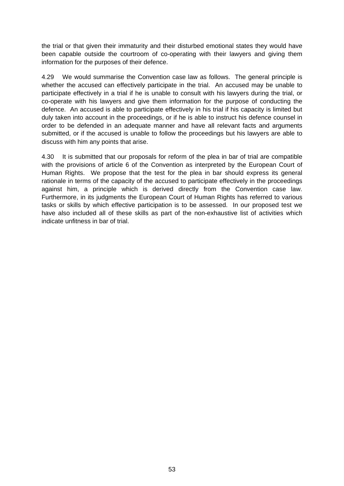the trial or that given their immaturity and their disturbed emotional states they would have been capable outside the courtroom of co-operating with their lawyers and giving them information for the purposes of their defence.

4.29 We would summarise the Convention case law as follows. The general principle is whether the accused can effectively participate in the trial. An accused may be unable to participate effectively in a trial if he is unable to consult with his lawyers during the trial, or co-operate with his lawyers and give them information for the purpose of conducting the defence. An accused is able to participate effectively in his trial if his capacity is limited but duly taken into account in the proceedings, or if he is able to instruct his defence counsel in order to be defended in an adequate manner and have all relevant facts and arguments submitted, or if the accused is unable to follow the proceedings but his lawyers are able to discuss with him any points that arise.

4.30 It is submitted that our proposals for reform of the plea in bar of trial are compatible with the provisions of article 6 of the Convention as interpreted by the European Court of Human Rights. We propose that the test for the plea in bar should express its general rationale in terms of the capacity of the accused to participate effectively in the proceedings against him, a principle which is derived directly from the Convention case law. Furthermore, in its judgments the European Court of Human Rights has referred to various tasks or skills by which effective participation is to be assessed. In our proposed test we have also included all of these skills as part of the non-exhaustive list of activities which indicate unfitness in bar of trial.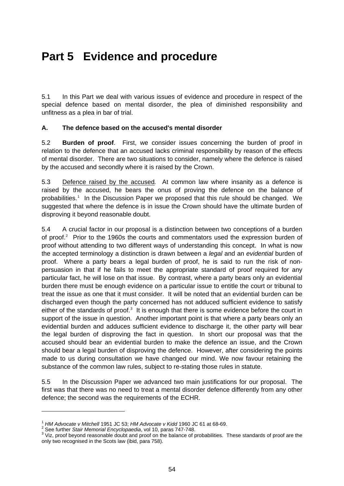# **Part 5 Evidence and procedure**

5.1 In this Part we deal with various issues of evidence and procedure in respect of the special defence based on mental disorder, the plea of diminished responsibility and unfitness as a plea in bar of trial.

## **A. The defence based on the accused's mental disorder**

5.2 **Burden of proof**. First, we consider issues concerning the burden of proof in relation to the defence that an accused lacks criminal responsibility by reason of the effects of mental disorder. There are two situations to consider, namely where the defence is raised by the accused and secondly where it is raised by the Crown.

5.3 Defence raised by the accused*.* At common law where insanity as a defence is raised by the accused, he bears the onus of proving the defence on the balance of probabilities.<sup>[1](#page-59-0)</sup> In the Discussion Paper we proposed that this rule should be changed. We suggested that where the defence is in issue the Crown should have the ultimate burden of disproving it beyond reasonable doubt.

5.4 A crucial factor in our proposal is a distinction between two conceptions of a burden of proof. $2$  Prior to the 1960s the courts and commentators used the expression burden of proof without attending to two different ways of understanding this concept. In what is now the accepted terminology a distinction is drawn between a *legal* and an *evidential* burden of proof. Where a party bears a legal burden of proof, he is said to run the risk of nonpersuasion in that if he fails to meet the appropriate standard of proof required for any particular fact, he will lose on that issue. By contrast, where a party bears only an evidential burden there must be enough evidence on a particular issue to entitle the court or tribunal to treat the issue as one that it must consider. It will be noted that an evidential burden can be discharged even though the party concerned has not adduced sufficient evidence to satisfy either of the standards of proof. $3$  It is enough that there is some evidence before the court in support of the issue in question. Another important point is that where a party bears only an evidential burden and adduces sufficient evidence to discharge it, the other party will bear the legal burden of disproving the fact in question. In short our proposal was that the accused should bear an evidential burden to make the defence an issue, and the Crown should bear a legal burden of disproving the defence. However, after considering the points made to us during consultation we have changed our mind. We now favour retaining the substance of the common law rules, subject to re-stating those rules in statute.

5.5 In the Discussion Paper we advanced two main justifications for our proposal. The first was that there was no need to treat a mental disorder defence differently from any other defence; the second was the requirements of the ECHR.

<sup>&</sup>lt;sup>1</sup> *HM Advocate v Mitchell* 1951 JC 53; *HM Advocate v Kidd* 1960 JC 61 at 68-69.<br><sup>2</sup> See further Stair Mamerial Enguglapoodie, vol 10, perse 747,748.

<span id="page-59-1"></span><span id="page-59-0"></span><sup>&</sup>lt;sup>2</sup> See further *Stair Memorial Encyclopaedia*, vol 10, paras 747-748.<br><sup>3</sup> Viz. preef bevend ressensble deubt and preef ap the belance of p

<span id="page-59-2"></span><sup>&</sup>lt;sup>3</sup> Viz, proof beyond reasonable doubt and proof on the balance of probabilities. These standards of proof are the only two recognised in the Scots law (ibid, para 758).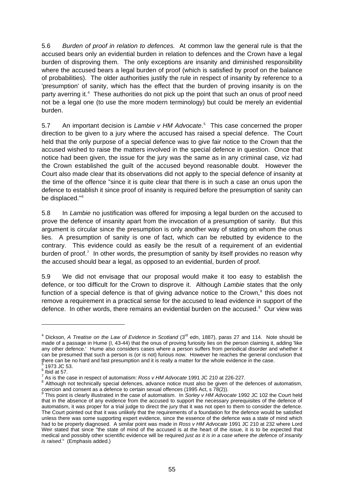5.6 *Burden of proof in relation to defences.* At common law the general rule is that the accused bears only an evidential burden in relation to defences and the Crown have a legal burden of disproving them. The only exceptions are insanity and diminished responsibility where the accused bears a legal burden of proof (which is satisfied by proof on the balance of probabilities). The older authorities justify the rule in respect of insanity by reference to a 'presumption' of sanity, which has the effect that the burden of proving insanity is on the party averring it.<sup>[4](#page-60-0)</sup> These authorities do not pick up the point that such an onus of proof need not be a legal one (to use the more modern terminology) but could be merely an evidential burden.

5.7 An important decision is *Lambie v HM Advocate*. [5](#page-60-1) This case concerned the proper direction to be given to a jury where the accused has raised a special defence. The Court held that the only purpose of a special defence was to give fair notice to the Crown that the accused wished to raise the matters involved in the special defence in question. Once that notice had been given, the issue for the jury was the same as in any criminal case, viz had the Crown established the guilt of the accused beyond reasonable doubt. However the Court also made clear that its observations did not apply to the special defence of insanity at the time of the offence "since it is quite clear that there is in such a case an onus upon the defence to establish it since proof of insanity is required before the presumption of sanity can be displaced."<sup>[6](#page-60-2)</sup>

5.8 In *Lambie* no justification was offered for imposing a legal burden on the accused to prove the defence of insanity apart from the invocation of a presumption of sanity. But this argument is circular since the presumption is only another way of stating on whom the onus lies. A presumption of sanity is one of fact, which can be rebutted by evidence to the contrary. This evidence could as easily be the result of a requirement of an evidential burden of proof.<sup>[7](#page-60-3)</sup> In other words, the presumption of sanity by itself provides no reason why the accused should bear a legal, as opposed to an evidential, burden of proof.

5.9 We did not envisage that our proposal would make it too easy to establish the defence, or too difficult for the Crown to disprove it. Although *Lambie* states that the only function of a special defence is that of giving advance notice to the Crown, $<sup>8</sup>$  $<sup>8</sup>$  $<sup>8</sup>$  this does not</sup> remove a requirement in a practical sense for the accused to lead evidence in support of the defence. In other words, there remains an evidential burden on the accused.<sup>[9](#page-60-5)</sup> Our view was

<span id="page-60-0"></span><sup>&</sup>lt;sup>4</sup> Dickson, *A Treatise on the Law of Evidence in Scotland* (3<sup>rd</sup> edn, 1887), paras 27 and 114. Note should be made of a passage in Hume (I, 43-44) that the onus of proving furiosity lies on the person claiming it, adding 'like any other defence.' Hume also considers cases where a person suffers from periodical disorder and whether it can be presumed that such a person is (or is not) furious now. However he reaches the general conclusion that there can be no hard and fast presumption and it is really a matter for the whole evidence in the case.

<span id="page-60-1"></span> <sup>1973</sup> JC 53.

<span id="page-60-2"></span> $<sup>6</sup>$  Ibid at 57.</sup>

<sup>&</sup>lt;sup>7</sup> As is the case in respect of automatism: *Ross v HM Advocate* 1991 JC 210 at 226-227.<br><sup>8</sup> Although not technically apocial defenses, advance paties must also be given of the c

<span id="page-60-4"></span><span id="page-60-3"></span><sup>&</sup>lt;sup>8</sup> Although not technically special defences, advance notice must also be given of the defences of automatism, coercion and consent as a defence to certain sexual offences (1995 Act, s 78(2)).<br><sup>9</sup> This point is closent as a defence to certain sexual offences (1995 Act, s 78(2)).

<span id="page-60-5"></span>This point is clearly illustrated in the case of automatism. In *Sorley v HM Advocate* 1992 JC 102 the Court held that in the absence of any evidence from the accused to support the necessary prerequisites of the defence of automatism, it was proper for a trial judge to direct the jury that it was not open to them to consider the defence. The Court pointed out that it was unlikely that the requirements of a foundation for the defence would be satisfied unless there was some supporting expert evidence, since the essence of the defence was a state of mind which had to be properly diagnosed. A similar point was made in *Ross v HM Advocate* 1991 JC 210 at 232 where Lord Weir stated that since "the state of mind of the accused is at the heart of the issue, it is to be expected that medical and possibly other scientific evidence will be required *just as it is in a case where the defence of insanity is raised*." (Emphasis added.)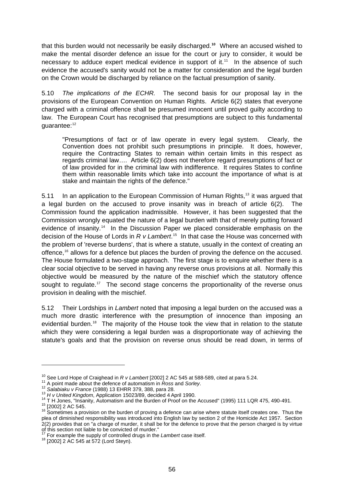that this burden would not necessarily be easily discharged.**[10](#page-61-0)** Where an accused wished to make the mental disorder defence an issue for the court or jury to consider, it would be necessary to adduce expert medical evidence in support of  $it.^{11}$  $it.^{11}$  $it.^{11}$  In the absence of such evidence the accused's sanity would not be a matter for consideration and the legal burden on the Crown would be discharged by reliance on the factual presumption of sanity.

5.10 *The implications of the ECHR.* The second basis for our proposal lay in the provisions of the European Convention on Human Rights. Article 6(2) states that everyone charged with a criminal offence shall be presumed innocent until proved guilty according to law. The European Court has recognised that presumptions are subject to this fundamental guarantee:<sup>[12](#page-61-2)</sup>

"Presumptions of fact or of law operate in every legal system. Clearly, the Convention does not prohibit such presumptions in principle. It does, however, require the Contracting States to remain within certain limits in this respect as regards criminal law…. Article 6(2) does not therefore regard presumptions of fact or of law provided for in the criminal law with indifference. It requires States to confine them within reasonable limits which take into account the importance of what is at stake and maintain the rights of the defence."

5.11 In an application to the European Commission of Human Rights,<sup>[13](#page-61-3)</sup> it was argued that a legal burden on the accused to prove insanity was in breach of article 6(2). The Commission found the application inadmissible. However, it has been suggested that the Commission wrongly equated the nature of a legal burden with that of merely putting forward evidence of insanity.<sup>[14](#page-61-4)</sup> In the Discussion Paper we placed considerable emphasis on the decision of the House of Lords in *R v Lambert*. [15](#page-61-5) In that case the House was concerned with the problem of 'reverse burdens', that is where a statute, usually in the context of creating an offence,<sup>[16](#page-61-6)</sup> allows for a defence but places the burden of proving the defence on the accused. The House formulated a two-stage approach. The first stage is to enquire whether there is a clear social objective to be served in having any reverse onus provisions at all. Normally this objective would be measured by the nature of the mischief which the statutory offence sought to regulate.<sup>[17](#page-61-7)</sup> The second stage concerns the proportionality of the reverse onus provision in dealing with the mischief.

5.12 Their Lordships in *Lambert* noted that imposing a legal burden on the accused was a much more drastic interference with the presumption of innocence than imposing an evidential burden.<sup>18</sup> The majority of the House took the view that in relation to the statute which they were considering a legal burden was a disproportionate way of achieving the statute's goals and that the provision on reverse onus should be read down, in terms of

<span id="page-61-2"></span>

<span id="page-61-3"></span>

<span id="page-61-4"></span>

<span id="page-61-6"></span><span id="page-61-5"></span>

<span id="page-61-1"></span><span id="page-61-0"></span><sup>&</sup>lt;sup>10</sup> See Lord Hope of Craighead in  $R$  v Lambert [2002] 2 AC 545 at 588-589, cited at para 5.24.<br><sup>11</sup> A point made about the defence of automatism in Ross and Sorley.<br><sup>12</sup> Salabiaku v France (1988) 13 EHRR 379, 388, para plea of diminished responsibility was introduced into English law by section 2 of the Homicide Act 1957. Section 2(2) provides that on "a charge of murder, it shall be for the defence to prove that the person charged is by virtue

<span id="page-61-7"></span>of this section not liable to be convicted of murder."<br><sup>17</sup> For example the supply of controlled drugs in the *Lambert* case itself.<br><sup>18</sup> [2002] 2 AC 545 at 572 (Lord Steyn).

<span id="page-61-8"></span>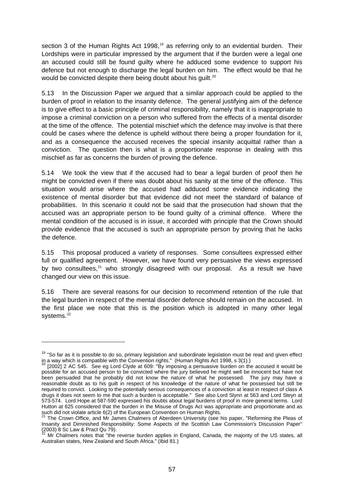section 3 of the Human Rights Act [19](#page-62-0)98,<sup>19</sup> as referring only to an evidential burden. Their Lordships were in particular impressed by the argument that if the burden were a legal one an accused could still be found guilty where he adduced some evidence to support his defence but not enough to discharge the legal burden on him. The effect would be that he would be convicted despite there being doubt about his quilt.<sup>[20](#page-62-1)</sup>

5.13 In the Discussion Paper we argued that a similar approach could be applied to the burden of proof in relation to the insanity defence. The general justifying aim of the defence is to give effect to a basic principle of criminal responsibility, namely that it is inappropriate to impose a criminal conviction on a person who suffered from the effects of a mental disorder at the time of the offence. The potential mischief which the defence may involve is that there could be cases where the defence is upheld without there being a proper foundation for it, and as a consequence the accused receives the special insanity acquittal rather than a conviction. The question then is what is a proportionate response in dealing with this mischief as far as concerns the burden of proving the defence.

5.14 We took the view that if the accused had to bear a legal burden of proof then he might be convicted even if there was doubt about his sanity at the time of the offence. This situation would arise where the accused had adduced some evidence indicating the existence of mental disorder but that evidence did not meet the standard of balance of probabilities. In this scenario it could not be said that the prosecution had shown that the accused was an appropriate person to be found guilty of a criminal offence. Where the mental condition of the accused is in issue, it accorded with principle that the Crown should provide evidence that the accused is such an appropriate person by proving that he lacks the defence.

5.15 This proposal produced a variety of responses. Some consultees expressed either full or qualified agreement. However, we have found very persuasive the views expressed by two consultees, $21$  who strongly disagreed with our proposal. As a result we have changed our view on this issue.

5.16 There are several reasons for our decision to recommend retention of the rule that the legal burden in respect of the mental disorder defence should remain on the accused. In the first place we note that this is the position which is adopted in many other legal systems.<sup>[22](#page-62-3)</sup>

<span id="page-62-0"></span><sup>&</sup>lt;sup>19</sup> "So far as it is possible to do so, primary legislation and subordinate legislation must be read and given effect in a way which is compatible with the Convention rights." (Human Rights Act 1998, s 3(1).)<br><sup>20</sup> [2002] 2 AC 545. See eg Lord Clyde at 609: "By imposing a persuasive burden on the accused it would be

<span id="page-62-1"></span>possible for an accused person to be convicted where the jury believed he might well be innocent but have not been persuaded that he probably did not know the nature of what he possessed. The jury may have a reasonable doubt as to his guilt in respect of his knowledge of the nature of what he possessed but still be required to convict. Looking to the potentially serious consequences of a conviction at least in respect of class A drugs it does not seem to me that such a burden is acceptable." See also Lord Slynn at 563 and Lord Steyn at 573-574. Lord Hope at 587-590 expressed his doubts about legal burdens of proof in more general terms. Lord Hutton at 625 considered that the burden in the Misuse of Drugs Act was appropriate and proportionate and as

<span id="page-62-2"></span>such did not violate article 6(2) of the European Convention on Human Rights.<br><sup>21</sup> The Crown Office, and Mr James Chalmers of Aberdeen University (see his paper, "Reforming the Pleas of Insanity and Diminished Responsibility: Some Aspects of the Scottish Law Commission's Discussion Paper"  $(2003)$  8 Sc Law & Pract Qu 79).

<span id="page-62-3"></span> $^{22}$  Mr Chalmers notes that "the reverse burden applies in England, Canada, the majority of the US states, all Australian states, New Zealand and South Africa." (Ibid 81.)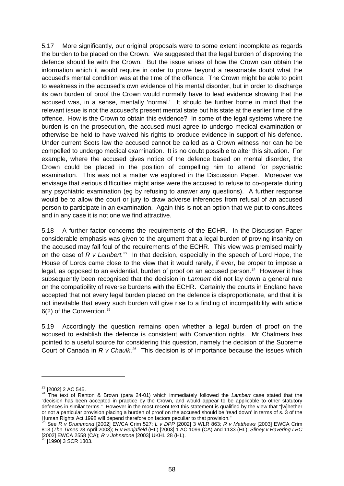5.17 More significantly, our original proposals were to some extent incomplete as regards the burden to be placed on the Crown. We suggested that the legal burden of disproving the defence should lie with the Crown. But the issue arises of how the Crown can obtain the information which it would require in order to prove beyond a reasonable doubt what the accused's mental condition was at the time of the offence. The Crown might be able to point to weakness in the accused's own evidence of his mental disorder, but in order to discharge its own burden of proof the Crown would normally have to lead evidence showing that the accused was, in a sense, mentally 'normal.' It should be further borne in mind that the relevant issue is not the accused's present mental state but his state at the earlier time of the offence. How is the Crown to obtain this evidence? In some of the legal systems where the burden is on the prosecution, the accused must agree to undergo medical examination or otherwise be held to have waived his rights to produce evidence in support of his defence. Under current Scots law the accused cannot be called as a Crown witness nor can he be compelled to undergo medical examination. It is no doubt possible to alter this situation. For example, where the accused gives notice of the defence based on mental disorder, the Crown could be placed in the position of compelling him to attend for psychiatric examination. This was not a matter we explored in the Discussion Paper. Moreover we envisage that serious difficulties might arise were the accused to refuse to co-operate during any psychiatric examination (eg by refusing to answer any questions). A further response would be to allow the court or jury to draw adverse inferences from refusal of an accused person to participate in an examination. Again this is not an option that we put to consultees and in any case it is not one we find attractive.

5.18 A further factor concerns the requirements of the ECHR. In the Discussion Paper considerable emphasis was given to the argument that a legal burden of proving insanity on the accused may fall foul of the requirements of the ECHR. This view was premised mainly on the case of *R v Lambert.[23](#page-63-0)* In that decision, especially in the speech of Lord Hope, the House of Lords came close to the view that it would rarely, if ever, be proper to impose a legal, as opposed to an evidential, burden of proof on an accused person.<sup>[24](#page-63-1)</sup> However it has subsequently been recognised that the decision in *Lambert* did not lay down a general rule on the compatibility of reverse burdens with the ECHR. Certainly the courts in England have accepted that not every legal burden placed on the defence is disproportionate, and that it is not inevitable that every such burden will give rise to a finding of incompatibility with article  $6(2)$  of the Convention.<sup>[25](#page-63-2)</sup>

5.19 Accordingly the question remains open whether a legal burden of proof on the accused to establish the defence is consistent with Convention rights. Mr Chalmers has pointed to a useful source for considering this question, namely the decision of the Supreme Court of Canada in *R v Chaulk*.<sup>[26](#page-63-3)</sup> This decision is of importance because the issues which

<span id="page-63-1"></span><span id="page-63-0"></span><sup>23 [2002] 2</sup> AC 545. 24 The text of Renton & Brown (para 24-01) which immediately followed the *Lambert* case stated that the "decision has been accepted in practice by the Crown, and would appear to be applicable to other statutory defences in similar terms." However in the most recent text this statement is qualified by the view that "[w]hether or not a particular provision placing a burden of proof on the accused should be 'read down' in terms of s. 3 of the<br>Human Rights Act 1998 will depend therefore on factors peculiar to that provision."<br> $\frac{25}{25}$  See By D

<span id="page-63-2"></span>Human Rights Act 1998 will depend therefore on factors peculiar to that provision." 25 See *R v Drummond* [2002] EWCA Crim 527; *L v DPP* [2002] 3 WLR 863; *R v Matthews* [2003] EWCA Crim 813 (*The Times* 28 April 2003); *R v Benjafield* (HL) [2003] 1 AC 1099 (CA) and 1133 (HL); *Sliney v Havering LBC* [2002] EWCA 2558 (CA); *R v Johnstone* [2003] UKHL 28 (HL). 26 [1990] 3 SCR 1303.

<span id="page-63-3"></span>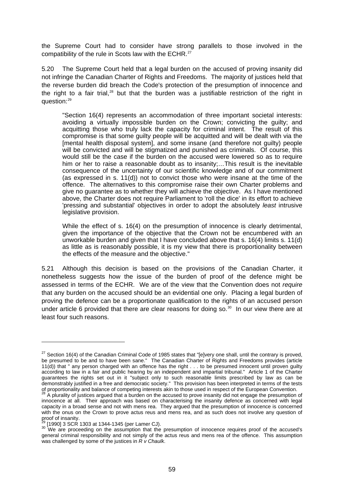the Supreme Court had to consider have strong parallels to those involved in the compatibility of the rule in Scots law with the ECHR.<sup>[27](#page-64-0)</sup>

5.20 The Supreme Court held that a legal burden on the accused of proving insanity did not infringe the Canadian Charter of Rights and Freedoms. The majority of justices held that the reverse burden did breach the Code's protection of the presumption of innocence and the right to a fair trial, $28$  but that the burden was a justifiable restriction of the right in question:[29](#page-64-2)

"Section 16(4) represents an accommodation of three important societal interests: avoiding a virtually impossible burden on the Crown; convicting the guilty; and acquitting those who truly lack the capacity for criminal intent. The result of this compromise is that some guilty people will be acquitted and will be dealt with via the [mental health disposal system], and some insane (and therefore not guilty) people will be convicted and will be stigmatized and punished as criminals. Of course, this would still be the case if the burden on the accused were lowered so as to require him or her to raise a reasonable doubt as to insanity;…This result is the inevitable consequence of the uncertainty of our scientific knowledge and of our commitment (as expressed in s. 11(d)) not to convict those who were insane at the time of the offence. The alternatives to this compromise raise their own Charter problems and give no guarantee as to whether they will achieve the objective. As I have mentioned above, the Charter does not require Parliament to 'roll the dice' in its effort to achieve 'pressing and substantial' objectives in order to adopt the absolutely *least* intrusive legislative provision.

While the effect of s. 16(4) on the presumption of innocence is clearly detrimental, given the importance of the objective that the Crown not be encumbered with an unworkable burden and given that I have concluded above that s. 16(4) limits s. 11(d) as little as is reasonably possible, it is my view that there is proportionality between the effects of the measure and the objective."

5.21 Although this decision is based on the provisions of the Canadian Charter, it nonetheless suggests how the issue of the burden of proof of the defence might be assessed in terms of the ECHR. We are of the view that the Convention does not *require* that any burden on the accused should be an evidential one only. Placing a legal burden of proving the defence can be a proportionate qualification to the rights of an accused person under article 6 provided that there are clear reasons for doing so. $30$  In our view there are at least four such reasons.

<span id="page-64-0"></span> $27$  Section 16(4) of the Canadian Criminal Code of 1985 states that "[e]very one shall, until the contrary is proved, be presumed to be and to have been sane." The Canadian Charter of Rights and Freedoms provides (article 11(d)) that " any person charged with an offence has the right . . . to be presumed innocent until proven guilty according to law in a fair and public hearing by an independent and impartial tribunal." Article 1 of the Charter guarantees the rights set out in it "subject only to such reasonable limits prescribed by law as can be demonstrably justified in a free and democratic society." This provision has been interpreted in terms of the tests of proportionality and balance of competing interests akin to those used in respect of the European Convention.<br><sup>28</sup> A plurality of justices arqued that a burden on the accused to prove insanity did not engage the presumpt

<span id="page-64-1"></span>innocence at all. Their approach was based on characterising the insanity defence as concerned with legal capacity in a broad sense and not with mens rea. They argued that the presumption of innocence is concerned with the onus on the Crown to prove actus reus and mens rea, and as such does not involve any question of proof of insanity.<br><sup>29</sup> [1990] 3 SCR 1303 at 1344-1345 (per Lamer CJ).<br><sup>30</sup> We are proceeding on the assumption that the presumption of innocence requires proof of the accused's

<span id="page-64-3"></span><span id="page-64-2"></span>general criminal responsibility and not simply of the actus reus and mens rea of the offence. This assumption was challenged by some of the justices in *R v Chaulk*.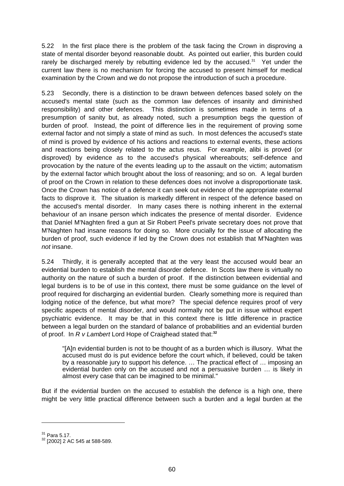5.22 In the first place there is the problem of the task facing the Crown in disproving a state of mental disorder beyond reasonable doubt. As pointed out earlier, this burden could rarely be discharged merely by rebutting evidence led by the accused.<sup>[31](#page-65-0)</sup> Yet under the current law there is no mechanism for forcing the accused to present himself for medical examination by the Crown and we do not propose the introduction of such a procedure.

5.23 Secondly, there is a distinction to be drawn between defences based solely on the accused's mental state (such as the common law defences of insanity and diminished responsibility) and other defences. This distinction is sometimes made in terms of a presumption of sanity but, as already noted, such a presumption begs the question of burden of proof. Instead, the point of difference lies in the requirement of proving some external factor and not simply a state of mind as such. In most defences the accused's state of mind is proved by evidence of his actions and reactions to external events, these actions and reactions being closely related to the actus reus. For example, alibi is proved (or disproved) by evidence as to the accused's physical whereabouts; self-defence and provocation by the nature of the events leading up to the assault on the victim; automatism by the external factor which brought about the loss of reasoning; and so on. A legal burden of proof on the Crown in relation to these defences does not involve a disproportionate task. Once the Crown has notice of a defence it can seek out evidence of the appropriate external facts to disprove it. The situation is markedly different in respect of the defence based on the accused's mental disorder. In many cases there is nothing inherent in the external behaviour of an insane person which indicates the presence of mental disorder. Evidence that Daniel M'Naghten fired a gun at Sir Robert Peel's private secretary does not prove that M'Naghten had insane reasons for doing so. More crucially for the issue of allocating the burden of proof, such evidence if led by the Crown does not establish that M'Naghten was *not* insane.

5.24 Thirdly, it is generally accepted that at the very least the accused would bear an evidential burden to establish the mental disorder defence. In Scots law there is virtually no authority on the nature of such a burden of proof. If the distinction between evidential and legal burdens is to be of use in this context, there must be some guidance on the level of proof required for discharging an evidential burden. Clearly something more is required than lodging notice of the defence, but what more? The special defence requires proof of very specific aspects of mental disorder, and would normally not be put in issue without expert psychiatric evidence. It may be that in this context there is little difference in practice between a legal burden on the standard of balance of probabilities and an evidential burden of proof. In *R v Lambert* Lord Hope of Craighead stated that:**[32](#page-65-1)**

"[A]n evidential burden is not to be thought of as a burden which is illusory. What the accused must do is put evidence before the court which, if believed, could be taken by a reasonable jury to support his defence. … The practical effect of … imposing an evidential burden only on the accused and not a persuasive burden … is likely in almost every case that can be imagined to be minimal."

But if the evidential burden on the accused to establish the defence is a high one, there might be very little practical difference between such a burden and a legal burden at the

<span id="page-65-1"></span><span id="page-65-0"></span> $31$  Para 5.17.<br> $32$  [2002] 2 AC 545 at 588-589.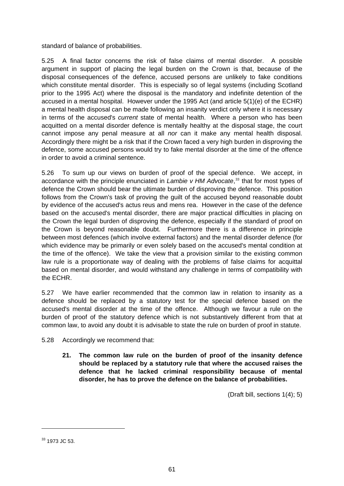standard of balance of probabilities.

5.25 A final factor concerns the risk of false claims of mental disorder. A possible argument in support of placing the legal burden on the Crown is that, because of the disposal consequences of the defence, accused persons are unlikely to fake conditions which constitute mental disorder. This is especially so of legal systems (including Scotland prior to the 1995 Act) where the disposal is the mandatory and indefinite detention of the accused in a mental hospital. However under the 1995 Act (and article 5(1)(e) of the ECHR) a mental health disposal can be made following an insanity verdict only where it is necessary in terms of the accused's *current* state of mental health. Where a person who has been acquitted on a mental disorder defence is mentally healthy at the disposal stage, the court cannot impose any penal measure at all *nor* can it make any mental health disposal. Accordingly there might be a risk that if the Crown faced a very high burden in disproving the defence, some accused persons would try to fake mental disorder at the time of the offence in order to avoid a criminal sentence.

5.26 To sum up our views on burden of proof of the special defence. We accept, in accordance with the principle enunciated in *Lambie v HM Advocate*, [33](#page-66-0) that for most types of defence the Crown should bear the ultimate burden of disproving the defence. This position follows from the Crown's task of proving the guilt of the accused beyond reasonable doubt by evidence of the accused's actus reus and mens rea. However in the case of the defence based on the accused's mental disorder, there are major practical difficulties in placing on the Crown the legal burden of disproving the defence, especially if the standard of proof on the Crown is beyond reasonable doubt. Furthermore there is a difference in principle between most defences (which involve external factors) and the mental disorder defence (for which evidence may be primarily or even solely based on the accused's mental condition at the time of the offence). We take the view that a provision similar to the existing common law rule is a proportionate way of dealing with the problems of false claims for acquittal based on mental disorder, and would withstand any challenge in terms of compatibility with the ECHR.

5.27 We have earlier recommended that the common law in relation to insanity as a defence should be replaced by a statutory test for the special defence based on the accused's mental disorder at the time of the offence. Although we favour a rule on the burden of proof of the statutory defence which is not substantively different from that at common law, to avoid any doubt it is advisable to state the rule on burden of proof in statute.

- 5.28 Accordingly we recommend that:
	- **21. The common law rule on the burden of proof of the insanity defence should be replaced by a statutory rule that where the accused raises the defence that he lacked criminal responsibility because of mental disorder, he has to prove the defence on the balance of probabilities.**

(Draft bill, sections 1(4); 5)

<span id="page-66-0"></span><sup>33 1973</sup> JC 53.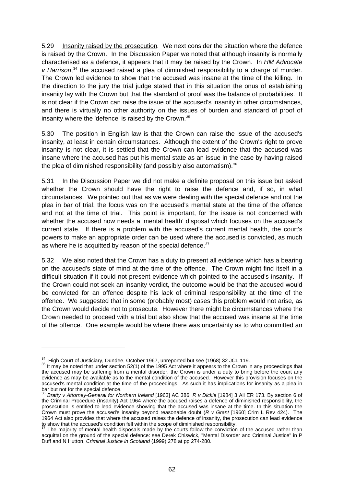5.29 Insanity raised by the prosecution*.* We next consider the situation where the defence is raised by the Crown. In the Discussion Paper we noted that although insanity is normally characterised as a defence, it appears that it may be raised by the Crown. In *HM Advocate*  v Harrison,<sup>[34](#page-67-0)</sup> the accused raised a plea of diminished responsibility to a charge of murder. The Crown led evidence to show that the accused was insane at the time of the killing. In the direction to the jury the trial judge stated that in this situation the onus of establishing insanity lay with the Crown but that the standard of proof was the balance of probabilities. It is not clear if the Crown can raise the issue of the accused's insanity in other circumstances, and there is virtually no other authority on the issues of burden and standard of proof of insanity where the 'defence' is raised by the Crown.<sup>[35](#page-67-1)</sup>

5.30 The position in English law is that the Crown can raise the issue of the accused's insanity, at least in certain circumstances. Although the extent of the Crown's right to prove insanity is not clear, it is settled that the Crown can lead evidence that the accused was insane where the accused has put his mental state as an issue in the case by having raised the plea of diminished responsibility (and possibly also automatism).  $36$ 

5.31 In the Discussion Paper we did not make a definite proposal on this issue but asked whether the Crown should have the right to raise the defence and, if so, in what circumstances. We pointed out that as we were dealing with the special defence and not the plea in bar of trial, the focus was on the accused's mental state at the time of the offence and not at the time of trial. This point is important, for the issue is not concerned with whether the accused now needs a 'mental health' disposal which focuses on the accused's current state. If there is a problem with the accused's current mental health, the court's powers to make an appropriate order can be used where the accused is convicted, as much as where he is acquitted by reason of the special defence.<sup>[37](#page-67-3)</sup>

5.32 We also noted that the Crown has a duty to present all evidence which has a bearing on the accused's state of mind at the time of the offence. The Crown might find itself in a difficult situation if it could not present evidence which pointed to the accused's insanity. If the Crown could not seek an insanity verdict, the outcome would be that the accused would be convicted for an offence despite his lack of criminal responsibility at the time of the offence. We suggested that in some (probably most) cases this problem would not arise, as the Crown would decide not to prosecute. However there might be circumstances where the Crown needed to proceed with a trial but also show that the accused was insane at the time of the offence. One example would be where there was uncertainty as to who committed an

<span id="page-67-1"></span><span id="page-67-0"></span><sup>&</sup>lt;sup>34</sup> High Court of Justiciary, Dundee, October 1967, unreported but see (1968) 32 JCL 119.<br><sup>35</sup> It may be noted that under section 52(1) of the 1995 Act where it appears to the Crown in any proceedings that the accused may be suffering from a mental disorder, the Crown is under a duty to bring before the court any evidence as may be available as to the mental condition of the accused. However this provision focuses on the accused's mental condition at the time of the proceedings. As such it has implications for insanity as a plea in bar but not for the special defence.

<span id="page-67-2"></span><sup>36</sup> *Bratty v Attorney-General for Northern Ireland* [1963] AC 386; *R v Dickie* [1984] 3 All ER 173. By section 6 of the Criminal Procedure (Insanity) Act 1964 where the accused raises a defence of diminished responsibility, the prosecution is entitled to lead evidence showing that the accused was insane at the time. In this situation the Crown must prove the accused's insanity beyond reasonable doubt (*R v Grant* [1960] Crim L Rev 424). The 1964 Act also provides that where the accused raises the defence of insanity, the prosecution can lead evidence to show that the accused's condition fell within the scope of diminished responsibility.

<span id="page-67-3"></span>The majority of mental health disposals made by the courts follow the conviction of the accused rather than acquittal on the ground of the special defence: see Derek Chiswick, "Mental Disorder and Criminal Justice" in P Duff and N Hutton, *Criminal Justice in Scotland* (1999) 278 at pp 274-280.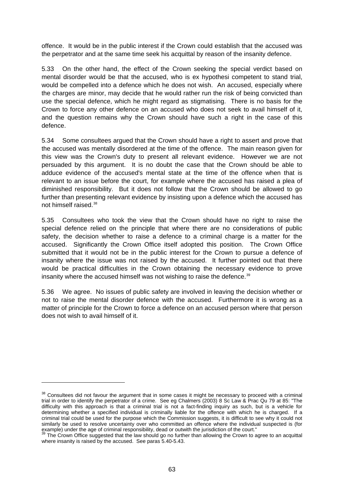offence. It would be in the public interest if the Crown could establish that the accused was the perpetrator and at the same time seek his acquittal by reason of the insanity defence.

5.33 On the other hand, the effect of the Crown seeking the special verdict based on mental disorder would be that the accused, who is ex hypothesi competent to stand trial, would be compelled into a defence which he does not wish. An accused, especially where the charges are minor, may decide that he would rather run the risk of being convicted than use the special defence, which he might regard as stigmatising. There is no basis for the Crown to force any other defence on an accused who does not seek to avail himself of it, and the question remains why the Crown should have such a right in the case of this defence.

5.34 Some consultees argued that the Crown should have a right to assert and prove that the accused was mentally disordered at the time of the offence. The main reason given for this view was the Crown's duty to present all relevant evidence. However we are not persuaded by this argument. It is no doubt the case that the Crown should be able to adduce evidence of the accused's mental state at the time of the offence when that is relevant to an issue before the court, for example where the accused has raised a plea of diminished responsibility. But it does not follow that the Crown should be allowed to go further than presenting relevant evidence by insisting upon a defence which the accused has not himself raised.[38](#page-68-0)

5.35 Consultees who took the view that the Crown should have no right to raise the special defence relied on the principle that where there are no considerations of public safety, the decision whether to raise a defence to a criminal charge is a matter for the accused. Significantly the Crown Office itself adopted this position. The Crown Office submitted that it would not be in the public interest for the Crown to pursue a defence of insanity where the issue was not raised by the accused. It further pointed out that there would be practical difficulties in the Crown obtaining the necessary evidence to prove insanity where the accused himself was not wishing to raise the defence.<sup>[39](#page-68-1)</sup>

5.36 We agree. No issues of public safety are involved in leaving the decision whether or not to raise the mental disorder defence with the accused. Furthermore it is wrong as a matter of principle for the Crown to force a defence on an accused person where that person does not wish to avail himself of it.

<span id="page-68-0"></span><sup>&</sup>lt;sup>38</sup> Consultees did not favour the argument that in some cases it might be necessary to proceed with a criminal trial in order to identify the perpetrator of a crime. See eg Chalmers (2003) 8 Sc Law & Prac Qu 79 at 85: "The difficulty with this approach is that a criminal trial is not a fact-finding inquiry as such, but is a vehicle for determining whether a specified individual is criminally liable for the offence with which he is charged. If a criminal trial could be used for the purpose which the Commission suggests, it is difficult to see why it could not similarly be used to resolve uncertainty over who committed an offence where the individual suspected is (for example) under the age of criminal responsibility, dead or outwith the jurisdiction of the court."<br><sup>39</sup> The Crown Office suggested that the law should go no further than allowing the Crown to agree to an acquittal

<span id="page-68-1"></span>where insanity is raised by the accused. See paras 5.40-5.43.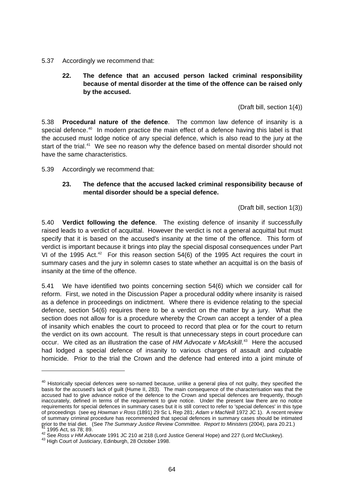#### 5.37 Accordingly we recommend that:

# **22. The defence that an accused person lacked criminal responsibility because of mental disorder at the time of the offence can be raised only by the accused.**

(Draft bill, section 1(4))

5.38 **Procedural nature of the defence**. The common law defence of insanity is a special defence.<sup>[40](#page-69-0)</sup> In modern practice the main effect of a defence having this label is that the accused must lodge notice of any special defence, which is also read to the jury at the start of the trial.<sup>[41](#page-69-1)</sup> We see no reason why the defence based on mental disorder should not have the same characteristics.

5.39 Accordingly we recommend that:

## **23. The defence that the accused lacked criminal responsibility because of mental disorder should be a special defence.**

(Draft bill, section 1(3))

5.40 **Verdict following the defence**. The existing defence of insanity if successfully raised leads to a verdict of acquittal. However the verdict is not a general acquittal but must specify that it is based on the accused's insanity at the time of the offence. This form of verdict is important because it brings into play the special disposal consequences under Part VI of the 1995 Act.<sup>[42](#page-69-2)</sup> For this reason section  $54(6)$  of the 1995 Act requires the court in summary cases and the jury in solemn cases to state whether an acquittal is on the basis of insanity at the time of the offence.

5.41 We have identified two points concerning section 54(6) which we consider call for reform. First, we noted in the Discussion Paper a procedural oddity where insanity is raised as a defence in proceedings on indictment. Where there is evidence relating to the special defence, section 54(6) requires there to be a verdict on the matter by a jury. What the section does not allow for is a procedure whereby the Crown can accept a tender of a plea of insanity which enables the court to proceed to record that plea or for the court to return the verdict on its own account. The result is that unnecessary steps in court procedure can occur. We cited as an illustration the case of *HM Advocate v McAskill*. [43](#page-69-3) Here the accused had lodged a special defence of insanity to various charges of assault and culpable homicide. Prior to the trial the Crown and the defence had entered into a joint minute of

<span id="page-69-0"></span><sup>&</sup>lt;sup>40</sup> Historically special defences were so-named because, unlike a general plea of not guilty, they specified the basis for the accused's lack of guilt (Hume II, 283). The main consequence of the characterisation was that the accused had to give advance notice of the defence to the Crown and special defences are frequently, though inaccurately, defined in terms of the requirement to give notice. Under the present law there are no notice requirements for special defences in summary cases but it is still correct to refer to 'special defences' in this type of proceedings (see eg *Howman v Ross* (1891) 29 Sc L Rep 281; *Adam v MacNeill* 1972 JC 1). A recent review of summary criminal procedure has recommended that special defences in summary cases should be intimated<br>grior to the trial diet. (See The Summary Justice Review Committee. Report to Ministers (2004), para 20.21.)

<span id="page-69-2"></span><span id="page-69-1"></span><sup>&</sup>lt;sup>41</sup> 1995 Act, ss 78; 89.<br><sup>42</sup> See *Ross v HM Advocate* 1991 JC 210 at 218 (Lord Justice General Hope) and 227 (Lord McCluskey).<br><sup>43</sup> High Court of Justiciary, Edinburgh, 28 October 1998.

<span id="page-69-3"></span>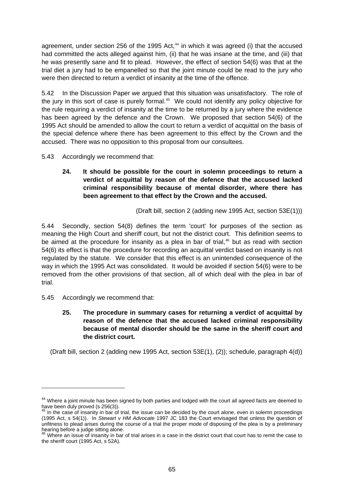agreement, under section 256 of the 1995 Act, $44$  in which it was agreed (i) that the accused had committed the acts alleged against him, (ii) that he was insane at the time, and (iii) that he was presently sane and fit to plead. However, the effect of section 54(6) was that at the trial diet a jury had to be empanelled so that the joint minute could be read to the jury who were then directed to return a verdict of insanity at the time of the offence.

5.42 In the Discussion Paper we argued that this situation was unsatisfactory. The role of the jury in this sort of case is purely formal.<sup>[45](#page-70-1)</sup> We could not identify any policy objective for the rule requiring a verdict of insanity at the time to be returned by a jury where the evidence has been agreed by the defence and the Crown. We proposed that section 54(6) of the 1995 Act should be amended to allow the court to return a verdict of acquittal on the basis of the special defence where there has been agreement to this effect by the Crown and the accused. There was no opposition to this proposal from our consultees.

5.43 Accordingly we recommend that:

**24. It should be possible for the court in solemn proceedings to return a verdict of acquittal by reason of the defence that the accused lacked criminal responsibility because of mental disorder, where there has been agreement to that effect by the Crown and the accused.** 

(Draft bill, section 2 (adding new 1995 Act, section 53E(1)))

5.44 Secondly, section 54(8) defines the term 'court' for purposes of the section as meaning the High Court and sheriff court, but not the district court. This definition seems to be aimed at the procedure for insanity as a plea in bar of trial,<sup>[46](#page-70-2)</sup> but as read with section 54(6) its effect is that the procedure for recording an acquittal verdict based on insanity is not regulated by the statute. We consider that this effect is an unintended consequence of the way in which the 1995 Act was consolidated. It would be avoided if section 54(6) were to be removed from the other provisions of that section, all of which deal with the plea in bar of trial.

5.45 Accordingly we recommend that:

-

**25. The procedure in summary cases for returning a verdict of acquittal by reason of the defence that the accused lacked criminal responsibility because of mental disorder should be the same in the sheriff court and the district court.** 

(Draft bill, section 2 (adding new 1995 Act, section 53E(1), (2)); schedule, paragraph 4(d))

<span id="page-70-0"></span><sup>&</sup>lt;sup>44</sup> Where a joint minute has been signed by both parties and lodged with the court all agreed facts are deemed to have been duly proved (s  $256(3)$ ).

<span id="page-70-1"></span>In the case of insanity in bar of trial, the issue can be decided by the court alone, even in solemn proceedings (1995 Act, s 54(1)). In *Stewart v HM Advocate* 1997 JC 183 the Court envisaged that unless the question of unfitness to plead arises during the course of a trial the proper mode of disposing of the plea is by a preliminary hearing before a judge sitting alone.

<span id="page-70-2"></span><sup>46</sup> Where an issue of insanity in bar of trial arises in a case in the district court that court has to remit the case to the sheriff court (1995 Act, s 52A).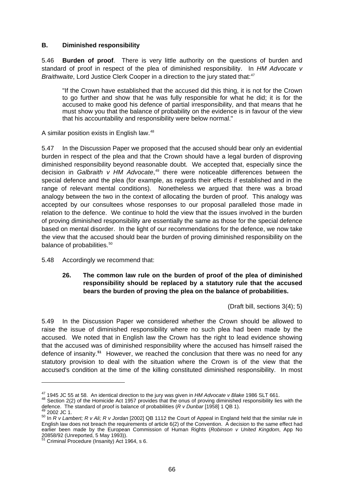## **B. Diminished responsibility**

5.46 **Burden of proof**. There is very little authority on the questions of burden and standard of proof in respect of the plea of diminished responsibility. In *HM Advocate v Braithwaite*, Lord Justice Clerk Cooper in a direction to the jury stated that:<sup>[47](#page-71-0)</sup>

"If the Crown have established that the accused did this thing, it is not for the Crown to go further and show that he was fully responsible for what he did; it is for the accused to make good his defence of partial irresponsibility, and that means that he must show you that the balance of probability on the evidence is in favour of the view that his accountability and responsibility were below normal."

A similar position exists in English law.<sup>[48](#page-71-1)</sup>

5.47 In the Discussion Paper we proposed that the accused should bear only an evidential burden in respect of the plea and that the Crown should have a legal burden of disproving diminished responsibility beyond reasonable doubt. We accepted that, especially since the decision in *Galbraith v HM Advocate*, [49](#page-71-2) there were noticeable differences between the special defence and the plea (for example, as regards their effects if established and in the range of relevant mental conditions). Nonetheless we argued that there was a broad analogy between the two in the context of allocating the burden of proof. This analogy was accepted by our consultees whose responses to our proposal paralleled those made in relation to the defence. We continue to hold the view that the issues involved in the burden of proving diminished responsibility are essentially the same as those for the special defence based on mental disorder. In the light of our recommendations for the defence, we now take the view that the accused should bear the burden of proving diminished responsibility on the balance of probabilities.<sup>[50](#page-71-3)</sup>

5.48 Accordingly we recommend that:

# **26. The common law rule on the burden of proof of the plea of diminished responsibility should be replaced by a statutory rule that the accused bears the burden of proving the plea on the balance of probabilities.**

(Draft bill, sections 3(4); 5)

5.49 In the Discussion Paper we considered whether the Crown should be allowed to raise the issue of diminished responsibility where no such plea had been made by the accused. We noted that in English law the Crown has the right to lead evidence showing that the accused was of diminished responsibility where the accused has himself raised the defence of insanity.**[51](#page-71-4)** However, we reached the conclusion that there was no need for any statutory provision to deal with the situation where the Crown is of the view that the accused's condition at the time of the killing constituted diminished responsibility. In most

<span id="page-71-1"></span><span id="page-71-0"></span><sup>&</sup>lt;sup>47</sup> 1945 JC 55 at 58. An identical direction to the jury was given in *HM Advocate v Blake* 1986 SLT 661.<br><sup>48</sup> Section 2(2) of the Homicide Act 1957 provides that the onus of proving diminished responsibility lies with t

<span id="page-71-3"></span><span id="page-71-2"></span><sup>49 2002</sup> JC 1.<br><sup>50</sup> In *R v Lambert; R v Ali; R v Jordan* [2002] QB 1112 the Court of Appeal in England held that the similar rule in English law does not breach the requirements of article 6(2) of the Convention. A decision to the same effect had earlier been made by the European Commission of Human Rights (*Robinson v United Kingdom*, App No 20858/92 (Unreported, 5 May 1993)).<br><sup>51</sup> Criminal Procedure (Insanity) Act 1964, s 6.

<span id="page-71-4"></span>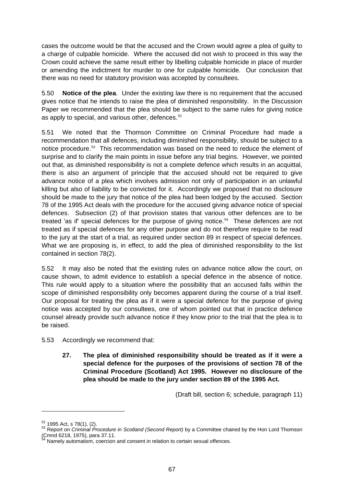cases the outcome would be that the accused and the Crown would agree a plea of guilty to a charge of culpable homicide. Where the accused did not wish to proceed in this way the Crown could achieve the same result either by libelling culpable homicide in place of murder or amending the indictment for murder to one for culpable homicide. Our conclusion that there was no need for statutory provision was accepted by consultees.

5.50 **Notice of the plea**. Under the existing law there is no requirement that the accused gives notice that he intends to raise the plea of diminished responsibility. In the Discussion Paper we recommended that the plea should be subject to the same rules for giving notice as apply to special, and various other, defences.<sup>[52](#page-72-0)</sup>

5.51 We noted that the Thomson Committee on Criminal Procedure had made a recommendation that all defences, including diminished responsibility, should be subject to a notice procedure.<sup>[53](#page-72-1)</sup> This recommendation was based on the need to reduce the element of surprise and to clarify the main points in issue before any trial begins. However, we pointed out that, as diminished responsibility is not a complete defence which results in an acquittal, there is also an argument of principle that the accused should not be required to give advance notice of a plea which involves admission not only of participation in an unlawful killing but also of liability to be convicted for it. Accordingly we proposed that no disclosure should be made to the jury that notice of the plea had been lodged by the accused. Section 78 of the 1995 Act deals with the procedure for the accused giving advance notice of special defences. Subsection (2) of that provision states that various other defences are to be treated 'as if' special defences for the purpose of giving notice.<sup>[54](#page-72-2)</sup> These defences are not treated as if special defences for any other purpose and do not therefore require to be read to the jury at the start of a trial, as required under section 89 in respect of special defences. What we are proposing is, in effect, to add the plea of diminished responsibility to the list contained in section 78(2).

5.52 It may also be noted that the existing rules on advance notice allow the court, on cause shown, to admit evidence to establish a special defence in the absence of notice. This rule would apply to a situation where the possibility that an accused falls within the scope of diminished responsibility only becomes apparent during the course of a trial itself. Our proposal for treating the plea as if it were a special defence for the purpose of giving notice was accepted by our consultees, one of whom pointed out that in practice defence counsel already provide such advance notice if they know prior to the trial that the plea is to be raised.

- 5.53 Accordingly we recommend that:
	- **27. The plea of diminished responsibility should be treated as if it were a special defence for the purposes of the provisions of section 78 of the Criminal Procedure (Scotland) Act 1995. However no disclosure of the plea should be made to the jury under section 89 of the 1995 Act.**

(Draft bill, section 6; schedule, paragraph 11)

<u>.</u>

<span id="page-72-1"></span><span id="page-72-0"></span><sup>&</sup>lt;sup>52</sup> 1995 Act, s 78(1), (2).<br><sup>53</sup> Report on *Criminal Procedure in Scotland (Second Report)* by a Committee chaired by the Hon Lord Thomson (Cmnd 6218, 1975), para 37.11. 54 Namely automatism, coercion and consent in relation to certain sexual offences.

<span id="page-72-2"></span>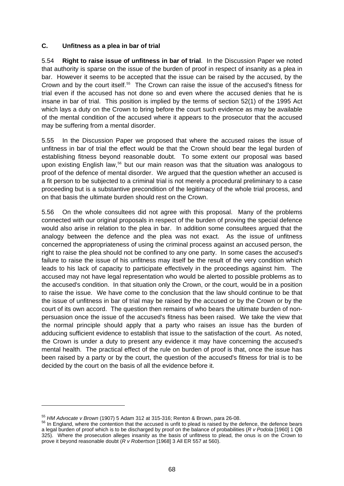# **C. Unfitness as a plea in bar of trial**

5.54 **Right to raise issue of unfitness in bar of trial**. In the Discussion Paper we noted that authority is sparse on the issue of the burden of proof in respect of insanity as a plea in bar. However it seems to be accepted that the issue can be raised by the accused, by the Crown and by the court itself.[55](#page-73-0) The Crown can raise the issue of the accused's fitness for trial even if the accused has not done so and even where the accused denies that he is insane in bar of trial. This position is implied by the terms of section 52(1) of the 1995 Act which lays a duty on the Crown to bring before the court such evidence as may be available of the mental condition of the accused where it appears to the prosecutor that the accused may be suffering from a mental disorder.

5.55 In the Discussion Paper we proposed that where the accused raises the issue of unfitness in bar of trial the effect would be that the Crown should bear the legal burden of establishing fitness beyond reasonable doubt. To some extent our proposal was based upon existing English law,<sup>[56](#page-73-1)</sup> but our main reason was that the situation was analogous to proof of the defence of mental disorder. We argued that the question whether an accused is a fit person to be subjected to a criminal trial is not merely a procedural preliminary to a case proceeding but is a substantive precondition of the legitimacy of the whole trial process, and on that basis the ultimate burden should rest on the Crown.

5.56 On the whole consultees did not agree with this proposal. Many of the problems connected with our original proposals in respect of the burden of proving the special defence would also arise in relation to the plea in bar. In addition some consultees argued that the analogy between the defence and the plea was not exact. As the issue of unfitness concerned the appropriateness of using the criminal process against an accused person, the right to raise the plea should not be confined to any one party. In some cases the accused's failure to raise the issue of his unfitness may itself be the result of the very condition which leads to his lack of capacity to participate effectively in the proceedings against him. The accused may not have legal representation who would be alerted to possible problems as to the accused's condition. In that situation only the Crown, or the court, would be in a position to raise the issue. We have come to the conclusion that the law should continue to be that the issue of unfitness in bar of trial may be raised by the accused or by the Crown or by the court of its own accord. The question then remains of who bears the ultimate burden of nonpersuasion once the issue of the accused's fitness has been raised. We take the view that the normal principle should apply that a party who raises an issue has the burden of adducing sufficient evidence to establish that issue to the satisfaction of the court. As noted, the Crown is under a duty to present any evidence it may have concerning the accused's mental health. The practical effect of the rule on burden of proof is that, once the issue has been raised by a party or by the court, the question of the accused's fitness for trial is to be decided by the court on the basis of all the evidence before it.

-

<span id="page-73-1"></span><span id="page-73-0"></span><sup>&</sup>lt;sup>55</sup> *HM Advocate v Brown* (1907) 5 Adam 312 at 315-316; Renton & Brown, para 26-08.<br><sup>56</sup> In England, where the contention that the accused is unfit to plead is raised by the defence, the defence bears a legal burden of proof which is to be discharged by proof on the balance of probabilities (*R v Podola* [1960] 1 QB 325). Where the prosecution alleges insanity as the basis of unfitness to plead, the onus is on the Crown to prove it beyond reasonable doubt (*R v Robertson* [1968] 3 All ER 557 at 560).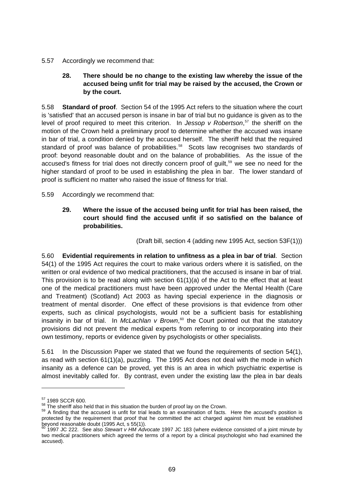5.57 Accordingly we recommend that:

# **28. There should be no change to the existing law whereby the issue of the accused being unfit for trial may be raised by the accused, the Crown or by the court.**

5.58 **Standard of proof**. Section 54 of the 1995 Act refers to the situation where the court is 'satisfied' that an accused person is insane in bar of trial but no guidance is given as to the level of proof required to meet this criterion. In *Jessop v Robertson*, [57](#page-74-0) the sheriff on the motion of the Crown held a preliminary proof to determine whether the accused was insane in bar of trial, a condition denied by the accused herself. The sheriff held that the required standard of proof was balance of probabilities.<sup>[58](#page-74-1)</sup> Scots law recognises two standards of proof: beyond reasonable doubt and on the balance of probabilities. As the issue of the accused's fitness for trial does not directly concern proof of quilt,<sup>[59](#page-74-2)</sup> we see no need for the higher standard of proof to be used in establishing the plea in bar. The lower standard of proof is sufficient no matter who raised the issue of fitness for trial.

- 5.59 Accordingly we recommend that:
	- **29. Where the issue of the accused being unfit for trial has been raised, the court should find the accused unfit if so satisfied on the balance of probabilities.**

(Draft bill, section 4 (adding new 1995 Act, section 53F(1)))

5.60 **Evidential requirements in relation to unfitness as a plea in bar of trial**. Section 54(1) of the 1995 Act requires the court to make various orders where it is satisfied, on the written or oral evidence of two medical practitioners, that the accused is insane in bar of trial. This provision is to be read along with section  $61(1)(a)$  of the Act to the effect that at least one of the medical practitioners must have been approved under the Mental Health (Care and Treatment) (Scotland) Act 2003 as having special experience in the diagnosis or treatment of mental disorder. One effect of these provisions is that evidence from other experts, such as clinical psychologists, would not be a sufficient basis for establishing insanity in bar of trial. In *McLachlan v Brown*,<sup>[60](#page-74-3)</sup> the Court pointed out that the statutory provisions did not prevent the medical experts from referring to or incorporating into their own testimony, reports or evidence given by psychologists or other specialists.

5.61 In the Discussion Paper we stated that we found the requirements of section 54(1), as read with section 61(1)(a), puzzling. The 1995 Act does not deal with the mode in which insanity as a defence can be proved, yet this is an area in which psychiatric expertise is almost inevitably called for. By contrast, even under the existing law the plea in bar deals

-

<span id="page-74-2"></span><span id="page-74-1"></span>

<span id="page-74-0"></span> $57$  1989 SCCR 600.<br> $58$  The sheriff also held that in this situation the burden of proof lay on the Crown.<br> $59$  A finding that the accused is unfit for trial leads to an examination of facts. Here the accused's position protected by the requirement that proof that he committed the act charged against him must be established beyond reasonable doubt (1995 Act, s 55(1)). 60 1997 JC 222. See also *Stewart v HM Advocate* 1997 JC 183 (where evidence consisted of a joint minute by

<span id="page-74-3"></span>two medical practitioners which agreed the terms of a report by a clinical psychologist who had examined the accused).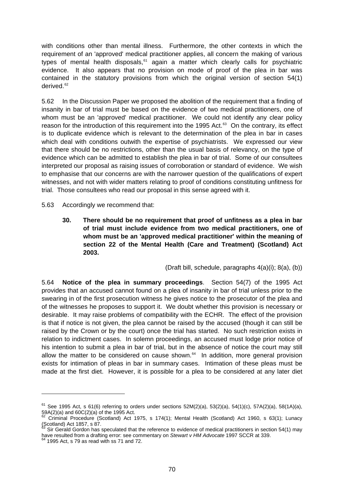with conditions other than mental illness. Furthermore, the other contexts in which the requirement of an 'approved' medical practitioner applies, all concern the making of various types of mental health disposals, $61$  again a matter which clearly calls for psychiatric evidence. It also appears that no provision on mode of proof of the plea in bar was contained in the statutory provisions from which the original version of section 54(1) derived.<sup>[62](#page-75-1)</sup>

5.62 In the Discussion Paper we proposed the abolition of the requirement that a finding of insanity in bar of trial must be based on the evidence of two medical practitioners, one of whom must be an 'approved' medical practitioner. We could not identify any clear policy reason for the introduction of this requirement into the 1995 Act.<sup>[63](#page-75-2)</sup> On the contrary, its effect is to duplicate evidence which is relevant to the determination of the plea in bar in cases which deal with conditions outwith the expertise of psychiatrists. We expressed our view that there should be no restrictions, other than the usual basis of relevancy, on the type of evidence which can be admitted to establish the plea in bar of trial. Some of our consultees interpreted our proposal as raising issues of corroboration or standard of evidence. We wish to emphasise that our concerns are with the narrower question of the qualifications of expert witnesses, and not with wider matters relating to proof of conditions constituting unfitness for trial. Those consultees who read our proposal in this sense agreed with it.

5.63 Accordingly we recommend that:

**30. There should be no requirement that proof of unfitness as a plea in bar of trial must include evidence from two medical practitioners, one of whom must be an 'approved medical practitioner' within the meaning of section 22 of the Mental Health (Care and Treatment) (Scotland) Act 2003.** 

(Draft bill, schedule, paragraphs 4(a)(i); 8(a), (b))

5.64 **Notice of the plea in summary proceedings**. Section 54(7) of the 1995 Act provides that an accused cannot found on a plea of insanity in bar of trial unless prior to the swearing in of the first prosecution witness he gives notice to the prosecutor of the plea and of the witnesses he proposes to support it. We doubt whether this provision is necessary or desirable. It may raise problems of compatibility with the ECHR. The effect of the provision is that if notice is not given, the plea cannot be raised by the accused (though it can still be raised by the Crown or by the court) once the trial has started. No such restriction exists in relation to indictment cases. In solemn proceedings, an accused must lodge prior notice of his intention to submit a plea in bar of trial, but in the absence of notice the court may still allow the matter to be considered on cause shown. $64$  In addition, more general provision exists for intimation of pleas in bar in summary cases. Intimation of these pleas must be made at the first diet. However, it is possible for a plea to be considered at any later diet

<u>.</u>

<span id="page-75-0"></span> $61$  See 1995 Act, s 61(6) referring to orders under sections  $52M(2)(a)$ ,  $53(2)(a)$ ,  $54(1)(c)$ ,  $57A(2)(a)$ ,  $58(1A)(a)$ , 59A(2)(a) and 60C(2)(a) of the 1995 Act.<br><sup>62</sup> Criminal Procedure (Scotland) Act 1975, s 174(1); Mental Health (Scotland) Act 1960, s 63(1); Lunacy

<span id="page-75-1"></span>Scotland) Act 1857, s 87.

<span id="page-75-2"></span>Sir Gerald Gordon has speculated that the reference to evidence of medical practitioners in section 54(1) may have resulted from a drafting error: see commentary on *Stewart v HM Advocate* 1997 SCCR at 339. 64 1995 Act, s 79 as read with ss 71 and 72.

<span id="page-75-3"></span>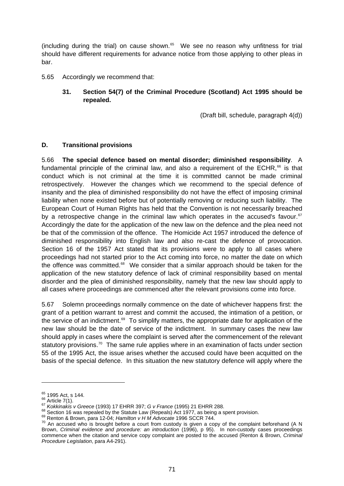(including during the trial) on cause shown. $65$  We see no reason why unfitness for trial should have different requirements for advance notice from those applying to other pleas in bar.

- 5.65 Accordingly we recommend that:
	- **31. Section 54(7) of the Criminal Procedure (Scotland) Act 1995 should be repealed.**

(Draft bill, schedule, paragraph 4(d))

# **D. Transitional provisions**

5.66 **The special defence based on mental disorder; diminished responsibility**. A fundamental principle of the criminal law, and also a requirement of the ECHR, $^{66}$  $^{66}$  $^{66}$  is that conduct which is not criminal at the time it is committed cannot be made criminal retrospectively. However the changes which we recommend to the special defence of insanity and the plea of diminished responsibility do not have the effect of imposing criminal liability when none existed before but of potentially removing or reducing such liability. The European Court of Human Rights has held that the Convention is not necessarily breached by a retrospective change in the criminal law which operates in the accused's favour. $67$ Accordingly the date for the application of the new law on the defence and the plea need not be that of the commission of the offence. The Homicide Act 1957 introduced the defence of diminished responsibility into English law and also re-cast the defence of provocation. Section 16 of the 1957 Act stated that its provisions were to apply to all cases where proceedings had not started prior to the Act coming into force, no matter the date on which the offence was committed.<sup>[68](#page-76-3)</sup> We consider that a similar approach should be taken for the application of the new statutory defence of lack of criminal responsibility based on mental disorder and the plea of diminished responsibility, namely that the new law should apply to all cases where proceedings are commenced after the relevant provisions come into force.

5.67 Solemn proceedings normally commence on the date of whichever happens first: the grant of a petition warrant to arrest and commit the accused, the intimation of a petition, or the service of an indictment.<sup>[69](#page-76-4)</sup> To simplify matters, the appropriate date for application of the new law should be the date of service of the indictment. In summary cases the new law should apply in cases where the complaint is served after the commencement of the relevant statutory provisions.<sup>[70](#page-76-5)</sup> The same rule applies where in an examination of facts under section 55 of the 1995 Act, the issue arises whether the accused could have been acquitted on the basis of the special defence. In this situation the new statutory defence will apply where the

<u>.</u>

<span id="page-76-2"></span>

<span id="page-76-3"></span>

<span id="page-76-5"></span><span id="page-76-4"></span>

<span id="page-76-1"></span><span id="page-76-0"></span><sup>&</sup>lt;sup>65</sup> 1995 Act, s 144.<br>
<sup>66</sup> Article 7(1).<br>
<sup>67</sup> Kokkinakis v Greece (1993) 17 EHRR 397; G v France (1995) 21 EHRR 288.<br>
<sup>67</sup> Kokkinakis v Greece (1993) 17 EHRR 397; G v France (1995) 21 EHRR 288.<br>
<sup>69</sup> Renton & Brown, par Brown, *Criminal evidence and procedure: an introduction* (1996), p 95). In non-custody cases proceedings commence when the citation and service copy complaint are posted to the accused (Renton & Brown, *Criminal Procedure Legislation*, para A4-291).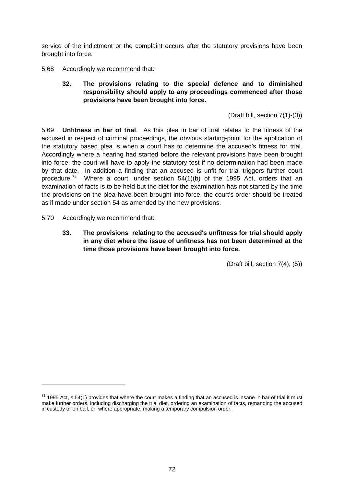service of the indictment or the complaint occurs after the statutory provisions have been brought into force.

- 5.68 Accordingly we recommend that:
	- **32. The provisions relating to the special defence and to diminished responsibility should apply to any proceedings commenced after those provisions have been brought into force.**

(Draft bill, section 7(1)-(3))

5.69 **Unfitness in bar of trial**. As this plea in bar of trial relates to the fitness of the accused in respect of criminal proceedings, the obvious starting-point for the application of the statutory based plea is when a court has to determine the accused's fitness for trial. Accordingly where a hearing had started before the relevant provisions have been brought into force, the court will have to apply the statutory test if no determination had been made by that date. In addition a finding that an accused is unfit for trial triggers further court procedure.<sup>[71](#page-77-0)</sup> Where a court, under section  $54(1)(b)$  of the 1995 Act, orders that an examination of facts is to be held but the diet for the examination has not started by the time the provisions on the plea have been brought into force, the court's order should be treated as if made under section 54 as amended by the new provisions.

5.70 Accordingly we recommend that:

-

**33. The provisions relating to the accused's unfitness for trial should apply in any diet where the issue of unfitness has not been determined at the time those provisions have been brought into force.** 

(Draft bill, section 7(4), (5))

<span id="page-77-0"></span> $71$  1995 Act, s 54(1) provides that where the court makes a finding that an accused is insane in bar of trial it must make further orders, including discharging the trial diet, ordering an examination of facts, remanding the accused in custody or on bail, or, where appropriate, making a temporary compulsion order.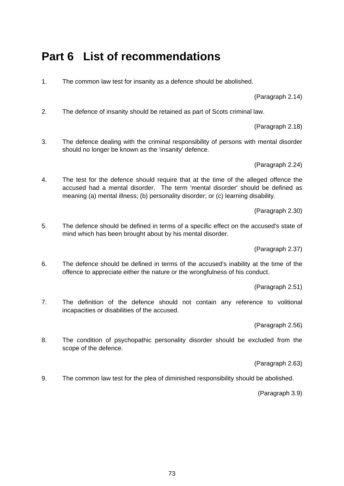# **Part 6 List of recommendations**

1. The common law test for insanity as a defence should be abolished.

(Paragraph 2.14)

2. The defence of insanity should be retained as part of Scots criminal law.

(Paragraph 2.18)

3. The defence dealing with the criminal responsibility of persons with mental disorder should no longer be known as the 'insanity' defence.

(Paragraph 2.24)

4. The test for the defence should require that at the time of the alleged offence the accused had a mental disorder. The term 'mental disorder' should be defined as meaning (a) mental illness; (b) personality disorder; or (c) learning disability.

(Paragraph 2.30)

5. The defence should be defined in terms of a specific effect on the accused's state of mind which has been brought about by his mental disorder.

(Paragraph 2.37)

6. The defence should be defined in terms of the accused's inability at the time of the offence to appreciate either the nature or the wrongfulness of his conduct.

(Paragraph 2.51)

7. The definition of the defence should not contain any reference to volitional incapacities or disabilities of the accused.

(Paragraph 2.56)

8. The condition of psychopathic personality disorder should be excluded from the scope of the defence.

(Paragraph 2.63)

9. The common law test for the plea of diminished responsibility should be abolished.

(Paragraph 3.9)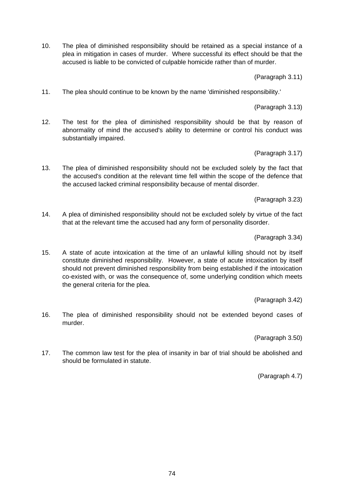10. The plea of diminished responsibility should be retained as a special instance of a plea in mitigation in cases of murder. Where successful its effect should be that the accused is liable to be convicted of culpable homicide rather than of murder.

(Paragraph 3.11)

11. The plea should continue to be known by the name 'diminished responsibility.'

(Paragraph 3.13)

12. The test for the plea of diminished responsibility should be that by reason of abnormality of mind the accused's ability to determine or control his conduct was substantially impaired.

(Paragraph 3.17)

13. The plea of diminished responsibility should not be excluded solely by the fact that the accused's condition at the relevant time fell within the scope of the defence that the accused lacked criminal responsibility because of mental disorder.

(Paragraph 3.23)

14. A plea of diminished responsibility should not be excluded solely by virtue of the fact that at the relevant time the accused had any form of personality disorder.

(Paragraph 3.34)

15. A state of acute intoxication at the time of an unlawful killing should not by itself constitute diminished responsibility. However, a state of acute intoxication by itself should not prevent diminished responsibility from being established if the intoxication co-existed with, or was the consequence of, some underlying condition which meets the general criteria for the plea.

(Paragraph 3.42)

16. The plea of diminished responsibility should not be extended beyond cases of murder.

(Paragraph 3.50)

17. The common law test for the plea of insanity in bar of trial should be abolished and should be formulated in statute.

(Paragraph 4.7)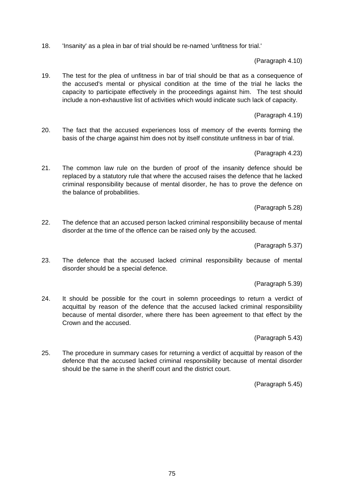18. 'Insanity' as a plea in bar of trial should be re-named 'unfitness for trial.'

(Paragraph 4.10)

19. The test for the plea of unfitness in bar of trial should be that as a consequence of the accused's mental or physical condition at the time of the trial he lacks the capacity to participate effectively in the proceedings against him. The test should include a non-exhaustive list of activities which would indicate such lack of capacity.

(Paragraph 4.19)

20. The fact that the accused experiences loss of memory of the events forming the basis of the charge against him does not by itself constitute unfitness in bar of trial.

(Paragraph 4.23)

21. The common law rule on the burden of proof of the insanity defence should be replaced by a statutory rule that where the accused raises the defence that he lacked criminal responsibility because of mental disorder, he has to prove the defence on the balance of probabilities.

(Paragraph 5.28)

22. The defence that an accused person lacked criminal responsibility because of mental disorder at the time of the offence can be raised only by the accused.

(Paragraph 5.37)

23. The defence that the accused lacked criminal responsibility because of mental disorder should be a special defence.

(Paragraph 5.39)

24. It should be possible for the court in solemn proceedings to return a verdict of acquittal by reason of the defence that the accused lacked criminal responsibility because of mental disorder, where there has been agreement to that effect by the Crown and the accused.

(Paragraph 5.43)

25. The procedure in summary cases for returning a verdict of acquittal by reason of the defence that the accused lacked criminal responsibility because of mental disorder should be the same in the sheriff court and the district court.

(Paragraph 5.45)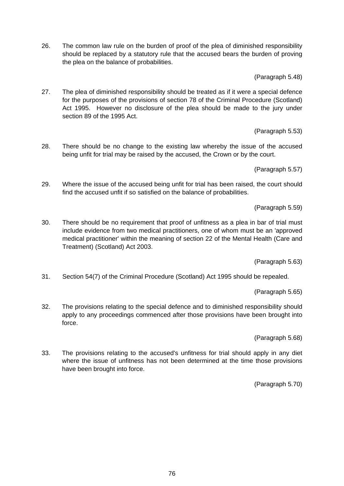26. The common law rule on the burden of proof of the plea of diminished responsibility should be replaced by a statutory rule that the accused bears the burden of proving the plea on the balance of probabilities.

(Paragraph 5.48)

27. The plea of diminished responsibility should be treated as if it were a special defence for the purposes of the provisions of section 78 of the Criminal Procedure (Scotland) Act 1995. However no disclosure of the plea should be made to the jury under section 89 of the 1995 Act.

(Paragraph 5.53)

28. There should be no change to the existing law whereby the issue of the accused being unfit for trial may be raised by the accused, the Crown or by the court.

(Paragraph 5.57)

29. Where the issue of the accused being unfit for trial has been raised, the court should find the accused unfit if so satisfied on the balance of probabilities.

(Paragraph 5.59)

30. There should be no requirement that proof of unfitness as a plea in bar of trial must include evidence from two medical practitioners, one of whom must be an 'approved medical practitioner' within the meaning of section 22 of the Mental Health (Care and Treatment) (Scotland) Act 2003.

(Paragraph 5.63)

31. Section 54(7) of the Criminal Procedure (Scotland) Act 1995 should be repealed.

(Paragraph 5.65)

32. The provisions relating to the special defence and to diminished responsibility should apply to any proceedings commenced after those provisions have been brought into force.

(Paragraph 5.68)

33. The provisions relating to the accused's unfitness for trial should apply in any diet where the issue of unfitness has not been determined at the time those provisions have been brought into force.

(Paragraph 5.70)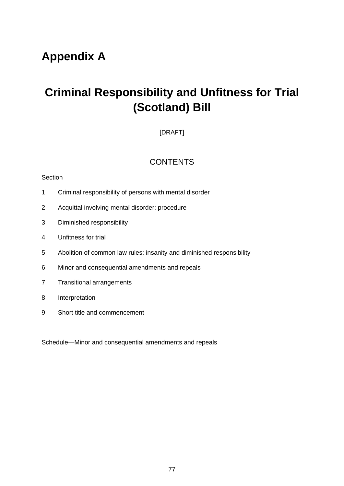# **Appendix A**

# **Criminal Responsibility and Unfitness for Trial (Scotland) Bill**

# [DRAFT]

# **CONTENTS**

# **Section**

- 1 Criminal responsibility of persons with mental disorder
- 2 Acquittal involving mental disorder: procedure
- 3 Diminished responsibility
- 4 Unfitness for trial
- 5 Abolition of common law rules: insanity and diminished responsibility
- 6 Minor and consequential amendments and repeals
- 7 Transitional arrangements
- 8 Interpretation
- 9 Short title and commencement

Schedule—Minor and consequential amendments and repeals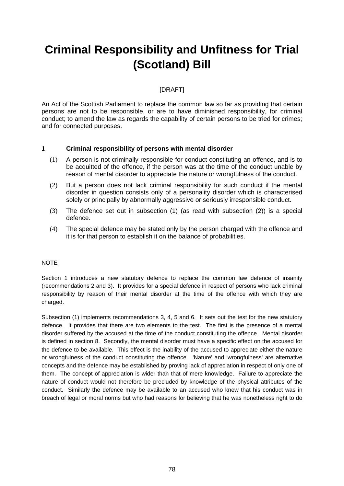# **Criminal Responsibility and Unfitness for Trial (Scotland) Bill**

# [DRAFT]

An Act of the Scottish Parliament to replace the common law so far as providing that certain persons are not to be responsible, or are to have diminished responsibility, for criminal conduct; to amend the law as regards the capability of certain persons to be tried for crimes; and for connected purposes.

# **1 Criminal responsibility of persons with mental disorder**

- (1) A person is not criminally responsible for conduct constituting an offence, and is to be acquitted of the offence, if the person was at the time of the conduct unable by reason of mental disorder to appreciate the nature or wrongfulness of the conduct.
- (2) But a person does not lack criminal responsibility for such conduct if the mental disorder in question consists only of a personality disorder which is characterised solely or principally by abnormally aggressive or seriously irresponsible conduct.
- (3) The defence set out in subsection (1) (as read with subsection (2)) is a special defence.
- (4) The special defence may be stated only by the person charged with the offence and it is for that person to establish it on the balance of probabilities.

# **NOTE**

Section 1 introduces a new statutory defence to replace the common law defence of insanity (recommendations 2 and 3). It provides for a special defence in respect of persons who lack criminal responsibility by reason of their mental disorder at the time of the offence with which they are charged.

Subsection (1) implements recommendations 3, 4, 5 and 6. It sets out the test for the new statutory defence. It provides that there are two elements to the test. The first is the presence of a mental disorder suffered by the accused at the time of the conduct constituting the offence. Mental disorder is defined in section 8. Secondly, the mental disorder must have a specific effect on the accused for the defence to be available. This effect is the inability of the accused to appreciate either the nature or wrongfulness of the conduct constituting the offence. 'Nature' and 'wrongfulness' are alternative concepts and the defence may be established by proving lack of appreciation in respect of only one of them. The concept of appreciation is wider than that of mere knowledge. Failure to appreciate the nature of conduct would not therefore be precluded by knowledge of the physical attributes of the conduct. Similarly the defence may be available to an accused who knew that his conduct was in breach of legal or moral norms but who had reasons for believing that he was nonetheless right to do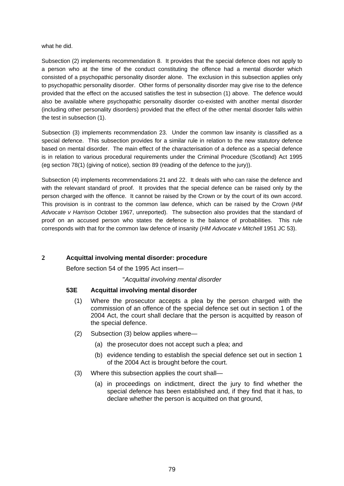what he did.

Subsection (2) implements recommendation 8. It provides that the special defence does not apply to a person who at the time of the conduct constituting the offence had a mental disorder which consisted of a psychopathic personality disorder alone. The exclusion in this subsection applies only to psychopathic personality disorder. Other forms of personality disorder may give rise to the defence provided that the effect on the accused satisfies the test in subsection (1) above. The defence would also be available where psychopathic personality disorder co-existed with another mental disorder (including other personality disorders) provided that the effect of the other mental disorder falls within the test in subsection (1).

Subsection (3) implements recommendation 23. Under the common law insanity is classified as a special defence. This subsection provides for a similar rule in relation to the new statutory defence based on mental disorder. The main effect of the characterisation of a defence as a special defence is in relation to various procedural requirements under the Criminal Procedure (Scotland) Act 1995 (eg section 78(1) (giving of notice), section 89 (reading of the defence to the jury)).

Subsection (4) implements recommendations 21 and 22. It deals with who can raise the defence and with the relevant standard of proof. It provides that the special defence can be raised only by the person charged with the offence. It cannot be raised by the Crown or by the court of its own accord. This provision is in contrast to the common law defence, which can be raised by the Crown (*HM Advocate v Harrison* October 1967, unreported). The subsection also provides that the standard of proof on an accused person who states the defence is the balance of probabilities. This rule corresponds with that for the common law defence of insanity (*HM Advocate v Mitchell* 1951 JC 53).

# **2 Acquittal involving mental disorder: procedure**

Before section 54 of the 1995 Act insert—

# "*Acquittal involving mental disorder*

# **53E Acquittal involving mental disorder**

- (1) Where the prosecutor accepts a plea by the person charged with the commission of an offence of the special defence set out in section 1 of the 2004 Act, the court shall declare that the person is acquitted by reason of the special defence.
- (2) Subsection (3) below applies where—
	- (a) the prosecutor does not accept such a plea; and
	- (b) evidence tending to establish the special defence set out in section 1 of the 2004 Act is brought before the court.
- (3) Where this subsection applies the court shall—
	- (a) in proceedings on indictment, direct the jury to find whether the special defence has been established and, if they find that it has, to declare whether the person is acquitted on that ground,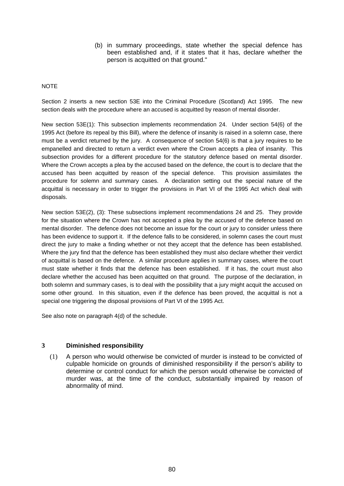(b) in summary proceedings, state whether the special defence has been established and, if it states that it has, declare whether the person is acquitted on that ground."

#### NOTE

Section 2 inserts a new section 53E into the Criminal Procedure (Scotland) Act 1995. The new section deals with the procedure where an accused is acquitted by reason of mental disorder.

New section 53E(1): This subsection implements recommendation 24. Under section 54(6) of the 1995 Act (before its repeal by this Bill), where the defence of insanity is raised in a solemn case, there must be a verdict returned by the jury. A consequence of section 54(6) is that a jury requires to be empanelled and directed to return a verdict even where the Crown accepts a plea of insanity. This subsection provides for a different procedure for the statutory defence based on mental disorder. Where the Crown accepts a plea by the accused based on the defence, the court is to declare that the accused has been acquitted by reason of the special defence. This provision assimilates the procedure for solemn and summary cases. A declaration setting out the special nature of the acquittal is necessary in order to trigger the provisions in Part VI of the 1995 Act which deal with disposals.

New section 53E(2), (3): These subsections implement recommendations 24 and 25. They provide for the situation where the Crown has not accepted a plea by the accused of the defence based on mental disorder. The defence does not become an issue for the court or jury to consider unless there has been evidence to support it. If the defence falls to be considered, in solemn cases the court must direct the jury to make a finding whether or not they accept that the defence has been established. Where the jury find that the defence has been established they must also declare whether their verdict of acquittal is based on the defence. A similar procedure applies in summary cases, where the court must state whether it finds that the defence has been established. If it has, the court must also declare whether the accused has been acquitted on that ground. The purpose of the declaration, in both solemn and summary cases, is to deal with the possibility that a jury might acquit the accused on some other ground. In this situation, even if the defence has been proved, the acquittal is not a special one triggering the disposal provisions of Part VI of the 1995 Act.

See also note on paragraph 4(d) of the schedule.

#### **3 Diminished responsibility**

(1) A person who would otherwise be convicted of murder is instead to be convicted of culpable homicide on grounds of diminished responsibility if the person's ability to determine or control conduct for which the person would otherwise be convicted of murder was, at the time of the conduct, substantially impaired by reason of abnormality of mind.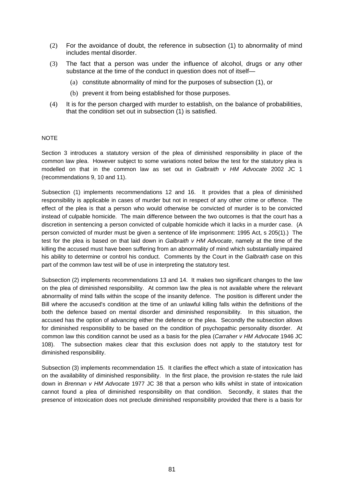- (2) For the avoidance of doubt, the reference in subsection (1) to abnormality of mind includes mental disorder.
- (3) The fact that a person was under the influence of alcohol, drugs or any other substance at the time of the conduct in question does not of itself—
	- (a) constitute abnormality of mind for the purposes of subsection (1), or
	- (b) prevent it from being established for those purposes.
- (4) It is for the person charged with murder to establish, on the balance of probabilities, that the condition set out in subsection (1) is satisfied.

#### NOTE

Section 3 introduces a statutory version of the plea of diminished responsibility in place of the common law plea. However subject to some variations noted below the test for the statutory plea is modelled on that in the common law as set out in *Galbraith v HM Advocate* 2002 JC 1 (recommendations 9, 10 and 11).

Subsection (1) implements recommendations 12 and 16. It provides that a plea of diminished responsibility is applicable in cases of murder but not in respect of any other crime or offence. The effect of the plea is that a person who would otherwise be convicted of murder is to be convicted instead of culpable homicide. The main difference between the two outcomes is that the court has a discretion in sentencing a person convicted of culpable homicide which it lacks in a murder case. (A person convicted of murder must be given a sentence of life imprisonment: 1995 Act, s 205(1).) The test for the plea is based on that laid down in *Galbraith v HM Advocate*, namely at the time of the killing the accused must have been suffering from an abnormality of mind which substantially impaired his ability to determine or control his conduct. Comments by the Court in the *Galbraith* case on this part of the common law test will be of use in interpreting the statutory test.

Subsection (2) implements recommendations 13 and 14. It makes two significant changes to the law on the plea of diminished responsibility. At common law the plea is not available where the relevant abnormality of mind falls within the scope of the insanity defence. The position is different under the Bill where the accused's condition at the time of an unlawful killing falls within the definitions of the both the defence based on mental disorder and diminished responsibility. In this situation, the accused has the option of advancing either the defence or the plea. Secondly the subsection allows for diminished responsibility to be based on the condition of psychopathic personality disorder. At common law this condition cannot be used as a basis for the plea (*Carraher v HM Advocate* 1946 JC 108). The subsection makes clear that this exclusion does not apply to the statutory test for diminished responsibility.

Subsection (3) implements recommendation 15. It clarifies the effect which a state of intoxication has on the availability of diminished responsibility. In the first place, the provision re-states the rule laid down in *Brennan v HM Advocate* 1977 JC 38 that a person who kills whilst in state of intoxication cannot found a plea of diminished responsibility on that condition. Secondly, it states that the presence of intoxication does not preclude diminished responsibility provided that there is a basis for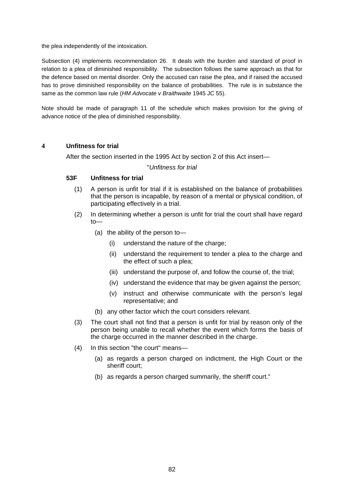the plea independently of the intoxication.

Subsection (4) implements recommendation 26. It deals with the burden and standard of proof in relation to a plea of diminished responsibility. The subsection follows the same approach as that for the defence based on mental disorder. Only the accused can raise the plea, and if raised the accused has to prove diminished responsibility on the balance of probabilities. The rule is in substance the same as the common law rule (*HM Advocate v Braithwaite* 1945 JC 55).

Note should be made of paragraph 11 of the schedule which makes provision for the giving of advance notice of the plea of diminished responsibility.

#### **4 Unfitness for trial**

After the section inserted in the 1995 Act by section 2 of this Act insert—

#### "*Unfitness for trial*

#### **53F Unfitness for trial**

- (1) A person is unfit for trial if it is established on the balance of probabilities that the person is incapable, by reason of a mental or physical condition, of participating effectively in a trial.
- (2) In determining whether a person is unfit for trial the court shall have regard to—
	- (a) the ability of the person to—
		- (i) understand the nature of the charge;
		- (ii) understand the requirement to tender a plea to the charge and the effect of such a plea;
		- (iii) understand the purpose of, and follow the course of, the trial;
		- (iv) understand the evidence that may be given against the person;
		- (v) instruct and otherwise communicate with the person's legal representative; and
	- (b) any other factor which the court considers relevant.
- (3) The court shall not find that a person is unfit for trial by reason only of the person being unable to recall whether the event which forms the basis of the charge occurred in the manner described in the charge.
- (4) In this section "the court" means—
	- (a) as regards a person charged on indictment, the High Court or the sheriff court;
	- (b) as regards a person charged summarily, the sheriff court."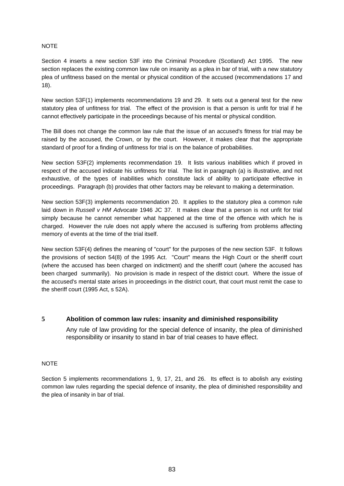#### NOTE

Section 4 inserts a new section 53F into the Criminal Procedure (Scotland) Act 1995. The new section replaces the existing common law rule on insanity as a plea in bar of trial, with a new statutory plea of unfitness based on the mental or physical condition of the accused (recommendations 17 and 18).

New section 53F(1) implements recommendations 19 and 29. It sets out a general test for the new statutory plea of unfitness for trial. The effect of the provision is that a person is unfit for trial if he cannot effectively participate in the proceedings because of his mental or physical condition.

The Bill does not change the common law rule that the issue of an accused's fitness for trial may be raised by the accused, the Crown, or by the court. However, it makes clear that the appropriate standard of proof for a finding of unfitness for trial is on the balance of probabilities.

New section 53F(2) implements recommendation 19. It lists various inabilities which if proved in respect of the accused indicate his unfitness for trial. The list in paragraph (a) is illustrative, and not exhaustive, of the types of inabilities which constitute lack of ability to participate effective in proceedings. Paragraph (b) provides that other factors may be relevant to making a determination.

New section 53F(3) implements recommendation 20. It applies to the statutory plea a common rule laid down in *Russell v HM Advocate* 1946 JC 37. It makes clear that a person is not unfit for trial simply because he cannot remember what happened at the time of the offence with which he is charged. However the rule does not apply where the accused is suffering from problems affecting memory of events at the time of the trial itself.

New section 53F(4) defines the meaning of "court" for the purposes of the new section 53F. It follows the provisions of section 54(8) of the 1995 Act. "Court" means the High Court or the sheriff court (where the accused has been charged on indictment) and the sheriff court (where the accused has been charged summarily). No provision is made in respect of the district court. Where the issue of the accused's mental state arises in proceedings in the district court, that court must remit the case to the sheriff court (1995 Act, s 52A).

# **5 Abolition of common law rules: insanity and diminished responsibility**

Any rule of law providing for the special defence of insanity, the plea of diminished responsibility or insanity to stand in bar of trial ceases to have effect.

#### NOTE

Section 5 implements recommendations 1, 9, 17, 21, and 26. Its effect is to abolish any existing common law rules regarding the special defence of insanity, the plea of diminished responsibility and the plea of insanity in bar of trial.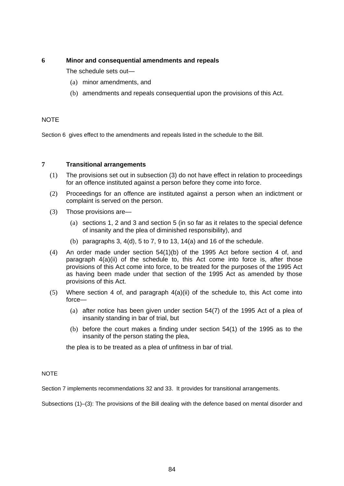# **6 Minor and consequential amendments and repeals**

The schedule sets out—

- (a) minor amendments, and
- (b) amendments and repeals consequential upon the provisions of this Act.

#### **NOTE**

Section 6 gives effect to the amendments and repeals listed in the schedule to the Bill.

#### **7 Transitional arrangements**

- (1) The provisions set out in subsection (3) do not have effect in relation to proceedings for an offence instituted against a person before they come into force.
- (2) Proceedings for an offence are instituted against a person when an indictment or complaint is served on the person.
- (3) Those provisions are—
	- (a) sections 1, 2 and 3 and section 5 (in so far as it relates to the special defence of insanity and the plea of diminished responsibility), and
	- (b) paragraphs 3,  $4(d)$ , 5 to 7, 9 to 13,  $14(a)$  and 16 of the schedule.
- (4) An order made under section 54(1)(b) of the 1995 Act before section 4 of, and paragraph 4(a)(ii) of the schedule to, this Act come into force is, after those provisions of this Act come into force, to be treated for the purposes of the 1995 Act as having been made under that section of the 1995 Act as amended by those provisions of this Act.
- $(5)$  Where section 4 of, and paragraph  $4(a)(ii)$  of the schedule to, this Act come into force—
	- (a) after notice has been given under section 54(7) of the 1995 Act of a plea of insanity standing in bar of trial, but
	- (b) before the court makes a finding under section 54(1) of the 1995 as to the insanity of the person stating the plea,

the plea is to be treated as a plea of unfitness in bar of trial.

#### **NOTE**

Section 7 implements recommendations 32 and 33. It provides for transitional arrangements.

Subsections (1)–(3): The provisions of the Bill dealing with the defence based on mental disorder and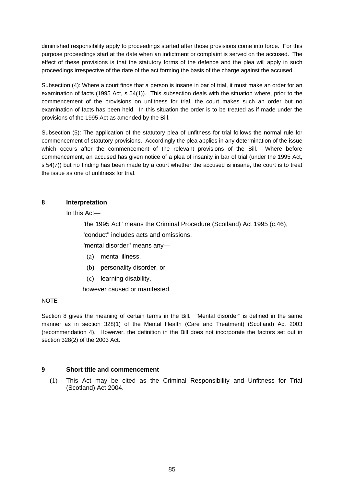diminished responsibility apply to proceedings started after those provisions come into force. For this purpose proceedings start at the date when an indictment or complaint is served on the accused. The effect of these provisions is that the statutory forms of the defence and the plea will apply in such proceedings irrespective of the date of the act forming the basis of the charge against the accused.

Subsection (4): Where a court finds that a person is insane in bar of trial, it must make an order for an examination of facts (1995 Act, s 54(1)). This subsection deals with the situation where, prior to the commencement of the provisions on unfitness for trial, the court makes such an order but no examination of facts has been held. In this situation the order is to be treated as if made under the provisions of the 1995 Act as amended by the Bill.

Subsection (5): The application of the statutory plea of unfitness for trial follows the normal rule for commencement of statutory provisions. Accordingly the plea applies in any determination of the issue which occurs after the commencement of the relevant provisions of the Bill. Where before commencement, an accused has given notice of a plea of insanity in bar of trial (under the 1995 Act, s 54(7)) but no finding has been made by a court whether the accused is insane, the court is to treat the issue as one of unfitness for trial.

# **8 Interpretation**

In this Act—

"the 1995 Act" means the Criminal Procedure (Scotland) Act 1995 (c.46),

"conduct" includes acts and omissions,

"mental disorder" means any—

- (a) mental illness,
- (b) personality disorder, or
- (c) learning disability,

however caused or manifested.

# NOTE

Section 8 gives the meaning of certain terms in the Bill. "Mental disorder" is defined in the same manner as in section 328(1) of the Mental Health (Care and Treatment) (Scotland) Act 2003 (recommendation 4). However, the definition in the Bill does not incorporate the factors set out in section 328(2) of the 2003 Act.

# **9 Short title and commencement**

(1) This Act may be cited as the Criminal Responsibility and Unfitness for Trial (Scotland) Act 2004.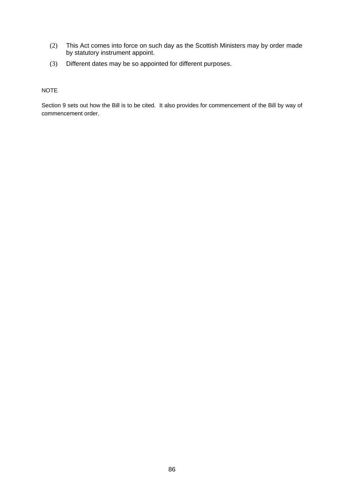- (2) This Act comes into force on such day as the Scottish Ministers may by order made by statutory instrument appoint.
- (3) Different dates may be so appointed for different purposes.

# NOTE

Section 9 sets out how the Bill is to be cited. It also provides for commencement of the Bill by way of commencement order.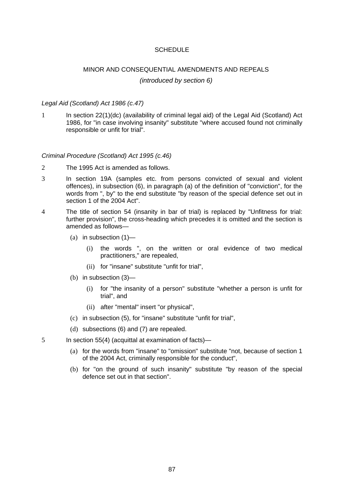#### **SCHEDULE**

# MINOR AND CONSEQUENTIAL AMENDMENTS AND REPEALS *(introduced by section 6)*

#### *Legal Aid (Scotland) Act 1986 (c.47)*

1 In section 22(1)(dc) (availability of criminal legal aid) of the Legal Aid (Scotland) Act 1986, for "in case involving insanity" substitute "where accused found not criminally responsible or unfit for trial".

#### *Criminal Procedure (Scotland) Act 1995 (c.46)*

- 2 The 1995 Act is amended as follows.
- 3 In section 19A (samples etc. from persons convicted of sexual and violent offences), in subsection (6), in paragraph (a) of the definition of "conviction", for the words from ", by" to the end substitute "by reason of the special defence set out in section 1 of the 2004 Act".
- 4 The title of section 54 (insanity in bar of trial) is replaced by "Unfitness for trial: further provision", the cross-heading which precedes it is omitted and the section is amended as follows—
	- (a) in subsection  $(1)$ 
		- (i) the words ", on the written or oral evidence of two medical practitioners," are repealed,
		- (ii) for "insane" substitute "unfit for trial",
	- (b) in subsection (3)—
		- (i) for "the insanity of a person" substitute "whether a person is unfit for trial", and
		- (ii) after "mental" insert "or physical",
	- (c) in subsection (5), for "insane" substitute "unfit for trial",
	- (d) subsections (6) and (7) are repealed.
- 5 In section 55(4) (acquittal at examination of facts)—
	- (a) for the words from "insane" to "omission" substitute "not, because of section 1 of the 2004 Act, criminally responsible for the conduct",
	- (b) for "on the ground of such insanity" substitute "by reason of the special defence set out in that section".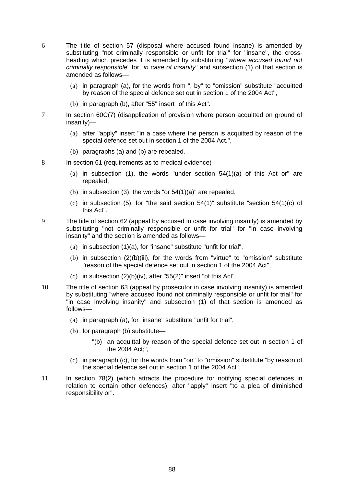- 6 The title of section 57 (disposal where accused found insane) is amended by substituting "not criminally responsible or unfit for trial" for "insane", the crossheading which precedes it is amended by substituting "*where accused found not criminally responsible*" for "*in case of insanity*" and subsection (1) of that section is amended as follows—
	- (a) in paragraph (a), for the words from ", by" to "omission" substitute "acquitted by reason of the special defence set out in section 1 of the 2004 Act",
	- (b) in paragraph (b), after "55" insert "of this Act".
- 7 In section 60C(7) (disapplication of provision where person acquitted on ground of insanity)—
	- (a) after "apply" insert "in a case where the person is acquitted by reason of the special defence set out in section 1 of the 2004 Act.",
	- (b) paragraphs (a) and (b) are repealed.
- 8 In section 61 (requirements as to medical evidence)—
	- (a) in subsection (1), the words "under section  $54(1)(a)$  of this Act or" are repealed,
	- (b) in subsection (3), the words "or  $54(1)(a)$ " are repealed,
	- (c) in subsection (5), for "the said section  $54(1)$ " substitute "section  $54(1)(c)$  of this Act".
- 9 The title of section 62 (appeal by accused in case involving insanity) is amended by substituting "not criminally responsible or unfit for trial" for "in case involving insanity" and the section is amended as follows—
	- (a) in subsection (1)(a), for "insane" substitute "unfit for trial",
	- (b) in subsection (2)(b)(iii), for the words from "virtue" to "omission" substitute "reason of the special defence set out in section 1 of the 2004 Act",
	- (c) in subsection (2)(b)(iv), after "55(2)" insert "of this Act".
- 10 The title of section 63 (appeal by prosecutor in case involving insanity) is amended by substituting "where accused found not criminally responsible or unfit for trial" for "in case involving insanity" and subsection (1) of that section is amended as follows—
	- (a) in paragraph (a), for "insane" substitute "unfit for trial",
	- (b) for paragraph (b) substitute—
		- "(b) an acquittal by reason of the special defence set out in section 1 of the 2004 Act;",
	- (c) in paragraph (c), for the words from "on" to "omission" substitute "by reason of the special defence set out in section 1 of the 2004 Act".
- 11 In section 78(2) (which attracts the procedure for notifying special defences in relation to certain other defences), after "apply" insert "to a plea of diminished responsibility or".

88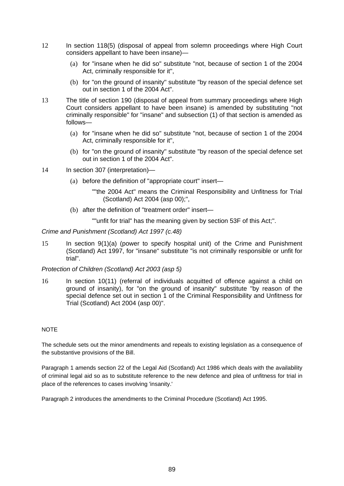- 12 In section 118(5) (disposal of appeal from solemn proceedings where High Court considers appellant to have been insane)—
	- (a) for "insane when he did so" substitute "not, because of section 1 of the 2004 Act, criminally responsible for it",
	- (b) for "on the ground of insanity" substitute "by reason of the special defence set out in section 1 of the 2004 Act".
- 13 The title of section 190 (disposal of appeal from summary proceedings where High Court considers appellant to have been insane) is amended by substituting "not criminally responsible" for "insane" and subsection (1) of that section is amended as follows—
	- (a) for "insane when he did so" substitute "not, because of section 1 of the 2004 Act, criminally responsible for it",
	- (b) for "on the ground of insanity" substitute "by reason of the special defence set out in section 1 of the 2004 Act".
- 14 In section 307 (interpretation)—
	- (a) before the definition of "appropriate court" insert—
		- ""the 2004 Act" means the Criminal Responsibility and Unfitness for Trial (Scotland) Act 2004 (asp 00);",
	- (b) after the definition of "treatment order" insert—

""unfit for trial" has the meaning given by section 53F of this Act;".

*Crime and Punishment (Scotland) Act 1997 (c.48)* 

15 In section 9(1)(a) (power to specify hospital unit) of the Crime and Punishment (Scotland) Act 1997, for "insane" substitute "is not criminally responsible or unfit for trial".

*Protection of Children (Scotland) Act 2003 (asp 5)*

16 In section 10(11) (referral of individuals acquitted of offence against a child on ground of insanity), for "on the ground of insanity" substitute "by reason of the special defence set out in section 1 of the Criminal Responsibility and Unfitness for Trial (Scotland) Act 2004 (asp 00)".

#### **NOTE**

The schedule sets out the minor amendments and repeals to existing legislation as a consequence of the substantive provisions of the Bill.

Paragraph 1 amends section 22 of the Legal Aid (Scotland) Act 1986 which deals with the availability of criminal legal aid so as to substitute reference to the new defence and plea of unfitness for trial in place of the references to cases involving 'insanity.'

Paragraph 2 introduces the amendments to the Criminal Procedure (Scotland) Act 1995.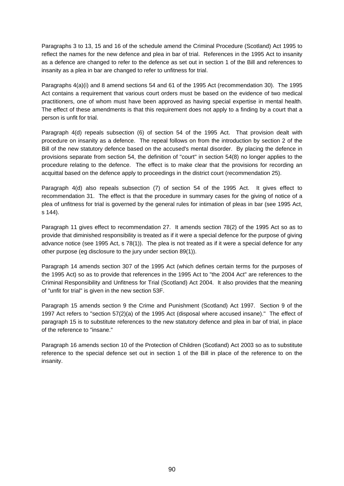Paragraphs 3 to 13, 15 and 16 of the schedule amend the Criminal Procedure (Scotland) Act 1995 to reflect the names for the new defence and plea in bar of trial. References in the 1995 Act to insanity as a defence are changed to refer to the defence as set out in section 1 of the Bill and references to insanity as a plea in bar are changed to refer to unfitness for trial.

Paragraphs 4(a)(i) and 8 amend sections 54 and 61 of the 1995 Act (recommendation 30). The 1995 Act contains a requirement that various court orders must be based on the evidence of two medical practitioners, one of whom must have been approved as having special expertise in mental health. The effect of these amendments is that this requirement does not apply to a finding by a court that a person is unfit for trial.

Paragraph 4(d) repeals subsection (6) of section 54 of the 1995 Act. That provision dealt with procedure on insanity as a defence. The repeal follows on from the introduction by section 2 of the Bill of the new statutory defence based on the accused's mental disorder. By placing the defence in provisions separate from section 54, the definition of "court" in section 54(8) no longer applies to the procedure relating to the defence. The effect is to make clear that the provisions for recording an acquittal based on the defence apply to proceedings in the district court (recommendation 25).

Paragraph 4(d) also repeals subsection (7) of section 54 of the 1995 Act. It gives effect to recommendation 31. The effect is that the procedure in summary cases for the giving of notice of a plea of unfitness for trial is governed by the general rules for intimation of pleas in bar (see 1995 Act, s 144).

Paragraph 11 gives effect to recommendation 27. It amends section 78(2) of the 1995 Act so as to provide that diminished responsibility is treated as if it were a special defence for the purpose of giving advance notice (see 1995 Act, s 78(1)). The plea is not treated as if it were a special defence for any other purpose (eg disclosure to the jury under section 89(1)).

Paragraph 14 amends section 307 of the 1995 Act (which defines certain terms for the purposes of the 1995 Act) so as to provide that references in the 1995 Act to "the 2004 Act" are references to the Criminal Responsibility and Unfitness for Trial (Scotland) Act 2004. It also provides that the meaning of "unfit for trial" is given in the new section 53F.

Paragraph 15 amends section 9 the Crime and Punishment (Scotland) Act 1997. Section 9 of the 1997 Act refers to "section 57(2)(a) of the 1995 Act (disposal where accused insane)." The effect of paragraph 15 is to substitute references to the new statutory defence and plea in bar of trial, in place of the reference to "insane."

Paragraph 16 amends section 10 of the Protection of Children (Scotland) Act 2003 so as to substitute reference to the special defence set out in section 1 of the Bill in place of the reference to on the insanity.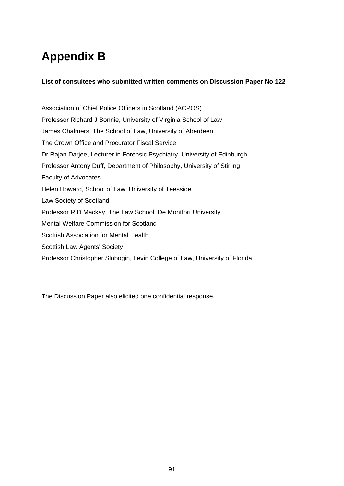# **Appendix B**

# **List of consultees who submitted written comments on Discussion Paper No 122**

Association of Chief Police Officers in Scotland (ACPOS) Professor Richard J Bonnie, University of Virginia School of Law James Chalmers, The School of Law, University of Aberdeen The Crown Office and Procurator Fiscal Service Dr Rajan Darjee, Lecturer in Forensic Psychiatry, University of Edinburgh Professor Antony Duff, Department of Philosophy, University of Stirling Faculty of Advocates Helen Howard, School of Law, University of Teesside Law Society of Scotland Professor R D Mackay, The Law School, De Montfort University Mental Welfare Commission for Scotland Scottish Association for Mental Health Scottish Law Agents' Society Professor Christopher Slobogin, Levin College of Law, University of Florida

The Discussion Paper also elicited one confidential response.